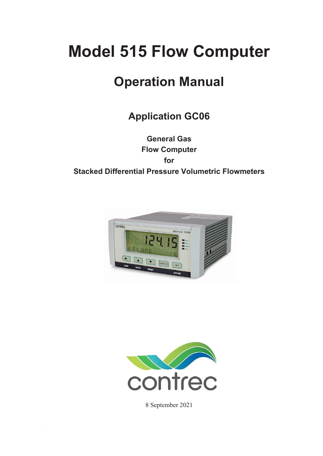# **Model 515 Flow Computer**

# **Operation Manual**

# **Application GC06**

**General Gas Flow Computer for Stacked Differential Pressure Volumetric Flowmeters** 





8 September 2021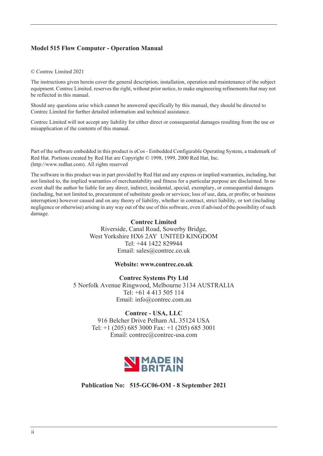### **Model 515 Flow Computer - Operation Manual**

#### © Contrec Limited 2021

The instructions given herein cover the general description, installation, operation and maintenance of the subject equipment. Contrec Limited. reserves the right, without prior notice, to make engineering refinements that may not be reflected in this manual.

Should any questions arise which cannot be answered specifically by this manual, they should be directed to Contrec Limited for further detailed information and technical assistance.

Contrec Limited will not accept any liability for either direct or consequential damages resulting from the use or misapplication of the contents of this manual.

Part of the software embedded in this product is eCos - Embedded Configurable Operating System, a trademark of Red Hat. Portions created by Red Hat are Copyright © 1998, 1999, 2000 Red Hat, Inc. (http://www.redhat.com). All rights reserved

The software in this product was in part provided by Red Hat and any express or implied warranties, including, but not limited to, the implied warranties of merchantability and fitness for a particular purpose are disclaimed. In no event shall the author be liable for any direct, indirect, incidental, special, exemplary, or consequential damages (including, but not limited to, procurement of substitute goods or services; loss of use, data, or profits; or business interruption) however caused and on any theory of liability, whether in contract, strict liability, or tort (including negligence or otherwise) arising in any way out of the use of this software, even if advised of the possibility of such damage.

#### **Contrec Limited**

Riverside, Canal Road, Sowerby Bridge, West Yorkshire HX6 2AY UNITED KINGDOM Tel: +44 1422 829944 Email: sales@contrec.co.uk

#### **Website: www.contrec.co.uk**

**Contrec Systems Pty Ltd** 5 Norfolk Avenue Ringwood, Melbourne 3134 AUSTRALIA Tel: +61 4 413 505 114 Email: info@contrec.com.au

#### **Contrec - USA, LLC**

916 Belcher Drive Pelham AL 35124 USA Tel: +1 (205) 685 3000 Fax: +1 (205) 685 3001 Email: contrec@contrec-usa.com



**Publication No: 515-GC06-OM - 8 September 2021**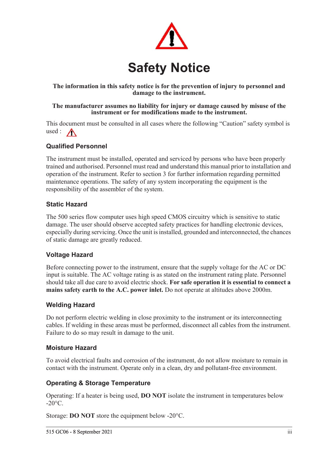

### **The information in this safety notice is for the prevention of injury to personnel and damage to the instrument.**

#### **The manufacturer assumes no liability for injury or damage caused by misuse of the instrument or for modifications made to the instrument.**

This document must be consulted in all cases where the following "Caution" safety symbol is used :  $\bigwedge$ 

### **Qualified Personnel**

The instrument must be installed, operated and serviced by persons who have been properly trained and authorised. Personnel must read and understand this manual prior to installation and operation of the instrument. Refer to section 3 for further information regarding permitted maintenance operations. The safety of any system incorporating the equipment is the responsibility of the assembler of the system.

### **Static Hazard**

The 500 series flow computer uses high speed CMOS circuitry which is sensitive to static damage. The user should observe accepted safety practices for handling electronic devices, especially during servicing. Once the unit is installed, grounded and interconnected, the chances of static damage are greatly reduced.

### **Voltage Hazard**

Before connecting power to the instrument, ensure that the supply voltage for the AC or DC input is suitable. The AC voltage rating is as stated on the instrument rating plate. Personnel should take all due care to avoid electric shock. **For safe operation it is essential to connect a mains safety earth to the A.C. power inlet.** Do not operate at altitudes above 2000m.

### **Welding Hazard**

Do not perform electric welding in close proximity to the instrument or its interconnecting cables. If welding in these areas must be performed, disconnect all cables from the instrument. Failure to do so may result in damage to the unit.

### **Moisture Hazard**

To avoid electrical faults and corrosion of the instrument, do not allow moisture to remain in contact with the instrument. Operate only in a clean, dry and pollutant-free environment.

### **Operating & Storage Temperature**

Operating: If a heater is being used, **DO NOT** isolate the instrument in temperatures below  $-20^{\circ}$ C.

Storage: **DO NOT** store the equipment below -20°C.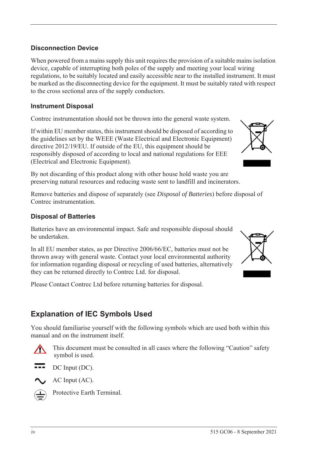### **Disconnection Device**

When powered from a mains supply this unit requires the provision of a suitable mains isolation device, capable of interrupting both poles of the supply and meeting your local wiring regulations, to be suitably located and easily accessible near to the installed instrument. It must be marked as the disconnecting device for the equipment. It must be suitably rated with respect to the cross sectional area of the supply conductors.

### **Instrument Disposal**

Contrec instrumentation should not be thrown into the general waste system.

If within EU member states, this instrument should be disposed of according to the guidelines set by the WEEE (Waste Electrical and Electronic Equipment) directive 2012/19/EU. If outside of the EU, this equipment should be responsibly disposed of according to local and national regulations for EEE (Electrical and Electronic Equipment).

By not discarding of this product along with other house hold waste you are preserving natural resources and reducing waste sent to landfill and incinerators.

Remove batteries and dispose of separately (see *Disposal of Batteries*) before disposal of Contrec instrumentation.

### **Disposal of Batteries**

Batteries have an environmental impact. Safe and responsible disposal should be undertaken.

In all EU member states, as per Directive 2006/66/EC, batteries must not be thrown away with general waste. Contact your local environmental authority for information regarding disposal or recycling of used batteries, alternatively they can be returned directly to Contrec Ltd. for disposal.

Please Contact Contrec Ltd before returning batteries for disposal.

# **Explanation of IEC Symbols Used**

You should familiarise yourself with the following symbols which are used both within this manual and on the instrument itself.



 This document must be consulted in all cases where the following "Caution" safety symbol is used.



AC Input (AC).



Protective Earth Terminal.



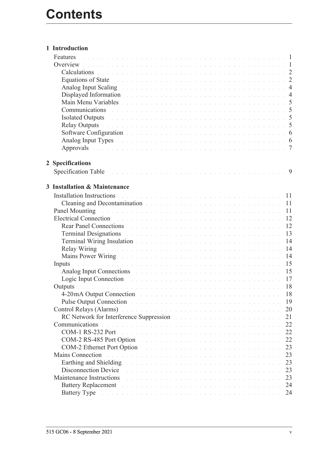|   | <b>Features</b> entering the contract of the contract of the contract of the contract of the contract of the contract of the contract of the contract of the contract of the contract of the contract of the contract of the contra |    |
|---|-------------------------------------------------------------------------------------------------------------------------------------------------------------------------------------------------------------------------------------|----|
|   |                                                                                                                                                                                                                                     |    |
|   | Calculations de la commune de la commune de la commune de la commune de la commune de 2                                                                                                                                             |    |
|   |                                                                                                                                                                                                                                     |    |
|   |                                                                                                                                                                                                                                     |    |
|   | Displayed Information and the contract of the contract of the contract of the contract of the 4                                                                                                                                     |    |
|   |                                                                                                                                                                                                                                     |    |
|   | Communications de la communication de la communication de la communication de la communication de la communication de la communication de la communication de la communication de la communication de la communication de la c      |    |
|   | Isolated Outputs and a contract the contract of the contract of the contract of the S                                                                                                                                               |    |
|   | Relay Outputs des des des deux des deux des deux des deux des deux des deux des 5                                                                                                                                                   |    |
|   |                                                                                                                                                                                                                                     |    |
|   |                                                                                                                                                                                                                                     |    |
|   | Approvals received a construction of the contract of the construction of T                                                                                                                                                          |    |
|   | 2 Specifications                                                                                                                                                                                                                    |    |
|   |                                                                                                                                                                                                                                     |    |
|   |                                                                                                                                                                                                                                     |    |
| 3 | <b>Installation &amp; Maintenance</b>                                                                                                                                                                                               |    |
|   | <b>Installation Instructions</b>                                                                                                                                                                                                    |    |
|   | Cleaning and Decontamination and a substitution of the contract of the contract of the contract of the contract of the contract of the contract of the contract of the contract of the contract of the contract of the contrac      |    |
|   | Panel Mounting research and contract the contract of the contract of the contract of 11                                                                                                                                             |    |
|   | Electrical Connection and a constant of the contract of the contract of the contract of the contract of the contract of the contract of the contract of the contract of the contract of the contract of the contract of the co      |    |
|   | Rear Panel Connections and a construction of the contract of the contract of the contract of the contract of the contract of the contract of the contract of the contract of the contract of the contract of the contract of t      | 12 |
|   | <b>Terminal Designations <i>CONDITION CONDITION CONDITION CONDITION</i> <b><i>CONDITION CONDITION CONDITION</i> <b><i>CONDITION CONDITION</i> CONDITION</b></b></b>                                                                 | 13 |
|   | Terminal Wiring Insulation and a contract of the contract of the contract of the 14                                                                                                                                                 |    |
|   |                                                                                                                                                                                                                                     |    |
|   | Mains Power Wiring Theory of the community of the community of the community of the Main Power Wiring                                                                                                                               |    |
|   | Inputs                                                                                                                                                                                                                              |    |
|   |                                                                                                                                                                                                                                     |    |
|   | Logic Input Connection and a construction of the contract of the contract of the 17                                                                                                                                                 |    |
|   |                                                                                                                                                                                                                                     |    |
|   | 4-20 mA Output Connection and a construction of the contract of the contract of the contract of the contract of                                                                                                                     | 18 |
|   | Pulse Output Connection entry the connection of the connection of the connection of the connection of the connection of the connection of the connection of the connection of the connection of the connection of the connecti      | 19 |
|   | Control Relays (Alarms) and a control of the control of the control of the control of the control of the control of the control of the control of the control of the control of the control of the control of the control of t      | 20 |
|   | RC Network for Interference Suppression and a contract to the contract of the set of the set of the set of the                                                                                                                      | 21 |
|   | Communications                                                                                                                                                                                                                      | 22 |
|   | COM-1 RS-232 Port                                                                                                                                                                                                                   | 22 |
|   | COM-2 RS-485 Port Option                                                                                                                                                                                                            | 22 |
|   | COM-2 Ethernet Port Option                                                                                                                                                                                                          | 23 |
|   | <b>Mains Connection</b><br>.<br>The second complete the second complete state of the second complete state of the second complete state of the                                                                                      | 23 |
|   | Earthing and Shielding Theorem 2010 Community of the Community Community of the Community of the Community Community Community of the Community Community Community Community Community Community Community Community Communit      | 23 |
|   | Disconnection Device<br>.<br>In the first product of the first product of the first product of the first product of the first product of th                                                                                         | 23 |
|   | Maintenance Instructions<br>a construcción de la construcción de la construcción de la construcción de la construcción de la construcción                                                                                           | 23 |
|   | Battery Replacement and a substitution of the contract of the contract of the contract of the contract of the contract of the contract of the contract of the contract of the contract of the contract of the contract of the       | 24 |
|   | <b>Battery Type</b><br>المعاونة والمتعاونة والمتعاونة والمتعاونة والمتعاونة والمتعاونة والمتعاونة والمتعاونة والمتعاونة والمتعاونة والمتعاون                                                                                        | 24 |
|   |                                                                                                                                                                                                                                     |    |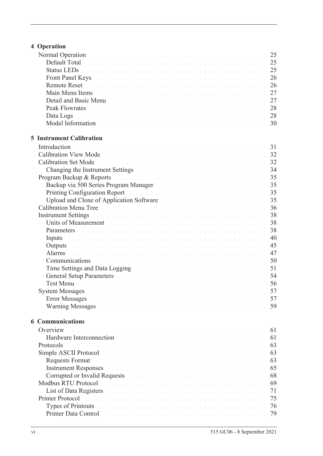# **[4 Operation](#page-34-0)**

| Normal Operation and a contract the contract of the contract of the contract of the 25                                                                                                                                         |    |
|--------------------------------------------------------------------------------------------------------------------------------------------------------------------------------------------------------------------------------|----|
| Default Total de la commune de la commune de la commune de la commune de la commune de 25                                                                                                                                      |    |
| Status LEDs <b>Election Community 25</b> Status Leader Community 25                                                                                                                                                            |    |
| Front Panel Keys and a construction of the construction of the construction of 26                                                                                                                                              |    |
|                                                                                                                                                                                                                                |    |
| Main Menu Items des anderes and des anderes and des anderes and the contract of 27                                                                                                                                             |    |
|                                                                                                                                                                                                                                |    |
|                                                                                                                                                                                                                                |    |
| Data Logs de la component de la component de la component de la component de 28                                                                                                                                                |    |
|                                                                                                                                                                                                                                |    |
|                                                                                                                                                                                                                                |    |
| <b>5 Instrument Calibration</b>                                                                                                                                                                                                |    |
| Introduction                                                                                                                                                                                                                   |    |
|                                                                                                                                                                                                                                |    |
|                                                                                                                                                                                                                                |    |
| Changing the Instrument Settings and a contract of the contract of the state of the 34                                                                                                                                         |    |
| Program Backup & Reports and a contract the contract of the contract of the state of the 35                                                                                                                                    |    |
|                                                                                                                                                                                                                                |    |
|                                                                                                                                                                                                                                |    |
| Upload and Clone of Application Software and a substitution of the Software and a substitution of Application Software                                                                                                         |    |
| Calibration Menu Tree Albert and Albert and Albert and Albert and Albert and Albert 36                                                                                                                                         |    |
|                                                                                                                                                                                                                                |    |
| 38<br>Units of Measurement                                                                                                                                                                                                     |    |
| Parameters and a construction of the construction of the construction of the 38                                                                                                                                                |    |
| 40<br>Inputs and a communication of the communication of the communication of the communication of the communication                                                                                                           |    |
| Outputs and a construction of the construction of the construction of the construction of the construction of the construction of the construction of the construction of the construction of the construction of the construc | 45 |
| 47<br>Alarms<br>de la caractería de la caractería de la caractería de la caractería de la caractería de la caractería de la ca                                                                                                 |    |
| Communications des contracts and contracts are a series and contract and the 50                                                                                                                                                |    |
| 51                                                                                                                                                                                                                             |    |
| Time Settings and Data Logging The Contract of the Contract of the Settings and Data Logging                                                                                                                                   |    |
| General Setup Parameters and a construction of the construction of the state of the 54                                                                                                                                         |    |
| Test Menu barramente de la construcción de la construcción de la construcción de la construcción de 56                                                                                                                         |    |
|                                                                                                                                                                                                                                |    |
| <b>Error Messages</b>                                                                                                                                                                                                          | 57 |
| Warning Messages entertainment and the contract of the contract of the contract of the contract of the contract of the contract of the contract of the contract of the contract of the contract of the contract of the contrac | 59 |
| <b>6 Communications</b>                                                                                                                                                                                                        |    |
| Overview<br>.<br>In the second complete state of the second complete state of the second complete state of the second complete                                                                                                 | 61 |
|                                                                                                                                                                                                                                | 61 |
| Hardware Interconnection<br>.<br>The contract of the contract of the contract of the contract of the contract of the contract of the contract o                                                                                |    |
| Protocols<br><u>. La característica de la característica de la característica de la característica de la característica de la</u>                                                                                              | 63 |
| Simple ASCII Protocol<br>.<br>In de la casa de la casa de la casa de la casa de la casa de la casa de la casa de la casa de la casa de la ca                                                                                   | 63 |
| <b>Requests Format</b>                                                                                                                                                                                                         | 63 |
| Instrument Responses and a contract the contract of the contract of the contract of the contract of the contract of the contract of the contract of the contract of the contract of the contract of the contract of the contra | 65 |
| Corrupted or Invalid Requests and a contract the contract of the contract of the contract of the contract of the contract of the contract of the contract of the contract of the contract of the contract of the contract of t | 68 |
| <b>Modbus RTU Protocol</b><br>والمتعاون والمتعاون والمتعاون والمتعاونة والمتعاونة والمتعاونة والمتعاونة والمتعاونة والمتعاونة والمتعاونة                                                                                       | 69 |
| List of Data Registers and a conservation of the conservation of the conservation of the conservation of the conservation of the conservation of the conservation of the conservation of the conservation of the conservation  | 71 |
| Printer Protocol<br><u>. In the second terms of the second terms of the second terms of the second terms of the second terms of the second</u>                                                                                 | 75 |
| Types of Printouts and a contract the contract of the contract of the contract of the contract of the contract of                                                                                                              | 76 |
| Printer Data Control                                                                                                                                                                                                           | 79 |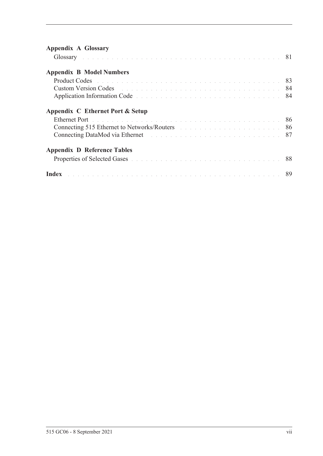| <b>Appendix A Glossary</b>                                                                                                                                                                                                       |  |
|----------------------------------------------------------------------------------------------------------------------------------------------------------------------------------------------------------------------------------|--|
| Glossary received a contract of the contract of the contract of the contract of $81$                                                                                                                                             |  |
| <b>Appendix B Model Numbers</b>                                                                                                                                                                                                  |  |
|                                                                                                                                                                                                                                  |  |
|                                                                                                                                                                                                                                  |  |
| Application Information Code enterity and the contract of the contract of the S4                                                                                                                                                 |  |
| Appendix C Ethernet Port & Setup                                                                                                                                                                                                 |  |
| Ethernet Port de la communicación de la communicación de la communicación de la communicación 86                                                                                                                                 |  |
| Connecting 515 Ethernet to Networks/Routers and the connecting 515 Ethernet to Networks/Routers                                                                                                                                  |  |
|                                                                                                                                                                                                                                  |  |
| <b>Appendix D Reference Tables</b>                                                                                                                                                                                               |  |
| <b>Properties of Selected Gases All 2008 Contract Contract Contract Contract Contract Contract Contract Contract Contract Contract Contract Contract Contract Contract Contract Contract Contract Contract Contract Contract</b> |  |
|                                                                                                                                                                                                                                  |  |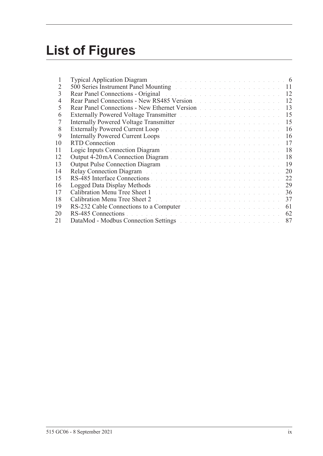# **List of Figures**

| T              | <b>Typical Application Diagram</b> and a contract the contract of the contract of the <b>6</b>                                                                                                                                 |    |
|----------------|--------------------------------------------------------------------------------------------------------------------------------------------------------------------------------------------------------------------------------|----|
| 2              | 500 Series Instrument Panel Mounting and a contract of the series of the 11                                                                                                                                                    |    |
| 3              | Rear Panel Connections - Original entrepreneur and a series of the series of the 12                                                                                                                                            |    |
| $\overline{4}$ | Rear Panel Connections - New RS485 Version                                                                                                                                                                                     | 12 |
| 5              | Rear Panel Connections - New Ethernet Version                                                                                                                                                                                  | 13 |
| 6              | Externally Powered Voltage Transmitter North State Land and Alexandre Powered Voltage Transmitter North State Land                                                                                                             | 15 |
| 7              | Internally Powered Voltage Transmitter March 2014 and State and State and State and                                                                                                                                            | 15 |
| 8              |                                                                                                                                                                                                                                | 16 |
| 9              | Internally Powered Current Loops and a substitution of the contract of the set of the set of the set of the set of the set of the set of the set of the set of the set of the set of the set of the set of the set of the set  | 16 |
| 10             |                                                                                                                                                                                                                                | 17 |
| 11             | Logic Inputs Connection Diagram and a connection of the Connection of the Connection of the Connection of the Connection of the Connection of the Connection of the Connection of the Connection of the Connection of the Conn | 18 |
| 12             |                                                                                                                                                                                                                                | 18 |
| 13             | Output Pulse Connection Diagram and a connection of the Connection of the Connection of the Connection of the Connection of the Connection of the Connection of the Connection of the Connection of the Connection of the Conn | 19 |
| 14             | Relay Connection Diagram and a connection of the connection of the Connection of the Connection of the Connection of the Connection of the Connection of the Connection of the Connection of the Connection of the Connection  | 20 |
| 15             |                                                                                                                                                                                                                                | 22 |
| 16             | Logged Data Display Methods and a contract the contract of the contract of the contract of the contract of the                                                                                                                 | 29 |
| 17             |                                                                                                                                                                                                                                | 36 |
| 18             | Calibration Menu Tree Sheet 2 and the contract of the contract of the contract of the Contract of the Contract of the Contract of the Contract of the Contract of the Contract of the Contract of the Contract of the Contract | 37 |
| 19             | RS-232 Cable Connections to a Computer and a substitution of the set of the set of the set of the set of the set of the set of the set of the set of the set of the set of the set of the set of the set of the set of the set | 61 |
| 20             |                                                                                                                                                                                                                                | 62 |
| 21             | DataMod - Modbus Connection Settings and the connection of the connection of the connection of the connection of the connection of the connection of the connection of the connection of the connection of the connection of t | 87 |
|                |                                                                                                                                                                                                                                |    |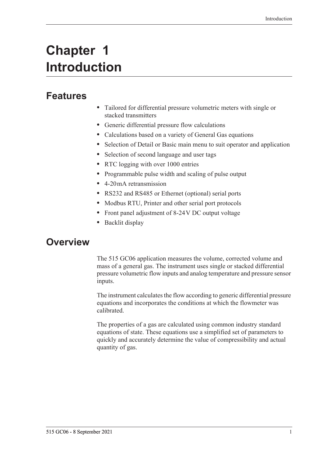# <span id="page-10-0"></span>**Chapter 1 Introduction**

# <span id="page-10-1"></span>**Features**

- **•** Tailored for differential pressure volumetric meters with single or stacked transmitters
- **•** Generic differential pressure flow calculations
- **•** Calculations based on a variety of General Gas equations
- **•** Selection of Detail or Basic main menu to suit operator and application
- **•** Selection of second language and user tags
- **•** RTC logging with over 1000 entries
- **•** Programmable pulse width and scaling of pulse output
- **•** 4-20 mA retransmission
- **•** RS232 and RS485 or Ethernet (optional) serial ports
- **•** Modbus RTU, Printer and other serial port protocols
- **•** Front panel adjustment of 8-24 V DC output voltage
- **•** Backlit display

# <span id="page-10-2"></span>**Overview**

The 515 GC06 application measures the volume, corrected volume and mass of a general gas. The instrument uses single or stacked differential pressure volumetric flow inputs and analog temperature and pressure sensor inputs.

The instrument calculates the flow according to generic differential pressure equations and incorporates the conditions at which the flowmeter was calibrated.

The properties of a gas are calculated using common industry standard equations of state. These equations use a simplified set of parameters to quickly and accurately determine the value of compressibility and actual quantity of gas.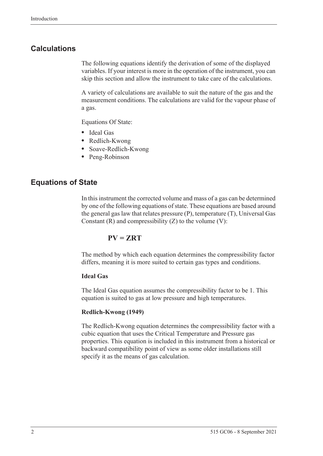# <span id="page-11-0"></span>**Calculations**

The following equations identify the derivation of some of the displayed variables. If your interest is more in the operation of the instrument, you can skip this section and allow the instrument to take care of the calculations.

A variety of calculations are available to suit the nature of the gas and the measurement conditions. The calculations are valid for the vapour phase of a gas.

Equations Of State:

- **•** Ideal Gas
- **•** Redlich-Kwong
- **•** Soave-Redlich-Kwong
- **•** Peng-Robinson

### <span id="page-11-1"></span>**Equations of State**

In this instrument the corrected volume and mass of a gas can be determined by one of the following equations of state. These equations are based around the general gas law that relates pressure (P), temperature (T), Universal Gas Constant  $(R)$  and compressibility  $(Z)$  to the volume  $(V)$ :

### **PV = ZRT**

The method by which each equation determines the compressibility factor differs, meaning it is more suited to certain gas types and conditions.

#### **Ideal Gas**

The Ideal Gas equation assumes the compressibility factor to be 1. This equation is suited to gas at low pressure and high temperatures.

#### **Redlich-Kwong (1949)**

The Redlich-Kwong equation determines the compressibility factor with a cubic equation that uses the Critical Temperature and Pressure gas properties. This equation is included in this instrument from a historical or backward compatibility point of view as some older installations still specify it as the means of gas calculation.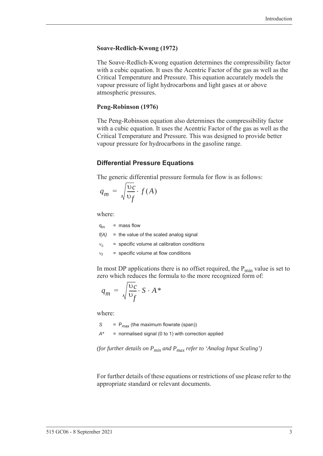#### **Soave-Redlich-Kwong (1972)**

The Soave-Redlich-Kwong equation determines the compressibility factor with a cubic equation. It uses the Acentric Factor of the gas as well as the Critical Temperature and Pressure. This equation accurately models the vapour pressure of light hydrocarbons and light gases at or above atmospheric pressures.

#### **Peng-Robinson (1976)**

The Peng-Robinson equation also determines the compressibility factor with a cubic equation. It uses the Acentric Factor of the gas as well as the Critical Temperature and Pressure. This was designed to provide better vapour pressure for hydrocarbons in the gasoline range.

### **Differential Pressure Equations**

The generic differential pressure formula for flow is as follows:

$$
q_m = \sqrt{\frac{\mathrm{v}_c}{\mathrm{v}_f}} \cdot f(A)
$$

where:

|       | $q_m$ = mass flow                              |
|-------|------------------------------------------------|
|       | $f(A)$ = the value of the scaled analog signal |
| $V_C$ | = specific volume at calibration conditions    |
| $V_f$ | = specific volume at flow conditions           |

In most DP applications there is no offset required, the  $P_{min}$  value is set to zero which reduces the formula to the more recognized form of:

$$
q_m = \sqrt{\frac{\mathrm{v}_c}{\mathrm{v}_f}} \cdot S \cdot A^*
$$

where:

 $S = P_{\text{max}}$  (the maximum flowrate (span))

*A\** = normalised signal (0 to 1) with correction applied

*(for further details on Pmin and Pmax refer to 'Analog Input Scaling')*

For further details of these equations or restrictions of use please refer to the appropriate standard or relevant documents.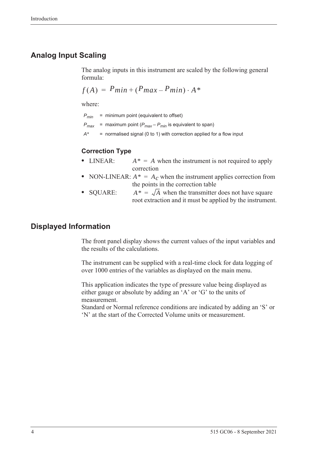# <span id="page-13-0"></span>**Analog Input Scaling**

The analog inputs in this instrument are scaled by the following general formula:

$$
f(A) = P_{min} + (P_{max} - P_{min}) \cdot A^*
$$

where:

*Pmin* = minimum point (equivalent to offset)  $P_{\text{max}}$  = maximum point ( $P_{\text{max}} - P_{\text{min}}$  is equivalent to span) *A\** = normalised signal (0 to 1) with correction applied for a flow input

### **Correction Type**

- LINEAR:  $A^* = A$  when the instrument is not required to apply correction
- NON-LINEAR:  $A^* = A_c$  when the instrument applies correction from the points in the correction table
- SQUARE:  $A^* = \sqrt{A}$  when the transmitter does not have square root extraction and it must be applied by the instrument.

### <span id="page-13-1"></span>**Displayed Information**

The front panel display shows the current values of the input variables and the results of the calculations.

The instrument can be supplied with a real-time clock for data logging of over 1000 entries of the variables as displayed on the main menu.

This application indicates the type of pressure value being displayed as either gauge or absolute by adding an 'A' or 'G' to the units of measurement.

Standard or Normal reference conditions are indicated by adding an 'S' or 'N' at the start of the Corrected Volume units or measurement.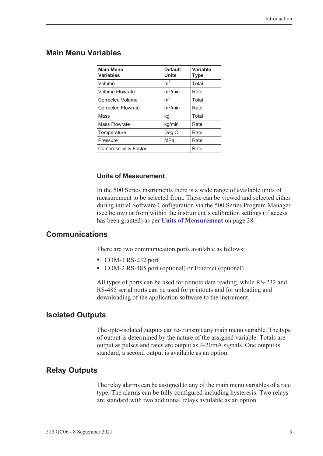## <span id="page-14-0"></span>**Main Menu Variables**

| <b>Main Menu</b><br><b>Variables</b> | <b>Default</b><br><b>Units</b> | Variable<br><b>Type</b> |
|--------------------------------------|--------------------------------|-------------------------|
| Volume                               | m <sup>3</sup>                 | Total                   |
| <b>Volume Flowrate</b>               | $m^3/m$ in                     | Rate                    |
| <b>Corrected Volume</b>              | m <sup>3</sup>                 | Total                   |
| <b>Corrected Flowrate</b>            | $m^3$ /min                     | Rate                    |
| Mass                                 | kg                             | Total                   |
| <b>Mass Flowrate</b>                 | kg/min                         | Rate                    |
| Temperature                          | Deg C                          | Rate                    |
| Pressure                             | MPa                            | Rate                    |
| <b>Compressibility Factor</b>        |                                | Rate                    |

### **Units of Measurement**

In the 500 Series instruments there is a wide range of available units of measurement to be selected from. These can be viewed and selected either during initial Software Configuration via the 500 Series Program Manager (see below) or from within the instrument's calibration settings (if access has been granted) as per **[Units of Measurement](#page-47-3)** on page 38.

### <span id="page-14-1"></span>**Communications**

There are two communication ports available as follows:

- **•** COM-1 RS-232 port
- **•** COM-2 RS-485 port (optional) or Ethernet (optional)

All types of ports can be used for remote data reading, while RS-232 and RS-485 serial ports can be used for printouts and for uploading and downloading of the application software to the instrument.

### <span id="page-14-2"></span>**Isolated Outputs**

The opto-isolated outputs can re-transmit any main menu variable. The type of output is determined by the nature of the assigned variable. Totals are output as pulses and rates are output as 4-20 mA signals. One output is standard, a second output is available as an option.

### <span id="page-14-3"></span>**Relay Outputs**

The relay alarms can be assigned to any of the main menu variables of a rate type. The alarms can be fully configured including hysteresis. Two relays are standard with two additional relays available as an option.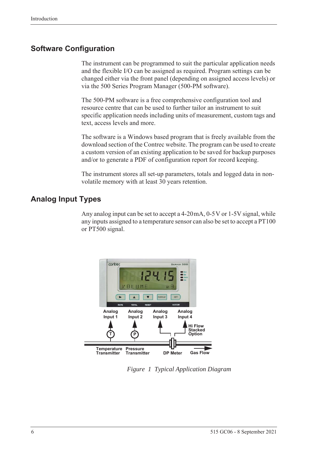# <span id="page-15-0"></span>**Software Configuration**

The instrument can be programmed to suit the particular application needs and the flexible I/O can be assigned as required. Program settings can be changed either via the front panel (depending on assigned access levels) or via the 500 Series Program Manager (500-PM software).

The 500-PM software is a free comprehensive configuration tool and resource centre that can be used to further tailor an instrument to suit specific application needs including units of measurement, custom tags and text, access levels and more.

The software is a Windows based program that is freely available from the download section of the Contrec website. The program can be used to create a custom version of an existing application to be saved for backup purposes and/or to generate a PDF of configuration report for record keeping.

The instrument stores all set-up parameters, totals and logged data in nonvolatile memory with at least 30 years retention.

# <span id="page-15-1"></span>**Analog Input Types**

Any analog input can be set to accept a 4-20 mA, 0-5 V or 1-5 V signal, while any inputs assigned to a temperature sensor can also be set to accept a PT100 or PT500 signal.



<span id="page-15-2"></span>*Figure 1 Typical Application Diagram*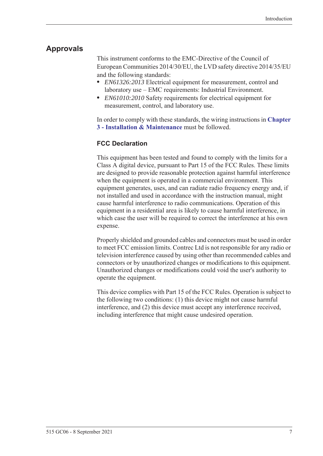# <span id="page-16-0"></span>**Approvals**

This instrument conforms to the EMC-Directive of the Council of European Communities 2014/30/EU, the LVD safety directive 2014/35/EU and the following standards:

- **•** *EN61326:2013* Electrical equipment for measurement, control and laboratory use – EMC requirements: Industrial Environment.
- **•** *EN61010:2010* Safety requirements for electrical equipment for measurement, control, and laboratory use.

In order to comply with these standards, the wiring instructions in **[Chapter](#page-20-5)  [3 - Installation & Maintenance](#page-20-5)** must be followed.

### **FCC Declaration**

This equipment has been tested and found to comply with the limits for a Class A digital device, pursuant to Part 15 of the FCC Rules. These limits are designed to provide reasonable protection against harmful interference when the equipment is operated in a commercial environment. This equipment generates, uses, and can radiate radio frequency energy and, if not installed and used in accordance with the instruction manual, might cause harmful interference to radio communications. Operation of this equipment in a residential area is likely to cause harmful interference, in which case the user will be required to correct the interference at his own expense.

Properly shielded and grounded cables and connectors must be used in order to meet FCC emission limits. Contrec Ltd is not responsible for any radio or television interference caused by using other than recommended cables and connectors or by unauthorized changes or modifications to this equipment. Unauthorized changes or modifications could void the user's authority to operate the equipment.

This device complies with Part 15 of the FCC Rules. Operation is subject to the following two conditions: (1) this device might not cause harmful interference, and (2) this device must accept any interference received, including interference that might cause undesired operation.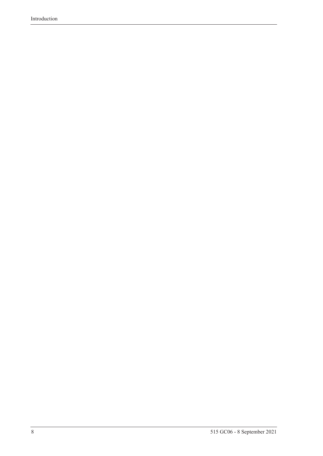Introduction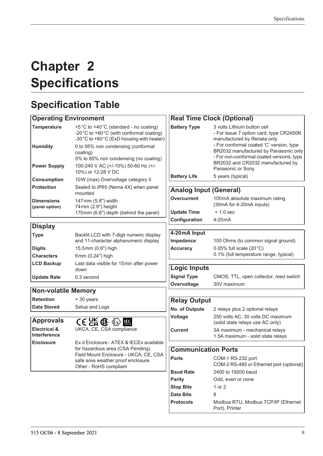# <span id="page-18-0"></span>**Chapter 2 Specifications**

# <span id="page-18-1"></span>**Specification Table**

| <b>Operating Environment</b>            |                                                                                                                                | <b>Real Time Clock (Optional)</b> |                                                                                                                                                                     |  |  |
|-----------------------------------------|--------------------------------------------------------------------------------------------------------------------------------|-----------------------------------|---------------------------------------------------------------------------------------------------------------------------------------------------------------------|--|--|
| Temperature                             | +5°C to +40°C (standard - no coating)<br>-20°C to +60°C (with conformal coating)<br>-30°C to +60°C (ExD housing with heater)   | <b>Battery Type</b>               | 3 volts Lithium button cell<br>- For Issue 7 option card, type CR2450N<br>manufactured by Renata only                                                               |  |  |
| <b>Humidity</b><br><b>Power Supply</b>  | 0 to 95% non condensing (conformal<br>coating)<br>5% to 85% non condensing (no coating)<br>100-240 V AC (+/-10%) 50-60 Hz (+/- |                                   | - For conformal coated 'C' version, type<br>BR2032 manufactured by Panasonic only<br>- For non-conformal coated versions, type<br>BR2032 and CR2032 manufactured by |  |  |
|                                         | 10%) or 12-28 V DC                                                                                                             | <b>Battery Life</b>               | Panasonic or Sony<br>5 years (typical)                                                                                                                              |  |  |
| <b>Consumption</b>                      | 10W (max) Overvoltage category II                                                                                              |                                   |                                                                                                                                                                     |  |  |
| <b>Protection</b>                       | Sealed to IP65 (Nema 4X) when panel<br>mounted                                                                                 | <b>Analog Input (General)</b>     |                                                                                                                                                                     |  |  |
| <b>Dimensions</b><br>(panel option)     | 147mm (5.8") width<br>74mm (2.9") height                                                                                       | Overcurrent                       | 100mA absolute maximum rating<br>(30mA for 4-20mA inputs)                                                                                                           |  |  |
|                                         | 170mm (6.6") depth (behind the panel)                                                                                          | <b>Update Time</b>                | $< 1.0$ sec                                                                                                                                                         |  |  |
|                                         |                                                                                                                                | Configuration                     | $4-20mA$                                                                                                                                                            |  |  |
| <b>Display</b>                          |                                                                                                                                |                                   |                                                                                                                                                                     |  |  |
| <b>Type</b>                             | Backlit LCD with 7-digit numeric display                                                                                       | 4-20mA Input                      |                                                                                                                                                                     |  |  |
|                                         | and 11-character alphanumeric display                                                                                          | Impedance                         | 100 Ohms (to common signal ground)                                                                                                                                  |  |  |
| <b>Digits</b>                           | 15.5mm (0.6") high                                                                                                             | <b>Accuracy</b>                   | 0.05% full scale $(20^{\circ}C)$                                                                                                                                    |  |  |
| <b>Characters</b>                       | 6mm (0.24") high                                                                                                               |                                   | 0.1% (full temperature range, typical)                                                                                                                              |  |  |
| <b>LCD Backup</b>                       | Last data visible for 15min after power<br>down                                                                                | <b>Logic Inputs</b>               |                                                                                                                                                                     |  |  |
| <b>Update Rate</b>                      | 0.3 second                                                                                                                     | <b>Signal Type</b>                | CMOS, TTL, open collector, reed switch                                                                                                                              |  |  |
|                                         |                                                                                                                                | Overvoltage                       | 30V maximum                                                                                                                                                         |  |  |
| <b>Non-volatile Memory</b>              |                                                                                                                                |                                   |                                                                                                                                                                     |  |  |
| <b>Retention</b>                        | > 30 years                                                                                                                     | <b>Relay Output</b>               |                                                                                                                                                                     |  |  |
| <b>Data Stored</b>                      | Setup and Logs                                                                                                                 | <b>No. of Outputs</b>             | 2 relays plus 2 optional relays                                                                                                                                     |  |  |
| <b>Approvals</b>                        | $\mathsf{CE} \times \mathbb{C}$ $\mathbb{C}$                                                                                   | Voltage                           | 250 volts AC, 30 volts DC maximum<br>(solid state relays use AC only)                                                                                               |  |  |
| <b>Electrical &amp;</b><br>Interference | UKCA, CE, CSA compliance                                                                                                       | <b>Current</b>                    | 3A maximum - mechanical relays<br>1.5A maximum - solid state relays                                                                                                 |  |  |
| <b>Enclosure</b>                        | Ex d Enclosure - ATEX & IECEx available                                                                                        |                                   |                                                                                                                                                                     |  |  |
|                                         | for hazardous area (CSA Pending).                                                                                              | <b>Communication Ports</b>        |                                                                                                                                                                     |  |  |
|                                         | Field Mount Enclosure - UKCA, CE, CSA<br>safe area weather proof enclosure.<br>Other - RoHS compliant                          | Ports                             | COM-1 RS-232 port<br>COM-2 RS-485 or Ethernet port (optional)                                                                                                       |  |  |
|                                         |                                                                                                                                | <b>Baud Rate</b>                  | 2400 to 19200 baud                                                                                                                                                  |  |  |
|                                         |                                                                                                                                | <b>Parity</b>                     | Odd, even or none                                                                                                                                                   |  |  |
|                                         |                                                                                                                                | <b>Stop Bits</b>                  | 1 or 2                                                                                                                                                              |  |  |
|                                         |                                                                                                                                | <b>Data Bits</b>                  | 8                                                                                                                                                                   |  |  |
|                                         |                                                                                                                                | <b>Protocols</b>                  | Modbus RTU, Modbus TCP/IP (Ethernet<br>Port), Printer                                                                                                               |  |  |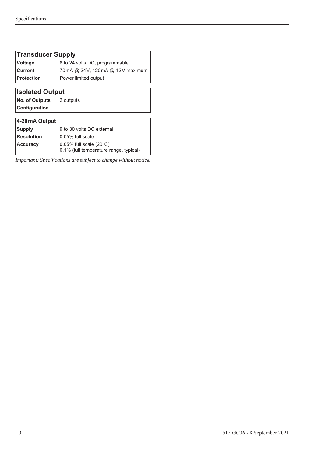| <b>Transducer Supply</b>                          |                      |  |  |  |  |
|---------------------------------------------------|----------------------|--|--|--|--|
| 8 to 24 volts DC, programmable<br>Voltage         |                      |  |  |  |  |
| 70mA @ 24V, 120mA @ 12V maximum<br><b>Current</b> |                      |  |  |  |  |
| <b>Protection</b>                                 | Power limited output |  |  |  |  |
|                                                   |                      |  |  |  |  |
| <b>Isolated Output</b>                            |                      |  |  |  |  |
| <b>No. of Outputs</b>                             | 2 outputs            |  |  |  |  |
| Configuration                                     |                      |  |  |  |  |
|                                                   |                      |  |  |  |  |
| 4-20mA Output                                     |                      |  |  |  |  |
|                                                   |                      |  |  |  |  |

| <b>Supply</b>     | 9 to 30 volts DC external                                                  |  |  |  |  |
|-------------------|----------------------------------------------------------------------------|--|--|--|--|
| <b>Resolution</b> | $0.05\%$ full scale                                                        |  |  |  |  |
| <b>Accuracy</b>   | 0.05% full scale $(20^{\circ}C)$<br>0.1% (full temperature range, typical) |  |  |  |  |

*Important: Specifications are subject to change without notice.*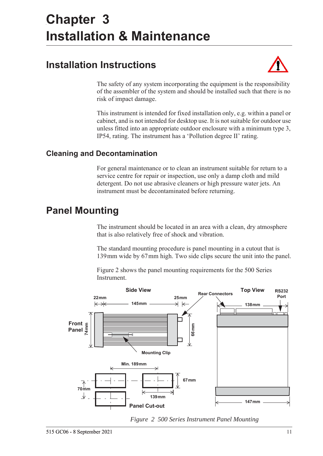# <span id="page-20-5"></span><span id="page-20-0"></span>**Chapter 3 Installation & Maintenance**

# <span id="page-20-1"></span>**Installation Instructions**



The safety of any system incorporating the equipment is the responsibility of the assembler of the system and should be installed such that there is no risk of impact damage.

This instrument is intended for fixed installation only, e.g. within a panel or cabinet, and is not intended for desktop use. It is not suitable for outdoor use unless fitted into an appropriate outdoor enclosure with a minimum type 3, IP54, rating. The instrument has a 'Pollution degree II' rating.

# <span id="page-20-2"></span>**Cleaning and Decontamination**

For general maintenance or to clean an instrument suitable for return to a service centre for repair or inspection, use only a damp cloth and mild detergent. Do not use abrasive cleaners or high pressure water jets. An instrument must be decontaminated before returning.

# <span id="page-20-3"></span>**Panel Mounting**

The instrument should be located in an area with a clean, dry atmosphere that is also relatively free of shock and vibration.

The standard mounting procedure is panel mounting in a cutout that is 139 mm wide by 67 mm high. Two side clips secure the unit into the panel.

[Figure 2](#page-20-4) shows the panel mounting requirements for the 500 Series Instrument.



<span id="page-20-4"></span>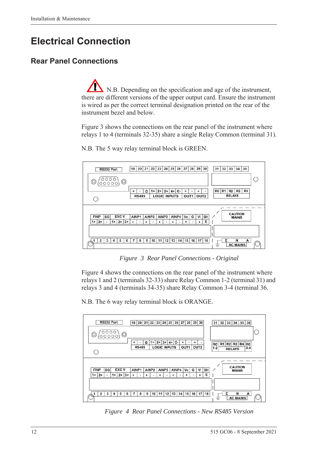# <span id="page-21-0"></span>**Electrical Connection**

# <span id="page-21-1"></span>**Rear Panel Connections**

N.B. Depending on the specification and age of the instrument, there are different versions of the upper output card. Ensure the instrument is wired as per the correct terminal designation printed on the rear of the instrument bezel and below.

[Figure 3](#page-21-2) shows the connections on the rear panel of the instrument where relays 1 to 4 (terminals 32-35) share a single Relay Common (terminal 31).



N.B. The 5 way relay terminal block is GREEN.

*Figure 3 Rear Panel Connections - Original*

<span id="page-21-2"></span>[Figure 4](#page-21-3) shows the connections on the rear panel of the instrument where relays 1 and 2 (terminals 32-33) share Relay Common 1-2 (terminal 31) and relays 3 and 4 (terminals 34-35) share Relay Common 3-4 (terminal 36.

N.B. The 6 way relay terminal block is ORANGE.



<span id="page-21-3"></span>*Figure 4 Rear Panel Connections - New RS485 Version*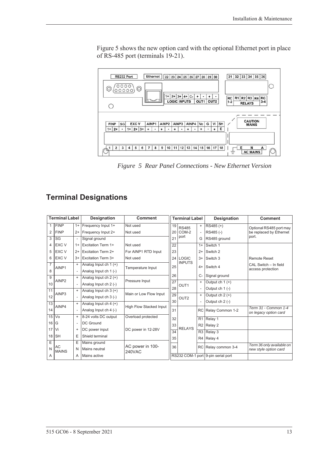[Figure 5](#page-22-1) shows the new option card with the optional Ethernet port in place of RS-485 port (terminals 19-21).



<span id="page-22-1"></span>*Figure 5 Rear Panel Connections - New Ethernet Version*

# <span id="page-22-0"></span>**Terminal Designations**

| <b>Terminal Label</b> |                    |                                                              | <b>Designation</b>        | <b>Comment</b>             | <b>Terminal Label</b> |                                    |                   | <b>Designation</b>     | <b>Comment</b>                                |
|-----------------------|--------------------|--------------------------------------------------------------|---------------------------|----------------------------|-----------------------|------------------------------------|-------------------|------------------------|-----------------------------------------------|
| $\mathbf{1}$          | <b>FINP</b>        | $1+$                                                         | Frequency Input 1+        | Not used                   | 19                    | <b>RS485</b>                       | $+$               | RS485 (+)              | Optional RS485 port may                       |
| 2                     | <b>FINP</b>        | $2+$                                                         | Frequency Input 2+        | Not used                   | 20 <sub>1</sub>       | COM-2                              |                   | RS485 (-)              | be replaced by Ethernet                       |
| 3                     | SG                 | $\overline{\phantom{a}}$                                     | Signal ground             |                            | 21                    | port                               | G                 | RS485 ground           | port.                                         |
| 4                     | <b>EXC V</b>       | $1+$                                                         | <b>Excitation Term 1+</b> | Not used                   | 22                    |                                    | $1+$              | Switch 1               |                                               |
| 5                     | <b>EXC V</b>       | $2+$                                                         | <b>Excitation Term 2+</b> | For AINP1 RTD Input        | 23                    |                                    | $2+$              | Switch 2               |                                               |
| 6                     | <b>EXC V</b>       | $3+$                                                         | <b>Excitation Term 3+</b> | Not used                   | 24 <sub>1</sub>       | <b>LOGIC</b>                       | $3+$              | Switch 3               | <b>Remote Reset</b>                           |
| $\overline{7}$        | AINP1              | $\ddot{}$                                                    | Analog Input ch $1 (+)$   |                            | 25                    | <b>INPUTS</b>                      | $4+$              | Switch 4               | CAL Switch - In field                         |
| 8                     |                    | $\overline{\phantom{a}}$                                     | Analog Input ch 1 (-)     | Temperature Input          |                       |                                    |                   |                        | access protection                             |
| 9                     |                    | $\ddot{}$                                                    | Analog Input ch $2 (+)$   |                            | 26                    |                                    | $C-$              | Signal ground          |                                               |
| 10                    |                    | AINP <sub>2</sub><br>Pressure Input<br>Analog Input ch 2 (-) |                           | $\overline{27}$            | OUT <sub>1</sub>      | $\ddot{}$                          | Output ch $1 (+)$ |                        |                                               |
| 11                    |                    | $\ddot{}$                                                    | Analog Input ch $3 (+)$   |                            | 28                    |                                    |                   | Output ch 1 (-)        |                                               |
| 12                    | AINP3              | $\overline{\phantom{a}}$                                     | Analog Input ch 3 (-)     | Main or Low Flow Input     |                       | 29<br>OUT <sub>2</sub>             | $+$               | Output ch $2 (+)$      |                                               |
| 13                    |                    | $\ddot{}$                                                    | Analog Input ch $4 (+)$   |                            | 30                    |                                    |                   | Output ch 2 (-)        |                                               |
| 14                    | AINP4              | $\overline{\phantom{a}}$                                     | Analog Input ch 4 (-)     | High Flow Stacked Input    | 31                    |                                    | RC                | Relay Common 1-2       | Term 31 - Common 1-4<br>on legacy option card |
| 15                    | Vo                 | $\ddot{}$                                                    | 8-24 volts DC output      | Overload protected         | 32                    |                                    |                   | R <sub>1</sub> Relay 1 |                                               |
| 16                    | G                  | $\blacksquare$                                               | DC Ground                 |                            | 33                    |                                    |                   | $R2$ Relay 2           |                                               |
|                       | $17$ Vi            | $\ddot{}$                                                    | DC power input            | DC power in 12-28V         | $\overline{34}$       | <b>RELAYS</b>                      |                   | $R3$ Relay 3           |                                               |
| 18                    | <b>SH</b>          | E                                                            | Shield terminal           |                            |                       |                                    |                   | R4   Relay 4           |                                               |
| E                     |                    | E                                                            | Mains ground              |                            | 35                    |                                    |                   |                        | Term 36 only available on                     |
| N                     | AC<br><b>MAINS</b> | N                                                            | Mains neutral             | AC power in 100-<br>240VAC | 36                    |                                    |                   | RC Relay common 3-4    | new style option card                         |
| A                     | Mains active<br>A  |                                                              |                           |                            |                       | RS232 COM-1 port 9-pin serial port |                   |                        |                                               |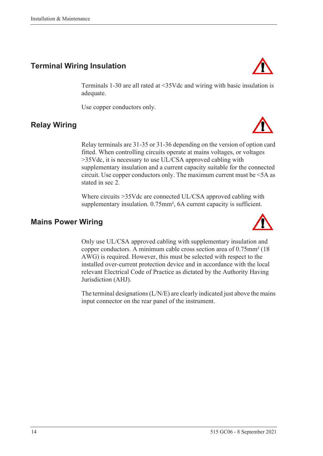# <span id="page-23-0"></span>**Terminal Wiring Insulation**

Terminals 1-30 are all rated at <35Vdc and wiring with basic insulation is adequate.

Use copper conductors only.

stated in sec 2.

# <span id="page-23-1"></span>**Relay Wiring**

Relay terminals are 31-35 or 31-36 depending on the version of option card fitted. When controlling circuits operate at mains voltages, or voltages >35Vdc, it is necessary to use UL/CSA approved cabling with supplementary insulation and a current capacity suitable for the connected circuit. Use copper conductors only. The maximum current must be <5A as

Where circuits >35Vdc are connected UL/CSA approved cabling with supplementary insulation. 0.75mm<sup>2</sup>, 6A current capacity is sufficient.

## <span id="page-23-2"></span>**Mains Power Wiring**

Only use UL/CSA approved cabling with supplementary insulation and copper conductors. A minimum cable cross section area of 0.75mm² (18 AWG) is required. However, this must be selected with respect to the installed over-current protection device and in accordance with the local relevant Electrical Code of Practice as dictated by the Authority Having Jurisdiction (AHJ).

The terminal designations (L/N/E) are clearly indicated just above the mains input connector on the rear panel of the instrument.







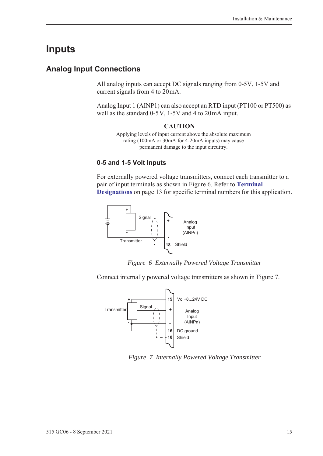# <span id="page-24-0"></span>**Inputs**

# <span id="page-24-1"></span>**Analog Input Connections**

All analog inputs can accept DC signals ranging from 0-5V, 1-5V and current signals from 4 to 20 mA.

Analog Input 1 (AINP1) can also accept an RTD input (PT100 or PT500) as well as the standard  $0-5V$ ,  $1-5V$  and  $4$  to  $20mA$  input.

#### **CAUTION**

Applying levels of input current above the absolute maximum rating (100mA or 30mA for 4-20mA inputs) may cause permanent damage to the input circuitry.

#### **0-5 and 1-5 Volt Inputs**

For externally powered voltage transmitters, connect each transmitter to a pair of input terminals as shown in [Figure 6.](#page-24-2) Refer to **[Terminal](#page-22-0)  [Designations](#page-22-0)** on page 13 for specific terminal numbers for this application.



*Figure 6 Externally Powered Voltage Transmitter*

<span id="page-24-2"></span>Connect internally powered voltage transmitters as shown in [Figure 7.](#page-24-3)



<span id="page-24-3"></span>*Figure 7 Internally Powered Voltage Transmitter*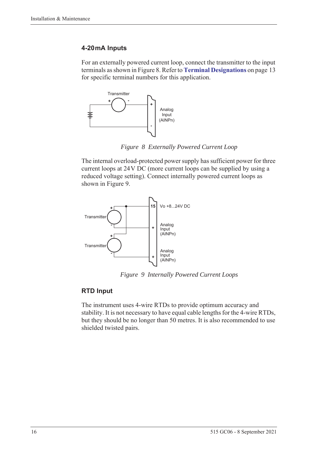### **4-20 mA Inputs**

For an externally powered current loop, connect the transmitter to the input terminals as shown in [Figure 8](#page-25-0). Refer to **[Terminal Designations](#page-22-0)** on page 13 for specific terminal numbers for this application.



*Figure 8 Externally Powered Current Loop*

<span id="page-25-0"></span>The internal overload-protected power supply has sufficient power for three current loops at 24 V DC (more current loops can be supplied by using a reduced voltage setting). Connect internally powered current loops as shown in [Figure 9](#page-25-1).



*Figure 9 Internally Powered Current Loops*

### <span id="page-25-1"></span>**RTD Input**

The instrument uses 4-wire RTDs to provide optimum accuracy and stability. It is not necessary to have equal cable lengths for the 4-wire RTDs, but they should be no longer than 50 metres. It is also recommended to use shielded twisted pairs.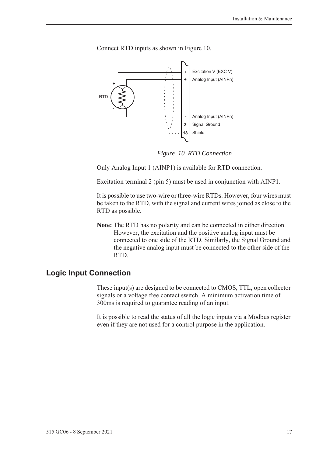

Connect RTD inputs as shown in [Figure 10.](#page-26-1)

*Figure 10 RTD Connection*

<span id="page-26-1"></span>Only Analog Input 1 (AINP1) is available for RTD connection.

Excitation terminal 2 (pin 5) must be used in conjunction with AINP1.

It is possible to use two-wire or three-wire RTDs. However, four wires must be taken to the RTD, with the signal and current wires joined as close to the RTD as possible.

**Note:** The RTD has no polarity and can be connected in either direction. However, the excitation and the positive analog input must be connected to one side of the RTD. Similarly, the Signal Ground and the negative analog input must be connected to the other side of the RTD.

### <span id="page-26-0"></span>**Logic Input Connection**

These input(s) are designed to be connected to CMOS, TTL, open collector signals or a voltage free contact switch. A minimum activation time of 300ms is required to guarantee reading of an input.

It is possible to read the status of all the logic inputs via a Modbus register even if they are not used for a control purpose in the application.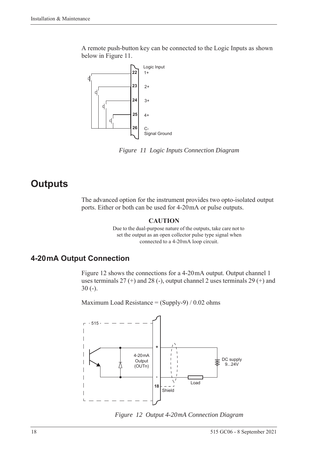A remote push-button key can be connected to the Logic Inputs as shown below in [Figure 11](#page-27-2).



<span id="page-27-2"></span>*Figure 11 Logic Inputs Connection Diagram*

# <span id="page-27-0"></span>**Outputs**

The advanced option for the instrument provides two opto-isolated output ports. Either or both can be used for 4-20 mA or pulse outputs.

#### **CAUTION**

Due to the dual-purpose nature of the outputs, take care not to set the output as an open collector pulse type signal when connected to a 4-20 mA loop circuit.

### <span id="page-27-1"></span>**4-20 mA Output Connection**

[Figure 12](#page-27-3) shows the connections for a 4-20 mA output. Output channel 1 uses terminals 27 (+) and 28 (-), output channel 2 uses terminals 29 (+) and 30 (-).

Maximum Load Resistance =  $(Supply-9) / 0.02$  ohms



<span id="page-27-3"></span>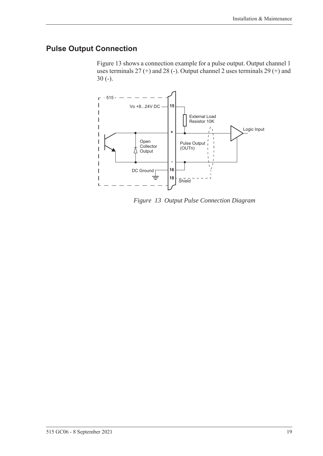# <span id="page-28-0"></span>**Pulse Output Connection**

[Figure 13](#page-28-1) shows a connection example for a pulse output. Output channel 1 uses terminals 27 (+) and 28 (-). Output channel 2 uses terminals 29 (+) and 30 (-).



<span id="page-28-1"></span>*Figure 13 Output Pulse Connection Diagram*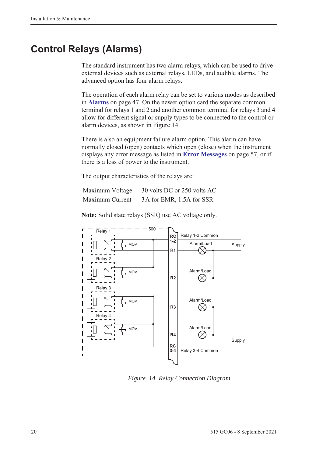# <span id="page-29-0"></span>**Control Relays (Alarms)**

The standard instrument has two alarm relays, which can be used to drive external devices such as external relays, LEDs, and audible alarms. The advanced option has four alarm relays.

The operation of each alarm relay can be set to various modes as described in **Alarms** [on page 47](#page-56-1). On the newer option card the separate common terminal for relays 1 and 2 and another common terminal for relays 3 and 4 allow for different signal or supply types to be connected to the control or alarm devices, as shown in [Figure 14.](#page-29-1)

There is also an equipment failure alarm option. This alarm can have normally closed (open) contacts which open (close) when the instrument displays any error message as listed in **[Error Messages](#page-66-2)** on page 57, or if there is a loss of power to the instrument.

The output characteristics of the relays are:

| Maximum Voltage | 30 volts DC or 250 volts AC |
|-----------------|-----------------------------|
| Maximum Current | 3A for EMR, 1.5A for SSR    |

**Note:** Solid state relays (SSR) use AC voltage only.



<span id="page-29-1"></span>*Figure 14 Relay Connection Diagram*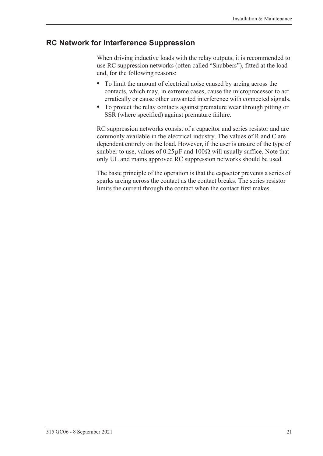### <span id="page-30-0"></span>**RC Network for Interference Suppression**

When driving inductive loads with the relay outputs, it is recommended to use RC suppression networks (often called "Snubbers"), fitted at the load end, for the following reasons:

- **•** To limit the amount of electrical noise caused by arcing across the contacts, which may, in extreme cases, cause the microprocessor to act erratically or cause other unwanted interference with connected signals.
- **•** To protect the relay contacts against premature wear through pitting or SSR (where specified) against premature failure.

RC suppression networks consist of a capacitor and series resistor and are commonly available in the electrical industry. The values of R and C are dependent entirely on the load. However, if the user is unsure of the type of snubber to use, values of  $0.25 \mu$ F and  $100 \Omega$  will usually suffice. Note that only UL and mains approved RC suppression networks should be used.

The basic principle of the operation is that the capacitor prevents a series of sparks arcing across the contact as the contact breaks. The series resistor limits the current through the contact when the contact first makes.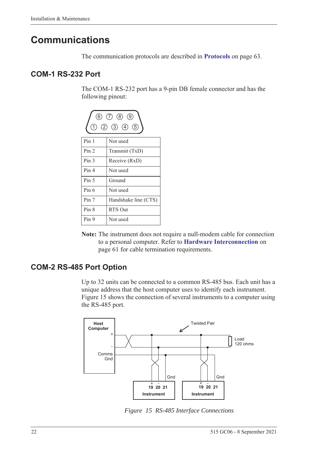# <span id="page-31-0"></span>**Communications**

The communication protocols are described in **Protocols** [on page 63.](#page-72-3)

### <span id="page-31-1"></span>**COM-1 RS-232 Port**

The COM-1 RS-232 port has a 9-pin DB female connector and has the following pinout:



**Note:** The instrument does not require a null-modem cable for connection to a personal computer. Refer to **[Hardware Interconnection](#page-70-4)** on [page 61](#page-70-4) for cable termination requirements.

# <span id="page-31-2"></span>**COM-2 RS-485 Port Option**

Up to 32 units can be connected to a common RS-485 bus. Each unit has a unique address that the host computer uses to identify each instrument. [Figure 15](#page-31-3) shows the connection of several instruments to a computer using the RS-485 port.



<span id="page-31-3"></span>*Figure 15 RS-485 Interface Connections*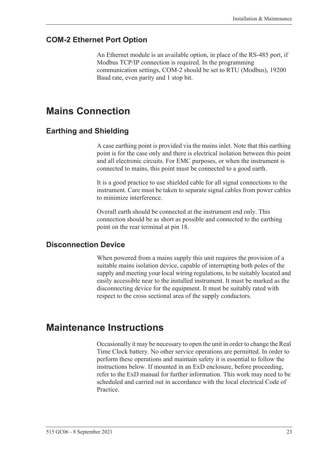### <span id="page-32-0"></span>**COM-2 Ethernet Port Option**

An Ethernet module is an available option, in place of the RS-485 port, if Modbus TCP/IP connection is required. In the programming communication settings, COM-2 should be set to RTU (Modbus), 19200 Baud rate, even parity and 1 stop bit.

# <span id="page-32-1"></span>**Mains Connection**

## <span id="page-32-2"></span>**Earthing and Shielding**

A case earthing point is provided via the mains inlet. Note that this earthing point is for the case only and there is electrical isolation between this point and all electronic circuits. For EMC purposes, or when the instrument is connected to mains, this point must be connected to a good earth.

It is a good practice to use shielded cable for all signal connections to the instrument. Care must be taken to separate signal cables from power cables to minimize interference.

Overall earth should be connected at the instrument end only. This connection should be as short as possible and connected to the earthing point on the rear terminal at pin 18.

### <span id="page-32-3"></span>**Disconnection Device**

When powered from a mains supply this unit requires the provision of a suitable mains isolation device, capable of interrupting both poles of the supply and meeting your local wiring regulations, to be suitably located and easily accessible near to the installed instrument. It must be marked as the disconnecting device for the equipment. It must be suitably rated with respect to the cross sectional area of the supply conductors.

# <span id="page-32-4"></span>**Maintenance Instructions**

Occasionally it may be necessary to open the unit in order to change the Real Time Clock battery. No other service operations are permitted. In order to perform these operations and maintain safety it is essential to follow the instructions below. If mounted in an ExD enclosure, before proceeding, refer to the ExD manual for further information. This work may need to be scheduled and carried out in accordance with the local electrical Code of Practice.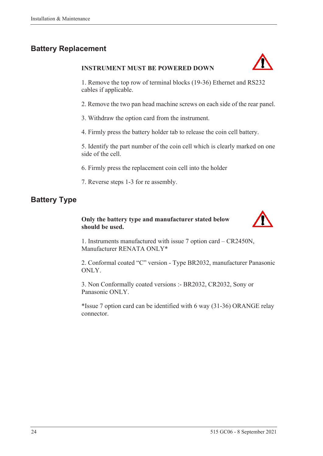# <span id="page-33-0"></span>**Battery Replacement**

### **INSTRUMENT MUST BE POWERED DOWN**



1. Remove the top row of terminal blocks (19-36) Ethernet and RS232 cables if applicable.

2. Remove the two pan head machine screws on each side of the rear panel.

3. Withdraw the option card from the instrument.

4. Firmly press the battery holder tab to release the coin cell battery.

5. Identify the part number of the coin cell which is clearly marked on one side of the cell.

6. Firmly press the replacement coin cell into the holder

7. Reverse steps 1-3 for re assembly.

# <span id="page-33-1"></span>**Battery Type**

### **Only the battery type and manufacturer stated below should be used.**



1. Instruments manufactured with issue 7 option card – CR2450N, Manufacturer RENATA ONLY\*

2. Conformal coated "C" version - Type BR2032, manufacturer Panasonic ONLY.

3. Non Conformally coated versions :- BR2032, CR2032, Sony or Panasonic ONLY.

\*Issue 7 option card can be identified with 6 way (31-36) ORANGE relay connector.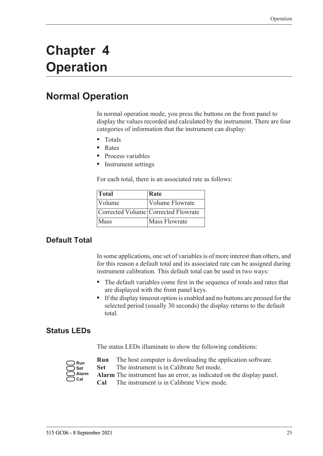# <span id="page-34-0"></span>**Chapter 4 Operation**

# <span id="page-34-1"></span>**Normal Operation**

In normal operation mode, you press the buttons on the front panel to display the values recorded and calculated by the instrument. There are four categories of information that the instrument can display:

- **•** Totals
- **•** Rates
- **•** Process variables
- **•** Instrument settings

For each total, there is an associated rate as follows:

| Total                       | Rate                                |
|-----------------------------|-------------------------------------|
| <i><u><b>Nolume</b></u></i> | Volume Flowrate                     |
|                             | Corrected Volume Corrected Flowrate |
| <i>Nass</i>                 | Mass Flowrate                       |

# <span id="page-34-2"></span>**Default Total**

In some applications, one set of variables is of more interest than others, and for this reason a default total and its associated rate can be assigned during instrument calibration. This default total can be used in two ways:

- **•** The default variables come first in the sequence of totals and rates that are displayed with the front panel keys.
- **•** If the display timeout option is enabled and no buttons are pressed for the selected period (usually 30 seconds) the display returns to the default total.

### <span id="page-34-3"></span>**Status LEDs**

The status LEDs illuminate to show the following conditions:

| Run   |
|-------|
| Set   |
| Alarm |
| :al   |

- **Run** The host computer is downloading the application software.
- **Set** The instrument is in Calibrate Set mode.
- **Alarm** The instrument has an error, as indicated on the display panel.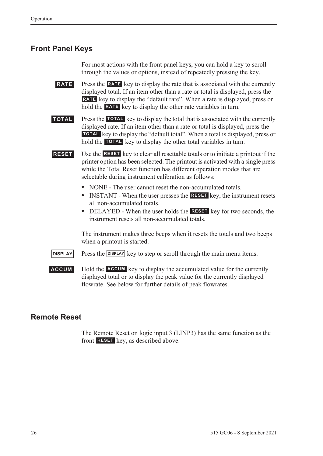# <span id="page-35-0"></span>**Front Panel Keys**

For most actions with the front panel keys, you can hold a key to scroll through the values or options, instead of repeatedly pressing the key.

**RATE** Press the **RATE** key to display the rate that is associated with the currently displayed total. If an item other than a rate or total is displayed, press the RATE key to display the "default rate". When a rate is displayed, press or hold the **RATE** key to display the other rate variables in turn.

**TOTAL** Press the TOTAL key to display the total that is associated with the currently displayed rate. If an item other than a rate or total is displayed, press the **TOTAL** key to display the "default total". When a total is displayed, press or hold the **TOTAL** key to display the other total variables in turn.

**RESET** Use the **RESET** key to clear all resettable totals or to initiate a printout if the printer option has been selected. The printout is activated with a single press while the Total Reset function has different operation modes that are selectable during instrument calibration as follows:

- NONE The user cannot reset the non-accumulated totals.
- INSTANT When the user presses the **RESET** key, the instrument resets all non-accumulated totals.
- DELAYED When the user holds the **RESET** key for two seconds, the instrument resets all non-accumulated totals.

The instrument makes three beeps when it resets the totals and two beeps when a printout is started.

**DISPLAY** Press the **DISPLAY** key to step or scroll through the main menu items.

**ACCUM** Hold the **ACCUM** key to display the accumulated value for the currently displayed total or to display the peak value for the currently displayed flowrate. See below for further details of peak flowrates.

### <span id="page-35-1"></span>**Remote Reset**

The Remote Reset on logic input 3 (LINP3) has the same function as the front **RESET** key, as described above.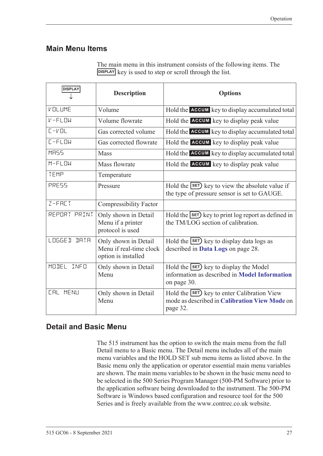### **Main Menu Items**

| <b>DISPLAY</b>  | <b>Description</b>                                                     | <b>Options</b>                                                                                                   |
|-----------------|------------------------------------------------------------------------|------------------------------------------------------------------------------------------------------------------|
| VOLUME          | Volume                                                                 | Hold the ACCUM key to display accumulated total                                                                  |
| $V$ -FLOW       | Volume flowrate                                                        | Hold the <b>ACCUM</b> key to display peak value                                                                  |
| $L - VDL$       | Gas corrected volume                                                   | Hold the ACCUM key to display accumulated total                                                                  |
| $L-FLDW$        | Gas corrected flowrate                                                 | Hold the <b>ACCUM</b> key to display peak value                                                                  |
| <b>MR55</b>     | <b>Mass</b>                                                            | Hold the ACCUM key to display accumulated total                                                                  |
| $M-FLDW$        | Mass flowrate                                                          | Hold the <b>ACCUM</b> key to display peak value                                                                  |
| TEMP            | Temperature                                                            |                                                                                                                  |
| PRESS           | Pressure                                                               | Hold the SET key to view the absolute value if<br>the type of pressure sensor is set to GAUGE.                   |
| $Z-FRET$        | <b>Compressibility Factor</b>                                          |                                                                                                                  |
| REPORT PRINT    | Only shown in Detail<br>Menu if a printer<br>protocol is used          | Hold the $\overline{\text{set}}$ key to print log report as defined in<br>the TM/LOG section of calibration.     |
| LOGGED DATA     | Only shown in Detail<br>Menu if real-time clock<br>option is installed | Hold the <b>SET</b> ) key to display data logs as<br>described in Data Logs on page 28.                          |
| MODEL INFO      | Only shown in Detail<br>Menu                                           | Hold the <b>SET</b> key to display the Model<br>information as described in Model Information<br>on page 30.     |
| <b>CAL MENU</b> | Only shown in Detail<br>Menu                                           | Hold the <b>SET</b> ) key to enter Calibration View<br>mode as described in Calibration View Mode on<br>page 32. |

The main menu in this instrument consists of the following items. The **DISPLAY** key is used to step or scroll through the list.

### **Detail and Basic Menu**

The 515 instrument has the option to switch the main menu from the full Detail menu to a Basic menu. The Detail menu includes all of the main menu variables and the HOLD SET sub menu items as listed above. In the Basic menu only the application or operator essential main menu variables are shown. The main menu variables to be shown in the basic menu need to be selected in the 500 Series Program Manager (500-PM Software) prior to the application software being downloaded to the instrument. The 500-PM Software is Windows based configuration and resource tool for the 500 Series and is freely available from the www.contrec.co.uk website.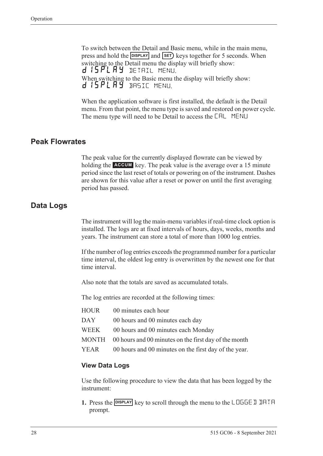To switch between the Detail and Basic menu, while in the main menu, press and hold the **DISPLAY** and **SET**) keys together for 5 seconds. When switching to the Detail menu the display will briefly show: d 15 PL A Y DETAIL MENU. When switching to the Basic menu the display will briefly show: d 15PLAY BASIC MENU.

When the application software is first installed, the default is the Detail menu. From that point, the menu type is saved and restored on power cycle. The menu type will need to be Detail to access the CAL MENU

#### **Peak Flowrates**

The peak value for the currently displayed flowrate can be viewed by holding the **ACCUM** key. The peak value is the average over a 15 minute period since the last reset of totals or powering on of the instrument. Dashes are shown for this value after a reset or power on until the first averaging period has passed.

#### <span id="page-37-0"></span>**Data Logs**

The instrument will log the main-menu variables if real-time clock option is installed. The logs are at fixed intervals of hours, days, weeks, months and years. The instrument can store a total of more than 1000 log entries.

If the number of log entries exceeds the programmed number for a particular time interval, the oldest log entry is overwritten by the newest one for that time interval.

Also note that the totals are saved as accumulated totals.

The log entries are recorded at the following times:

| HOUR | 00 minutes each hour                                        |
|------|-------------------------------------------------------------|
| DAY  | 00 hours and 00 minutes each day                            |
| WEEK | 00 hours and 00 minutes each Monday                         |
|      | MONTH 00 hours and 00 minutes on the first day of the month |
| YEAR | 00 hours and 00 minutes on the first day of the year.       |

#### **View Data Logs**

Use the following procedure to view the data that has been logged by the instrument:

**1.** Press the **DISPLAY** key to scroll through the menu to the LOGGE D DATA prompt.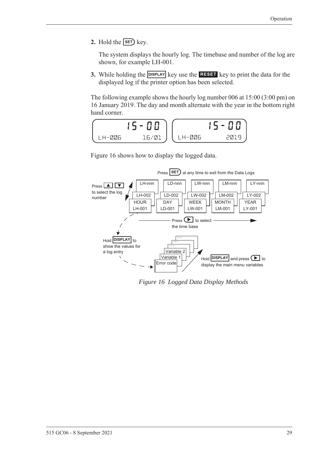**2.** Hold the  $\overline{\text{SET}}$  key.

The system displays the hourly log. The timebase and number of the log are shown, for example LH-001.

**3.** While holding the **DISPLAY** key use the **RESET** key to print the data for the displayed log if the printer option has been selected.

The following example shows the hourly log number 006 at 15:00 (3:00 pm) on 16 January 2019. The day and month alternate with the year in the bottom right hand corner.



[Figure 16](#page-38-0) shows how to display the logged data.



<span id="page-38-0"></span>*Figure 16 Logged Data Display Methods*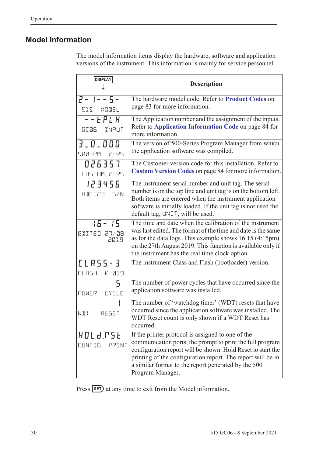## <span id="page-39-1"></span><span id="page-39-0"></span>**Model Information**

The model information items display the hardware, software and application versions of the instrument. This information is mainly for service personnel.

| <b>DISPLAY</b>                     | <b>Description</b>                                                                                                                                                                                                                                                                                                      |
|------------------------------------|-------------------------------------------------------------------------------------------------------------------------------------------------------------------------------------------------------------------------------------------------------------------------------------------------------------------------|
| $2 - 1 - 5 -$<br>515 MODEL         | The hardware model code. Refer to Product Codes on<br>page 83 for more information.                                                                                                                                                                                                                                     |
| $ EPLH$<br>GE06 INPUT              | The Application number and the assignment of the inputs.<br>Refer to Application Information Code on page 84 for<br>more information.                                                                                                                                                                                   |
| 3.0.000<br>SØØ-PM VERS             | The version of 500-Series Program Manager from which<br>the application software was compiled.                                                                                                                                                                                                                          |
| 026357<br>CUSTOM VERS              | The Customer version code for this installation. Refer to<br><b>Custom Version Codes on page 84 for more information.</b>                                                                                                                                                                                               |
| 123456<br>RBE123 5/N               | The instrument serial number and unit tag. The serial<br>number is on the top line and unit tag is on the bottom left.<br>Both items are entered when the instrument application<br>software is initially loaded. If the unit tag is not used the<br>default tag, UNIT, will be used.                                   |
| $15 - 15$<br>EDITED 27/08<br>2019  | The time and date when the calibration of the instrument<br>was last edited. The format of the time and date is the same<br>as for the data logs. This example shows $16:15$ (4:15pm)<br>on the 27th August 2019. This function is available only if<br>the instrument has the real time clock option.                  |
| [LA55-3<br>FLASH<br>$V - Q19$      | The instrument Class and Flash (bootloader) version.                                                                                                                                                                                                                                                                    |
| 5<br><b>CYCLE</b><br>POWER         | The number of power cycles that have occurred since the<br>application software was installed.                                                                                                                                                                                                                          |
| WIT<br>RESET                       | The number of 'watchdog timer' (WDT) resets that have<br>occurred since the application software was installed. The<br>WDT Reset count is only shown if a WDT Reset has<br>occurred.                                                                                                                                    |
| HOLd.PSE<br><b>CONFIG</b><br>PRINT | If the printer protocol is assigned to one of the<br>communication ports, the prompt to print the full program<br>configuration report will be shown. Hold Reset to start the<br>printing of the configuration report. The report will be in<br>a similar format to the report generated by the 500<br>Program Manager. |

Press **SET**) at any time to exit from the Model information.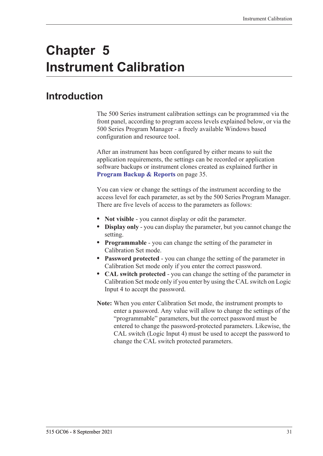# **Chapter 5 Instrument Calibration**

## **Introduction**

The 500 Series instrument calibration settings can be programmed via the front panel, according to program access levels explained below, or via the 500 Series Program Manager - a freely available Windows based configuration and resource tool.

After an instrument has been configured by either means to suit the application requirements, the settings can be recorded or application software backups or instrument clones created as explained further in **[Program Backup & Reports](#page-44-0)** on page 35.

You can view or change the settings of the instrument according to the access level for each parameter, as set by the 500 Series Program Manager. There are five levels of access to the parameters as follows:

- **• Not visible** you cannot display or edit the parameter.
- **• Display only** you can display the parameter, but you cannot change the setting.
- **• Programmable** you can change the setting of the parameter in Calibration Set mode.
- **• Password protected** you can change the setting of the parameter in Calibration Set mode only if you enter the correct password.
- **• CAL switch protected**  you can change the setting of the parameter in Calibration Set mode only if you enter by using the CAL switch on Logic Input 4 to accept the password.
- **Note:** When you enter Calibration Set mode, the instrument prompts to enter a password. Any value will allow to change the settings of the "programmable" parameters, but the correct password must be entered to change the password-protected parameters. Likewise, the CAL switch (Logic Input 4) must be used to accept the password to change the CAL switch protected parameters.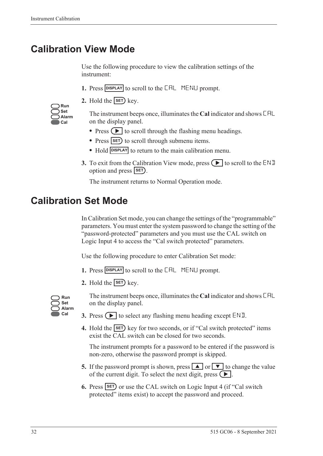## <span id="page-41-0"></span>**Calibration View Mode**

Use the following procedure to view the calibration settings of the instrument:

- 1. Press **DISPLAY** to scroll to the **CAL** MENLI prompt.
- **2.** Hold the  $\overline{\text{SET}}$  key.

| Run   |
|-------|
| Set   |
| Alarm |
| Cal   |

The instrument beeps once, illuminates the **Cal** indicator and shows CAL on the display panel.

- Press  $\left( \blacktriangleright \right)$  to scroll through the flashing menu headings.
- Press **SET**) to scroll through submenu items.
- Hold **DISPLAY** to return to the main calibration menu.
- **3.** To exit from the Calibration View mode, press  $\Box$  to scroll to the END option and press **SET**).

The instrument returns to Normal Operation mode.

## **Calibration Set Mode**

In Calibration Set mode, you can change the settings of the "programmable" parameters. You must enter the system password to change the setting of the "password-protected" parameters and you must use the CAL switch on Logic Input 4 to access the "Cal switch protected" parameters.

Use the following procedure to enter Calibration Set mode:

- **1.** Press **DISPLAY** to scroll to the **CAL** MENLI prompt.
- **2.** Hold the  $\overline{\text{SET}}$  key.



The instrument beeps once, illuminates the **Cal** indicator and shows CAL on the display panel.

- **3.** Press  $\left( \blacktriangleright \right)$  to select any flashing menu heading except END.
- **4.** Hold the **SET** key for two seconds, or if "Cal switch protected" items exist the CAL switch can be closed for two seconds.

The instrument prompts for a password to be entered if the password is non-zero, otherwise the password prompt is skipped.

- **5.** If the password prompt is shown, press  $\boxed{\blacktriangle}$  or  $\boxed{\blacktriangledown}$  to change the value of the current digit. To select the next digit, press  $\left( \blacktriangleright \right)$ .
- **6.** Press **SET** or use the CAL switch on Logic Input 4 (if "Cal switch protected" items exist) to accept the password and proceed.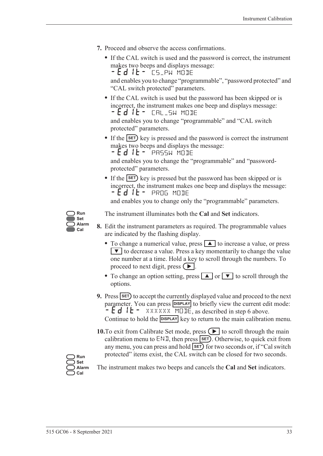- **7.** Proceed and observe the access confirmations.
	- **•** If the CAL switch is used and the password is correct, the instrument makes two beeps and displays message: - Ed IL - CS\_PW MODE

and enables you to change "programmable", "password protected" and "CAL switch protected" parameters.

**•** If the CAL switch is used but the password has been skipped or is incorrect, the instrument makes one beep and displays message: -EDIT- CAL\_SW MODE

and enables you to change "programmable" and "CAL switch protected" parameters.

• If the **SET**) key is pressed and the password is correct the instrument makes two beeps and displays the message:

 $-Ed$  it - PASSW MODE

and enables you to change the "programmable" and "passwordprotected" parameters.

• If the **SET**) key is pressed but the password has been skipped or is incorrect, the instrument makes one beep and displays the message: -EDIT- PROG MODE

and enables you to change only the "programmable" parameters.



The instrument illuminates both the **Cal** and **Set** indicators.

- **8.** Edit the instrument parameters as required. The programmable values are indicated by the flashing display.
	- To change a numerical value, press **A** to increase a value, or press  $\blacktriangledown$  to decrease a value. Press a key momentarily to change the value one number at a time. Hold a key to scroll through the numbers. To proceed to next digit, press  $( \blacktriangleright ).$
	- To change an option setting, press **A** or **V** to scroll through the options.
- **9.** Press **SET** to accept the currently displayed value and proceed to the next parameter. You can press **DISPLAY** to briefly view the current edit mode:  $\div$  E d I E – XXXXXX MODE, as described in step 6 above. Continue to hold the **DISPLAY** key to return to the main calibration menu.
- **10.**To exit from Calibrate Set mode, press  $\left( \blacktriangleright \right)$  to scroll through the main calibration menu to  $ENI$ , then press  $SET$ . Otherwise, to quick exit from any menu, you can press and hold **SET** for two seconds or, if "Cal switch protected" items exist, the CAL switch can be closed for two seconds.

**Run Set Alarm Cal**

The instrument makes two beeps and cancels the **Cal** and **Set** indicators.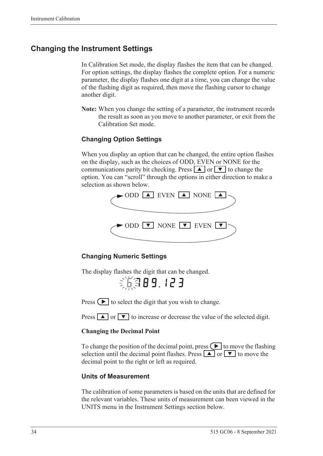### **Changing the Instrument Settings**

In Calibration Set mode, the display flashes the item that can be changed. For option settings, the display flashes the complete option. For a numeric parameter, the display flashes one digit at a time, you can change the value of the flashing digit as required, then move the flashing cursor to change another digit.

**Note:** When you change the setting of a parameter, the instrument records the result as soon as you move to another parameter, or exit from the Calibration Set mode.

#### **Changing Option Settings**

When you display an option that can be changed, the entire option flashes on the display, such as the choices of ODD, EVEN or NONE for the communications parity bit checking. Press  $\boxed{\blacktriangle}$  or  $\boxed{\blacktriangledown}$  to change the option. You can "scroll" through the options in either direction to make a selection as shown below.



#### **Changing Numeric Settings**

The display flashes the digit that can be changed.

第第89.123

Press  $\left( \blacktriangleright \right)$  to select the digit that you wish to change.

Press  $\boxed{\blacktriangle}$  or  $\boxed{\blacktriangledown}$  to increase or decrease the value of the selected digit.

#### **Changing the Decimal Point**

To change the position of the decimal point, press  $\Box$  to move the flashing selection until the decimal point flashes. Press  $\boxed{\blacktriangle}$  or  $\boxed{\blacktriangledown}$  to move the decimal point to the right or left as required.

#### **Units of Measurement**

The calibration of some parameters is based on the units that are defined for the relevant variables. These units of measurement can been viewed in the UNITS menu in the Instrument Settings section below.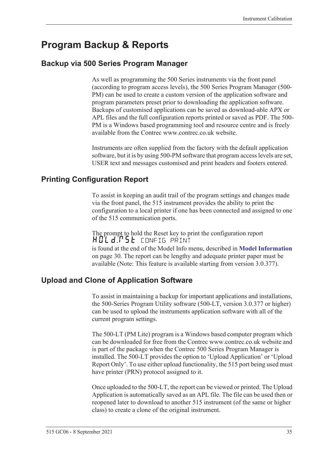## <span id="page-44-0"></span>**Program Backup & Reports**

### **Backup via 500 Series Program Manager**

As well as programming the 500 Series instruments via the front panel (according to program access levels), the 500 Series Program Manager (500- PM) can be used to create a custom version of the application software and program parameters preset prior to downloading the application software. Backups of customised applications can be saved as download-able APX or APL files and the full configuration reports printed or saved as PDF. The 500- PM is a Windows based programming tool and resource centre and is freely available from the Contrec www.contrec.co.uk website.

Instruments are often supplied from the factory with the default application software, but it is by using 500-PM software that program access levels are set, USER text and messages customised and print headers and footers entered.

### **Printing Configuration Report**

To assist in keeping an audit trail of the program settings and changes made via the front panel, the 515 instrument provides the ability to print the configuration to a local printer if one has been connected and assigned to one of the 515 communication ports.

The prompt to hold the Reset key to print the configuration report HOLd:P5E config print is found at the end of the Model Info menu, described in **[Model Information](#page-39-1)** [on page 30](#page-39-1). The report can be lengthy and adequate printer paper must be available (Note: This feature is available starting from version 3.0.377).

### **Upload and Clone of Application Software**

To assist in maintaining a backup for important applications and installations, the 500-Series Program Utility software (500-LT, version 3.0.377 or higher) can be used to upload the instruments application software with all of the current program settings.

The 500-LT (PM Lite) program is a Windows based computer program which can be downloaded for free from the Contrec www.contrec.co.uk website and is part of the package when the Contrec 500 Series Program Manager is installed. The 500-LT provides the option to 'Upload Application' or 'Upload Report Only'. To use either upload functionality, the 515 port being used must have printer (PRN) protocol assigned to it.

Once uploaded to the 500-LT, the report can be viewed or printed. The Upload Application is automatically saved as an APL file. The file can be used then or reopened later to download to another 515 instrument (of the same or higher class) to create a clone of the original instrument.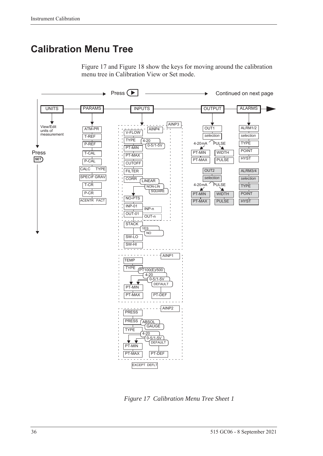## **Calibration Menu Tree**

[Figure 17](#page-45-0) and [Figure 18](#page-46-0) show the keys for moving around the calibration menu tree in Calibration View or Set mode.



<span id="page-45-0"></span>*Figure 17 Calibration Menu Tree Sheet 1*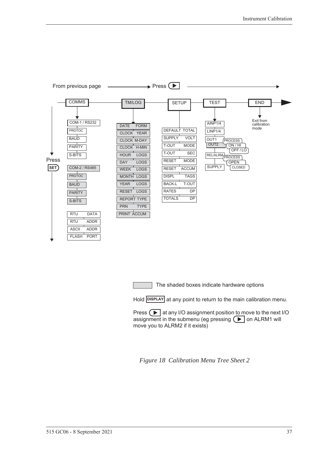

The shaded boxes indicate hardware options

Hold **DISPLAY** at any point to return to the main calibration menu.

Press  $\Box$  at any I/O assignment position to move to the next I/O assignment in the submenu (eg pressing  $\left( \blacktriangleright \right)$  on ALRM1 will move you to ALRM2 if it exists)

<span id="page-46-0"></span>*Figure 18 Calibration Menu Tree Sheet 2*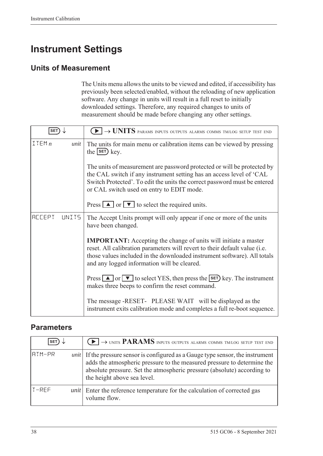## **Instrument Settings**

### **Units of Measurement**

The Units menu allows the units to be viewed and edited, if accessibility has previously been selected/enabled, without the reloading of new application software. Any change in units will result in a full reset to initially downloaded settings. Therefore, any required changes to units of measurement should be made before changing any other settings.

| <b>SET</b>                | $\blacktriangleright$ $\rightarrow$ UNITS params inputs outputs alarms comms tm/log setup test end                                                                                                                                                                              |  |
|---------------------------|---------------------------------------------------------------------------------------------------------------------------------------------------------------------------------------------------------------------------------------------------------------------------------|--|
| ITER <sub>n</sub><br>unit | The units for main menu or calibration items can be viewed by pressing<br>the $\left  \text{set} \right $ key.                                                                                                                                                                  |  |
|                           | The units of measurement are password protected or will be protected by<br>the CAL switch if any instrument setting has an access level of 'CAL<br>Switch Protected'. To edit the units the correct password must be entered<br>or CAL switch used on entry to EDIT mode.       |  |
|                           | Press $\boxed{\blacktriangle}$ or $\boxed{\blacktriangledown}$ to select the required units.                                                                                                                                                                                    |  |
| <b>ACCEPT</b><br>LINIT5   | The Accept Units prompt will only appear if one or more of the units<br>have been changed.                                                                                                                                                                                      |  |
|                           | <b>IMPORTANT:</b> Accepting the change of units will initiate a master<br>reset. All calibration parameters will revert to their default value (i.e.<br>those values included in the downloaded instrument software). All totals<br>and any logged information will be cleared. |  |
|                           | Press $\Box$ or $\nabla$ to select YES, then press the <b>SET</b> ) key. The instrument<br>makes three beeps to confirm the reset command.                                                                                                                                      |  |
|                           | The message -RESET- PLEASE WAIT will be displayed as the<br>instrument exits calibration mode and completes a full re-boot sequence.                                                                                                                                            |  |

### **Parameters**

| <b>SET</b> |      | $\left(\blacktriangleright\right)\rightarrow$ units PARAMS inputs outputs alarms comms tm/log setup test end                                                                                                                                                            |
|------------|------|-------------------------------------------------------------------------------------------------------------------------------------------------------------------------------------------------------------------------------------------------------------------------|
| IATM-PR    |      | $unit$ If the pressure sensor is configured as a Gauge type sensor, the instrument<br>adds the atmospheric pressure to the measured pressure to determine the<br>absolute pressure. Set the atmospheric pressure (absolute) according to<br>the height above sea level. |
| $T-RFF$    | unit | Enter the reference temperature for the calculation of corrected gas<br>volume flow.                                                                                                                                                                                    |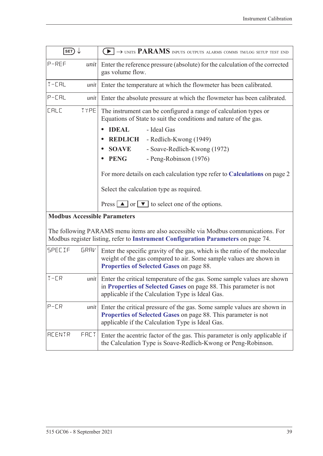| SET)                                | $\blacktriangleright$ $\rightarrow$ units PARAMS inputs outputs alarms comms tm/log setup test end                                                                                                   |  |
|-------------------------------------|------------------------------------------------------------------------------------------------------------------------------------------------------------------------------------------------------|--|
| P-REF<br>unit                       | Enter the reference pressure (absolute) for the calculation of the corrected<br>gas volume flow.                                                                                                     |  |
| $T - L H$<br>unit                   | Enter the temperature at which the flowmeter has been calibrated.                                                                                                                                    |  |
| $P-CHL$<br>unit                     | Enter the absolute pressure at which the flowmeter has been calibrated.                                                                                                                              |  |
| <b>CALC</b><br><b>TYPE</b>          | The instrument can be configured a range of calculation types or<br>Equations of State to suit the conditions and nature of the gas.                                                                 |  |
|                                     | <b>IDEAL</b><br>- Ideal Gas                                                                                                                                                                          |  |
|                                     | <b>REDLICH</b> - Redlich-Kwong (1949)                                                                                                                                                                |  |
|                                     | <b>SOAVE</b><br>- Soave-Redlich-Kwong (1972)                                                                                                                                                         |  |
|                                     | <b>PENG</b><br>- Peng-Robinson (1976)                                                                                                                                                                |  |
|                                     | For more details on each calculation type refer to <b>Calculations</b> on page 2                                                                                                                     |  |
|                                     | Select the calculation type as required.                                                                                                                                                             |  |
|                                     | Press $\boxed{\blacktriangle}$ or $\boxed{\blacktriangledown}$ to select one of the options.                                                                                                         |  |
| <b>Modbus Accessible Parameters</b> |                                                                                                                                                                                                      |  |
|                                     | The following PARAMS menu items are also accessible via Modbus communications. For<br>Modbus register listing, refer to Instrument Configuration Parameters on page 74.                              |  |
| SPECIF<br><b>GRAV</b>               | Enter the specific gravity of the gas, which is the ratio of the molecular<br>weight of the gas compared to air. Some sample values are shown in<br>Properties of Selected Gases on page 88.         |  |
| $T - \square R$<br>unit             | Enter the critical temperature of the gas. Some sample values are shown<br>in Properties of Selected Gases on page 88. This parameter is not<br>applicable if the Calculation Type is Ideal Gas.     |  |
| $P-LR$<br>unit                      | Enter the critical pressure of the gas. Some sample values are shown in<br><b>Properties of Selected Gases on page 88. This parameter is not</b><br>applicable if the Calculation Type is Ideal Gas. |  |
| <b>REENTR</b><br>FACT               | Enter the acentric factor of the gas. This parameter is only applicable if<br>the Calculation Type is Soave-Redlich-Kwong or Peng-Robinson.                                                          |  |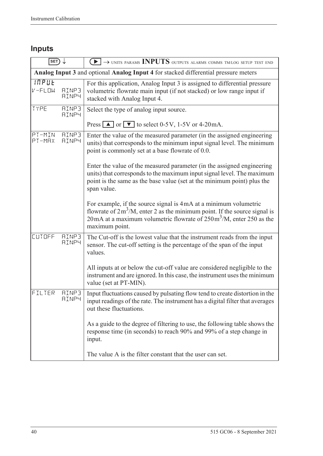## **Inputs**

| SET)               |                              | $\rightarrow$ UNITS PARAMS INPUTS OUTPUTS ALARMS COMMS TM/LOG SETUP TEST END                                                                                                                                                                                 |
|--------------------|------------------------------|--------------------------------------------------------------------------------------------------------------------------------------------------------------------------------------------------------------------------------------------------------------|
|                    |                              | Analog Input 3 and optional Analog Input 4 for stacked differential pressure meters                                                                                                                                                                          |
| INPUE<br>$V$ -FLOW | <b>AINP3</b><br><b>AINP4</b> | For this application, Analog Input 3 is assigned to differential pressure<br>volumetric flowrate main input (if not stacked) or low range input if<br>stacked with Analog Input 4.                                                                           |
| TYPE               | <b>AINP3</b><br><b>AINP4</b> | Select the type of analog input source.                                                                                                                                                                                                                      |
|                    |                              | Press $\boxed{\blacktriangle}$ or $\boxed{\blacktriangledown}$ to select 0-5V, 1-5V or 4-20mA.                                                                                                                                                               |
| PT-MIN<br>PT-MAX   | <b>AINP3</b><br><b>AINP4</b> | Enter the value of the measured parameter (in the assigned engineering<br>units) that corresponds to the minimum input signal level. The minimum<br>point is commonly set at a base flowrate of 0.0.                                                         |
|                    |                              | Enter the value of the measured parameter (in the assigned engineering<br>units) that corresponds to the maximum input signal level. The maximum<br>point is the same as the base value (set at the minimum point) plus the<br>span value.                   |
|                    |                              | For example, if the source signal is 4mA at a minimum volumetric<br>flowrate of $2m3/M$ , enter 2 as the minimum point. If the source signal is<br>20 mA at a maximum volumetric flowrate of $250 \text{ m}^3/\text{M}$ , enter 250 as the<br>maximum point. |
| CUTOFF             | <b>AINP3</b><br><b>AINP4</b> | The Cut-off is the lowest value that the instrument reads from the input<br>sensor. The cut-off setting is the percentage of the span of the input<br>values.                                                                                                |
|                    |                              | All inputs at or below the cut-off value are considered negligible to the<br>instrument and are ignored. In this case, the instrument uses the minimum<br>value (set at PT-MIN).                                                                             |
| FILTER             | <b>AINP3</b><br><b>AINP4</b> | Input fluctuations caused by pulsating flow tend to create distortion in the<br>input readings of the rate. The instrument has a digital filter that averages<br>out these fluctuations.                                                                     |
|                    |                              | As a guide to the degree of filtering to use, the following table shows the<br>response time (in seconds) to reach 90% and 99% of a step change in<br>input.                                                                                                 |
|                    |                              | The value A is the filter constant that the user can set.                                                                                                                                                                                                    |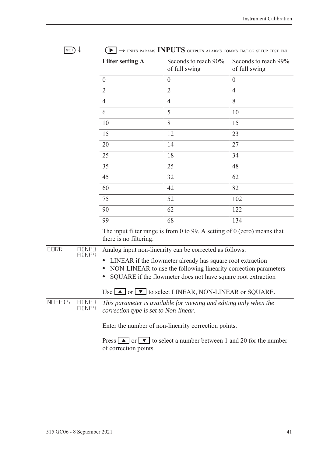| SET)                                        |                                       | $\blacktriangleright$ $\rightarrow$ units params INPUTS outputs alarms comms tm/log setup test end                                                                                                                                                                            |                                       |
|---------------------------------------------|---------------------------------------|-------------------------------------------------------------------------------------------------------------------------------------------------------------------------------------------------------------------------------------------------------------------------------|---------------------------------------|
|                                             | <b>Filter setting A</b>               | Seconds to reach 90%<br>of full swing                                                                                                                                                                                                                                         | Seconds to reach 99%<br>of full swing |
|                                             | $\overline{0}$                        | $\overline{0}$                                                                                                                                                                                                                                                                | $\overline{0}$                        |
|                                             | $\overline{2}$                        | $\overline{2}$                                                                                                                                                                                                                                                                | $\overline{4}$                        |
|                                             | $\overline{4}$                        | $\overline{4}$                                                                                                                                                                                                                                                                | 8                                     |
|                                             | 6                                     | 5                                                                                                                                                                                                                                                                             | 10                                    |
|                                             | 10                                    | 8                                                                                                                                                                                                                                                                             | 15                                    |
|                                             | 15                                    | 12                                                                                                                                                                                                                                                                            | 23                                    |
|                                             | 20                                    | 14                                                                                                                                                                                                                                                                            | 27                                    |
|                                             | 25                                    | 18                                                                                                                                                                                                                                                                            | 34                                    |
|                                             | 35                                    | 25                                                                                                                                                                                                                                                                            | 48                                    |
|                                             | 45                                    | 32                                                                                                                                                                                                                                                                            | 62                                    |
|                                             | 60                                    | 42                                                                                                                                                                                                                                                                            | 82                                    |
|                                             | 75                                    | 52                                                                                                                                                                                                                                                                            | 102                                   |
|                                             | 90                                    | 62                                                                                                                                                                                                                                                                            | 122                                   |
|                                             | 99                                    | 68                                                                                                                                                                                                                                                                            | 134                                   |
|                                             | there is no filtering.                | The input filter range is from 0 to 99. A setting of $0$ (zero) means that                                                                                                                                                                                                    |                                       |
| <b>AINP3</b><br><b>CORR</b><br><b>AINP4</b> |                                       | Analog input non-linearity can be corrected as follows:                                                                                                                                                                                                                       |                                       |
|                                             |                                       | LINEAR if the flowmeter already has square root extraction<br>NON-LINEAR to use the following linearity correction parameters<br>SQUARE if the flowmeter does not have square root extraction<br>Use $\blacksquare$ or $\blacksquare$ to select LINEAR, NON-LINEAR or SQUARE. |                                       |
| NO-PT5<br>RINP3<br><b>AINP4</b>             | correction type is set to Non-linear. | This parameter is available for viewing and editing only when the                                                                                                                                                                                                             |                                       |
|                                             |                                       | Enter the number of non-linearity correction points.                                                                                                                                                                                                                          |                                       |
|                                             | of correction points.                 | Press $\boxed{\blacktriangle}$ or $\boxed{\blacktriangledown}$ to select a number between 1 and 20 for the number                                                                                                                                                             |                                       |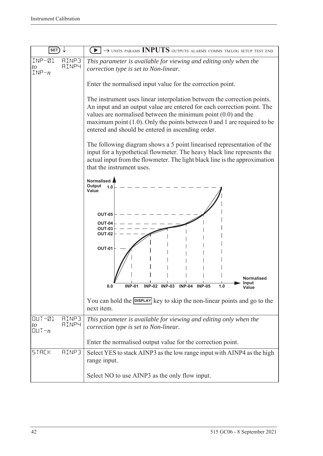| <b>SET</b>                                                          | $\rightarrow$ units params INPUTS outputs alarms comms tm/log setup test end                                                                                                                                                                                                                                                                             |  |  |
|---------------------------------------------------------------------|----------------------------------------------------------------------------------------------------------------------------------------------------------------------------------------------------------------------------------------------------------------------------------------------------------------------------------------------------------|--|--|
| INP-01<br>RINP3<br><b>AINP4</b><br>to<br>$INP - n$                  | This parameter is available for viewing and editing only when the<br>correction type is set to Non-linear.                                                                                                                                                                                                                                               |  |  |
|                                                                     | Enter the normalised input value for the correction point.                                                                                                                                                                                                                                                                                               |  |  |
|                                                                     | The instrument uses linear interpolation between the correction points.<br>An input and an output value are entered for each correction point. The<br>values are normalised between the minimum point $(0.0)$ and the<br>maximum point $(1.0)$ . Only the points between 0 and 1 are required to be<br>entered and should be entered in ascending order. |  |  |
|                                                                     | The following diagram shows a 5 point linearised representation of the<br>input for a hypothetical flowmeter. The heavy black line represents the<br>actual input from the flowmeter. The light black line is the approximation<br>that the instrument uses.                                                                                             |  |  |
|                                                                     | Normalised<br>Output<br>1.0<br>Value                                                                                                                                                                                                                                                                                                                     |  |  |
|                                                                     | <b>OUT-05</b><br>OUT-04                                                                                                                                                                                                                                                                                                                                  |  |  |
|                                                                     | <b>OUT-03</b><br><b>OUT-02</b>                                                                                                                                                                                                                                                                                                                           |  |  |
|                                                                     | <b>OUT-01</b>                                                                                                                                                                                                                                                                                                                                            |  |  |
|                                                                     | <b>Normalised</b><br>Input<br><b>INP-02 INP-03</b><br>$INP-04$<br><b>INP-05</b><br><b>INP-01</b><br>1.0<br>0.0                                                                                                                                                                                                                                           |  |  |
|                                                                     | You can hold the <b>DISPLAY</b> key to skip the non-linear points and go to the<br>next item.                                                                                                                                                                                                                                                            |  |  |
| $OUT-21$<br><b>AINP3</b><br><b>AINP4</b><br>to<br>$[[] \cup T - n]$ | This parameter is available for viewing and editing only when the<br>correction type is set to Non-linear.                                                                                                                                                                                                                                               |  |  |
|                                                                     | Enter the normalised output value for the correction point.                                                                                                                                                                                                                                                                                              |  |  |
| <b>AINP3</b><br><b>STACK</b>                                        | Select YES to stack AINP3 as the low range input with AINP4 as the high<br>range input.                                                                                                                                                                                                                                                                  |  |  |
|                                                                     | Select NO to use AINP3 as the only flow input.                                                                                                                                                                                                                                                                                                           |  |  |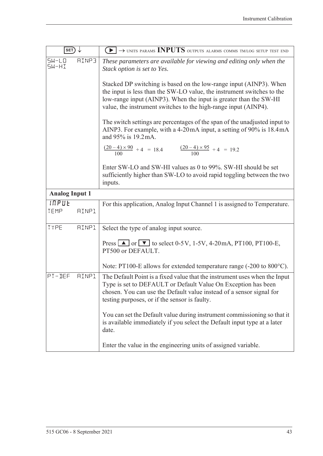| $ $ SET $)$                                                 | $\blacktriangleright$ $\rightarrow$ units params INPUTS outputs alarms comms tm/log setup test end                                                                                                                                                                                   |
|-------------------------------------------------------------|--------------------------------------------------------------------------------------------------------------------------------------------------------------------------------------------------------------------------------------------------------------------------------------|
| <b>AINP3</b><br>$5W - L$ <sup><math>0</math></sup><br>SW-HI | These parameters are available for viewing and editing only when the<br>Stack option is set to Yes.                                                                                                                                                                                  |
|                                                             | Stacked DP switching is based on the low-range input (AINP3). When<br>the input is less than the SW-LO value, the instrument switches to the<br>low-range input (AINP3). When the input is greater than the SW-HI<br>value, the instrument switches to the high-range input (AINP4). |
|                                                             | The switch settings are percentages of the span of the unadjusted input to<br>AINP3. For example, with a 4-20mA input, a setting of 90% is 18.4mA<br>and 95% is 19.2 mA.                                                                                                             |
|                                                             | $\frac{(20-4)\times 90}{100} + 4 = 18.4$ $\frac{(20-4)\times 95}{100} + 4 = 19.2$                                                                                                                                                                                                    |
|                                                             | Enter SW-LO and SW-HI values as 0 to 99%. SW-HI should be set<br>sufficiently higher than SW-LO to avoid rapid toggling between the two<br>inputs.                                                                                                                                   |
| <b>Analog Input 1</b>                                       |                                                                                                                                                                                                                                                                                      |
| INPUE<br>TEMP<br><b>AINP1</b>                               | For this application, Analog Input Channel 1 is assigned to Temperature.                                                                                                                                                                                                             |
| TYPE<br><b>AINP1</b>                                        | Select the type of analog input source.                                                                                                                                                                                                                                              |
|                                                             | Press $\blacksquare$ or $\blacksquare$ to select 0-5V, 1-5V, 4-20mA, PT100, PT100-E,<br>PT500 or DEFAULT.                                                                                                                                                                            |
|                                                             | Note: PT100-E allows for extended temperature range (-200 to 800°C).                                                                                                                                                                                                                 |
| PT-DEF<br><b>AINP1</b>                                      | The Default Point is a fixed value that the instrument uses when the Input<br>Type is set to DEFAULT or Default Value On Exception has been<br>chosen. You can use the Default value instead of a sensor signal for<br>testing purposes, or if the sensor is faulty.                 |
|                                                             | You can set the Default value during instrument commissioning so that it<br>is available immediately if you select the Default input type at a later<br>date.                                                                                                                        |
|                                                             | Enter the value in the engineering units of assigned variable.                                                                                                                                                                                                                       |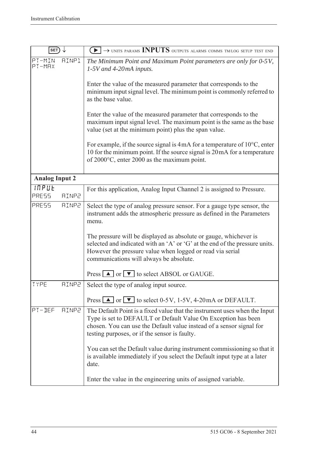| SET                   |              | $\blacktriangleright$ $\rightarrow$ units params INPUTS outputs alarms comms tmlog setup test end                                                                                                                                                                    |
|-----------------------|--------------|----------------------------------------------------------------------------------------------------------------------------------------------------------------------------------------------------------------------------------------------------------------------|
| PT-MIN<br>PT-MRX      | AINP1        | The Minimum Point and Maximum Point parameters are only for 0-5V,<br>$1-5V$ and 4-20mA inputs.                                                                                                                                                                       |
|                       |              | Enter the value of the measured parameter that corresponds to the<br>minimum input signal level. The minimum point is commonly referred to<br>as the base value.                                                                                                     |
|                       |              | Enter the value of the measured parameter that corresponds to the<br>maximum input signal level. The maximum point is the same as the base<br>value (set at the minimum point) plus the span value.                                                                  |
|                       |              | For example, if the source signal is $4mA$ for a temperature of $10^{\circ}$ C, enter<br>10 for the minimum point. If the source signal is 20 mA for a temperature<br>of 2000°C, enter 2000 as the maximum point.                                                    |
| <b>Analog Input 2</b> |              |                                                                                                                                                                                                                                                                      |
| <b>INPUE</b><br>PRESS | <b>AINP2</b> | For this application, Analog Input Channel 2 is assigned to Pressure.                                                                                                                                                                                                |
| PRESS                 | <b>AINP2</b> | Select the type of analog pressure sensor. For a gauge type sensor, the<br>instrument adds the atmospheric pressure as defined in the Parameters<br>menu.                                                                                                            |
|                       |              | The pressure will be displayed as absolute or gauge, whichever is<br>selected and indicated with an 'A' or 'G' at the end of the pressure units.<br>However the pressure value when logged or read via serial<br>communications will always be absolute.             |
|                       |              | Press $\boxed{\blacktriangle}$ or $\boxed{\blacktriangledown}$ to select ABSOL or GAUGE.                                                                                                                                                                             |
| TYPE                  | SANTR        | Select the type of analog input source.                                                                                                                                                                                                                              |
|                       |              | Press $\Box$ or $\nabla$ to select 0-5V, 1-5V, 4-20mA or DEFAULT.                                                                                                                                                                                                    |
| PT-DEF                | <b>AINP2</b> | The Default Point is a fixed value that the instrument uses when the Input<br>Type is set to DEFAULT or Default Value On Exception has been<br>chosen. You can use the Default value instead of a sensor signal for<br>testing purposes, or if the sensor is faulty. |
|                       |              | You can set the Default value during instrument commissioning so that it<br>is available immediately if you select the Default input type at a later<br>date.                                                                                                        |
|                       |              | Enter the value in the engineering units of assigned variable.                                                                                                                                                                                                       |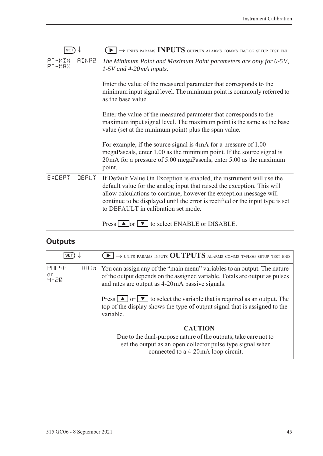| <b>SET</b>                       | $\rightarrow$ UNITS PARAMS INPUTS OUTPUTS ALARMS COMMS TM/LOG SETUP TEST END                                                                                                                                                                                                                                                                    |
|----------------------------------|-------------------------------------------------------------------------------------------------------------------------------------------------------------------------------------------------------------------------------------------------------------------------------------------------------------------------------------------------|
| PT-MIN<br><b>AINP2</b><br>PT-MAX | The Minimum Point and Maximum Point parameters are only for 0-5V,<br>$1-5V$ and 4-20mA inputs.                                                                                                                                                                                                                                                  |
|                                  | Enter the value of the measured parameter that corresponds to the<br>minimum input signal level. The minimum point is commonly referred to<br>as the base value.                                                                                                                                                                                |
|                                  | Enter the value of the measured parameter that corresponds to the<br>maximum input signal level. The maximum point is the same as the base<br>value (set at the minimum point) plus the span value.                                                                                                                                             |
|                                  | For example, if the source signal is 4mA for a pressure of 1.00<br>megaPascals, enter 1.00 as the minimum point. If the source signal is<br>20 mA for a pressure of 5.00 megaPascals, enter 5.00 as the maximum<br>point.                                                                                                                       |
| EXCEPT<br><b>DEFLT</b>           | If Default Value On Exception is enabled, the instrument will use the<br>default value for the analog input that raised the exception. This will<br>allow calculations to continue, however the exception message will<br>continue to be displayed until the error is rectified or the input type is set<br>to DEFAULT in calibration set mode. |
|                                  | Press $\Box$ or $\nabla$ to select ENABLE or DISABLE.                                                                                                                                                                                                                                                                                           |

## **Outputs**

| <b>SET</b>            |      | $\rightarrow$ UNITS PARAMS INPUTS OUTPUTS ALARMS COMMS TM/LOG SETUP TEST END                                                                                                                               |
|-----------------------|------|------------------------------------------------------------------------------------------------------------------------------------------------------------------------------------------------------------|
| PULSE<br> or<br> 닉-근Q | [[]] | You can assign any of the "main menu" variables to an output. The nature<br>of the output depends on the assigned variable. Totals are output as pulses<br>and rates are output as 4-20mA passive signals. |
|                       |      | Press $\Box$ or $\nabla$ to select the variable that is required as an output. The<br>top of the display shows the type of output signal that is assigned to the<br>variable.                              |
|                       |      | <b>CAUTION</b><br>Due to the dual-purpose nature of the outputs, take care not to<br>set the output as an open collector pulse type signal when<br>connected to a 4-20mA loop circuit.                     |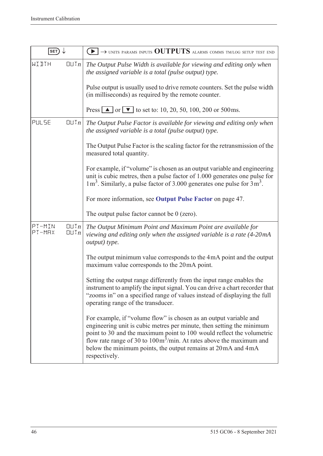| SET)             |                                           | $\rightarrow$ units params inputs OUTPUTS alarms comms tm/log setup test end<br>$\blacktriangleright$ 1                                                                                                                                                                                                                                                                                         |
|------------------|-------------------------------------------|-------------------------------------------------------------------------------------------------------------------------------------------------------------------------------------------------------------------------------------------------------------------------------------------------------------------------------------------------------------------------------------------------|
| WIJTH            | QUTn                                      | The Output Pulse Width is available for viewing and editing only when<br>the assigned variable is a total (pulse output) type.                                                                                                                                                                                                                                                                  |
|                  |                                           | Pulse output is usually used to drive remote counters. Set the pulse width<br>(in milliseconds) as required by the remote counter.                                                                                                                                                                                                                                                              |
|                  |                                           | Press $\triangle$ or $\triangledown$ to set to: 10, 20, 50, 100, 200 or 500 ms.                                                                                                                                                                                                                                                                                                                 |
| PULSE            | QUTn                                      | The Output Pulse Factor is available for viewing and editing only when<br>the assigned variable is a total (pulse output) type.                                                                                                                                                                                                                                                                 |
|                  |                                           | The Output Pulse Factor is the scaling factor for the retransmission of the<br>measured total quantity.                                                                                                                                                                                                                                                                                         |
|                  |                                           | For example, if "volume" is chosen as an output variable and engineering<br>unit is cubic metres, then a pulse factor of 1.000 generates one pulse for<br>$1 \text{ m}^3$ . Similarly, a pulse factor of 3.000 generates one pulse for $3 \text{ m}^3$ .                                                                                                                                        |
|                  |                                           | For more information, see Output Pulse Factor on page 47.                                                                                                                                                                                                                                                                                                                                       |
|                  |                                           | The output pulse factor cannot be $0$ (zero).                                                                                                                                                                                                                                                                                                                                                   |
| PT-MIN<br>PT-MRX | $\Box$ l $Tn$<br>$\Box$ $\Box$ $\Box$ $n$ | The Output Minimum Point and Maximum Point are available for<br>viewing and editing only when the assigned variable is a rate (4-20mA<br>output) type.                                                                                                                                                                                                                                          |
|                  |                                           | The output minimum value corresponds to the 4mA point and the output<br>maximum value corresponds to the 20mA point.                                                                                                                                                                                                                                                                            |
|                  |                                           | Setting the output range differently from the input range enables the<br>instrument to amplify the input signal. You can drive a chart recorder that<br>"zooms in" on a specified range of values instead of displaying the full<br>operating range of the transducer.                                                                                                                          |
|                  |                                           | For example, if "volume flow" is chosen as an output variable and<br>engineering unit is cubic metres per minute, then setting the minimum<br>point to 30 and the maximum point to 100 would reflect the volumetric<br>flow rate range of 30 to $100 \text{m}^3/\text{min}$ . At rates above the maximum and<br>below the minimum points, the output remains at 20 mA and 4 mA<br>respectively. |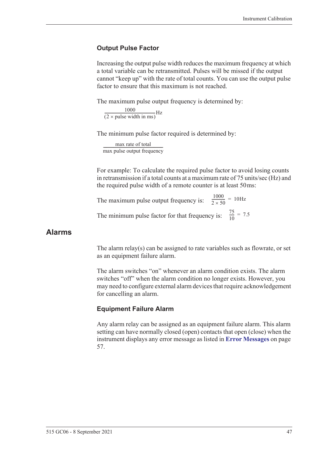#### <span id="page-56-0"></span>**Output Pulse Factor**

Increasing the output pulse width reduces the maximum frequency at which a total variable can be retransmitted. Pulses will be missed if the output cannot "keep up" with the rate of total counts. You can use the output pulse factor to ensure that this maximum is not reached.

The maximum pulse output frequency is determined by:

 $\frac{1000}{(2 \times \text{pulse width in ms)}}$ Hz

The minimum pulse factor required is determined by:

max rate of total max pulse output frequency ------------------------------------------------------------------

For example: To calculate the required pulse factor to avoid losing counts in retransmission if a total counts at a maximum rate of 75 units/sec (Hz) and the required pulse width of a remote counter is at least 50 ms:

The maximum pulse output frequency is:  $\frac{1000}{2 \times 50}$  = 10Hz The minimum pulse factor for that frequency is:  $\frac{75}{10}$  $\frac{73}{10}$  = 7.5

#### **Alarms**

The alarm relay(s) can be assigned to rate variables such as flowrate, or set as an equipment failure alarm.

The alarm switches "on" whenever an alarm condition exists. The alarm switches "off" when the alarm condition no longer exists. However, you may need to configure external alarm devices that require acknowledgement for cancelling an alarm.

#### **Equipment Failure Alarm**

Any alarm relay can be assigned as an equipment failure alarm. This alarm setting can have normally closed (open) contacts that open (close) when the instrument displays any error message as listed in **[Error Messages](#page-66-0)** on page [57.](#page-66-0)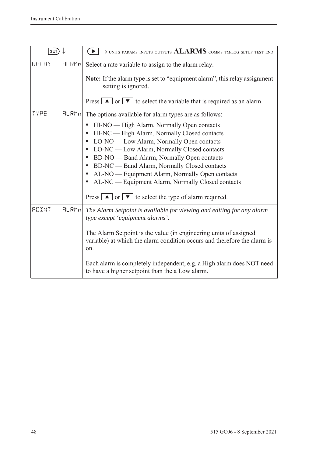| SET)  |       | $\rightarrow$ units params inputs outputs $\rm ALARMS$ comms tm/log setup test end                                                                                                                                                                                                                                                                                                                                                                                                                                                                                                                  |
|-------|-------|-----------------------------------------------------------------------------------------------------------------------------------------------------------------------------------------------------------------------------------------------------------------------------------------------------------------------------------------------------------------------------------------------------------------------------------------------------------------------------------------------------------------------------------------------------------------------------------------------------|
| RELAY | HLRMn | Select a rate variable to assign to the alarm relay.<br><b>Note:</b> If the alarm type is set to "equipment alarm", this relay assignment<br>setting is ignored.<br>Press $\boxed{\blacktriangle}$ or $\boxed{\blacktriangledown}$ to select the variable that is required as an alarm.                                                                                                                                                                                                                                                                                                             |
| TYPE  | HLRMn | The options available for alarm types are as follows:<br>HI-NO — High Alarm, Normally Open contacts<br>HI-NC — High Alarm, Normally Closed contacts<br>$\bullet$<br>LO-NO — Low Alarm, Normally Open contacts<br>$\bullet$<br>LO-NC — Low Alarm, Normally Closed contacts<br>BD-NO — Band Alarm, Normally Open contacts<br>$\bullet$<br>BD-NC — Band Alarm, Normally Closed contacts<br>$\bullet$<br>AL-NO — Equipment Alarm, Normally Open contacts<br>$\bullet$<br>AL-NC — Equipment Alarm, Normally Closed contacts<br>$\bullet$<br>Press $\Box$ or $\Box$ to select the type of alarm required. |
| POINT | HLRMn | The Alarm Setpoint is available for viewing and editing for any alarm<br>type except 'equipment alarms'.<br>The Alarm Setpoint is the value (in engineering units of assigned<br>variable) at which the alarm condition occurs and therefore the alarm is<br>on.<br>Each alarm is completely independent, e.g. a High alarm does NOT need<br>to have a higher setpoint than the a Low alarm.                                                                                                                                                                                                        |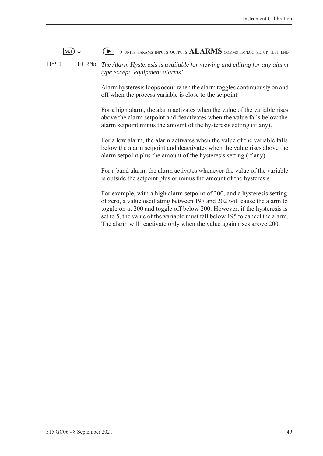| <b>SET</b>           | $\blacktriangleright$ $\rightarrow$ units params inputs outputs $ALARMS$ comms tm/log setup test end                                                                                                                                                                                                                                                                                     |
|----------------------|------------------------------------------------------------------------------------------------------------------------------------------------------------------------------------------------------------------------------------------------------------------------------------------------------------------------------------------------------------------------------------------|
| <b>HY5T</b><br>FLRMn | The Alarm Hysteresis is available for viewing and editing for any alarm<br>type except 'equipment alarms'.                                                                                                                                                                                                                                                                               |
|                      | Alarm hysteresis loops occur when the alarm toggles continuously on and<br>off when the process variable is close to the setpoint.                                                                                                                                                                                                                                                       |
|                      | For a high alarm, the alarm activates when the value of the variable rises<br>above the alarm setpoint and deactivates when the value falls below the<br>alarm setpoint minus the amount of the hysteresis setting (if any).                                                                                                                                                             |
|                      | For a low alarm, the alarm activates when the value of the variable falls<br>below the alarm setpoint and deactivates when the value rises above the<br>alarm setpoint plus the amount of the hysteresis setting (if any).                                                                                                                                                               |
|                      | For a band alarm, the alarm activates whenever the value of the variable<br>is outside the setpoint plus or minus the amount of the hysteresis.                                                                                                                                                                                                                                          |
|                      | For example, with a high alarm setpoint of 200, and a hysteresis setting<br>of zero, a value oscillating between 197 and 202 will cause the alarm to<br>toggle on at 200 and toggle off below 200. However, if the hysteresis is<br>set to 5, the value of the variable must fall below 195 to cancel the alarm.<br>The alarm will reactivate only when the value again rises above 200. |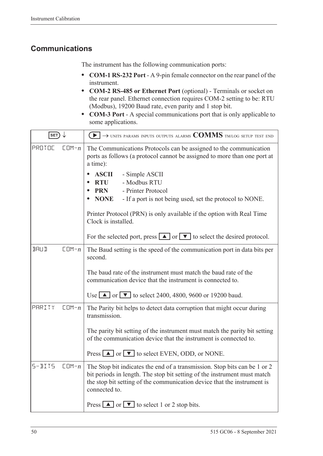### **Communications**

The instrument has the following communication ports:

- **• COM-1 RS-232 Port** A 9-pin female connector on the rear panel of the instrument.
- **• COM-2 RS-485 or Ethernet Port** (optional) Terminals or socket on the rear panel. Ethernet connection requires COM-2 setting to be: RTU (Modbus), 19200 Baud rate, even parity and 1 stop bit.
- **• COM-3 Port** A special communications port that is only applicable to some applications.

| SET) $\downarrow$ |           | $\blacktriangleright$ $\rightarrow$ units params inputs outputs alarms $\text{COMMS}$ tm/log setup test end                                                                                                                                       |
|-------------------|-----------|---------------------------------------------------------------------------------------------------------------------------------------------------------------------------------------------------------------------------------------------------|
| PROTOC            | $CDM - n$ | The Communications Protocols can be assigned to the communication<br>ports as follows (a protocol cannot be assigned to more than one port at<br>a time):                                                                                         |
|                   |           | <b>ASCII</b><br>- Simple ASCII<br>- Modbus RTU<br><b>RTU</b><br>- Printer Protocol<br><b>PRN</b>                                                                                                                                                  |
|                   |           | <b>NONE</b><br>- If a port is not being used, set the protocol to NONE.                                                                                                                                                                           |
|                   |           | Printer Protocol (PRN) is only available if the option with Real Time<br>Clock is installed.                                                                                                                                                      |
|                   |           | For the selected port, press $\Box$ or $\Box$ to select the desired protocol.                                                                                                                                                                     |
| <b>BAUD</b>       | $CDM - n$ | The Baud setting is the speed of the communication port in data bits per<br>second.                                                                                                                                                               |
|                   |           | The baud rate of the instrument must match the baud rate of the<br>communication device that the instrument is connected to.                                                                                                                      |
|                   |           | Use 1 or $\bullet$ or $\bullet$ to select 2400, 4800, 9600 or 19200 baud.                                                                                                                                                                         |
| PARITY            | $CDM - n$ | The Parity bit helps to detect data corruption that might occur during<br>transmission.                                                                                                                                                           |
|                   |           | The parity bit setting of the instrument must match the parity bit setting<br>of the communication device that the instrument is connected to.                                                                                                    |
|                   |           | Press $\Box$ or $\nabla$ to select EVEN, ODD, or NONE.                                                                                                                                                                                            |
| $5 - 3115$        | $CDM - n$ | The Stop bit indicates the end of a transmission. Stop bits can be 1 or 2<br>bit periods in length. The stop bit setting of the instrument must match<br>the stop bit setting of the communication device that the instrument is<br>connected to. |
|                   |           | Press $\boxed{\blacktriangle}$ or $\boxed{\blacktriangledown}$ to select 1 or 2 stop bits.                                                                                                                                                        |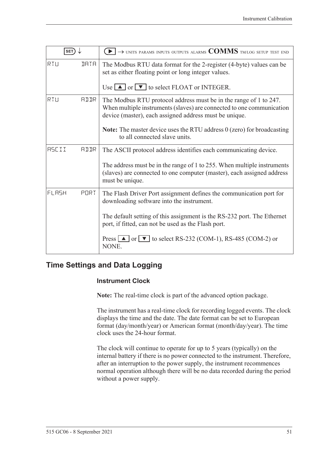| <b>SET</b>   |             | $\rightarrow$ units params inputs outputs alarms $\text{COMMS}$ tm/log setup test end                                                                                                                |
|--------------|-------------|------------------------------------------------------------------------------------------------------------------------------------------------------------------------------------------------------|
| RTU          | <b>JATA</b> | The Modbus RTU data format for the 2-register (4-byte) values can be<br>set as either floating point or long integer values.                                                                         |
|              |             | Use $\Box$ or $\nabla$ to select FLOAT or INTEGER.                                                                                                                                                   |
| RTU          | <b>ALLR</b> | The Modbus RTU protocol address must be in the range of 1 to 247.<br>When multiple instruments (slaves) are connected to one communication<br>device (master), each assigned address must be unique. |
|              |             | <b>Note:</b> The master device uses the RTU address 0 (zero) for broadcasting<br>to all connected slave units.                                                                                       |
| <b>ASCII</b> | AIIR        | The ASCII protocol address identifies each communicating device.                                                                                                                                     |
|              |             | The address must be in the range of 1 to 255. When multiple instruments<br>(slaves) are connected to one computer (master), each assigned address<br>must be unique.                                 |
| FLASH        | PORT        | The Flash Driver Port assignment defines the communication port for<br>downloading software into the instrument.                                                                                     |
|              |             | The default setting of this assignment is the RS-232 port. The Ethernet<br>port, if fitted, can not be used as the Flash port.                                                                       |
|              |             | Press $\Box$ or $\nabla$ to select RS-232 (COM-1), RS-485 (COM-2) or<br>NONE.                                                                                                                        |

### **Time Settings and Data Logging**

#### **Instrument Clock**

**Note:** The real-time clock is part of the advanced option package.

The instrument has a real-time clock for recording logged events. The clock displays the time and the date. The date format can be set to European format (day/month/year) or American format (month/day/year). The time clock uses the 24-hour format.

The clock will continue to operate for up to 5 years (typically) on the internal battery if there is no power connected to the instrument. Therefore, after an interruption to the power supply, the instrument recommences normal operation although there will be no data recorded during the period without a power supply.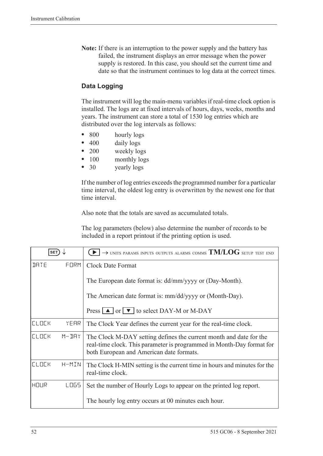**Note:** If there is an interruption to the power supply and the battery has failed, the instrument displays an error message when the power supply is restored. In this case, you should set the current time and date so that the instrument continues to log data at the correct times.

#### **Data Logging**

The instrument will log the main-menu variables if real-time clock option is installed. The logs are at fixed intervals of hours, days, weeks, months and years. The instrument can store a total of 1530 log entries which are distributed over the log intervals as follows:

- 800 hourly logs
- 400 daily logs
- 200 weekly logs
- 100 monthly logs
- 30 yearly logs

If the number of log entries exceeds the programmed number for a particular time interval, the oldest log entry is overwritten by the newest one for that time interval.

Also note that the totals are saved as accumulated totals.

The log parameters (below) also determine the number of records to be included in a report printout if the printing option is used.

| <b>SET</b>   |           | $\rightarrow$ units params inputs outputs alarms comms $TM/LOG$ setup test end                                                                                                          |
|--------------|-----------|-----------------------------------------------------------------------------------------------------------------------------------------------------------------------------------------|
| <b>JATE</b>  | FORM      | <b>Clock Date Format</b>                                                                                                                                                                |
|              |           | The European date format is: dd/mm/yyyy or (Day-Month).                                                                                                                                 |
|              |           | The American date format is: mm/dd/yyyy or (Month-Day).                                                                                                                                 |
|              |           | Press $\Delta$ or $\nabla$ to select DAY-M or M-DAY                                                                                                                                     |
| <b>ELDEK</b> | YEAR      | The Clock Year defines the current year for the real-time clock.                                                                                                                        |
| <b>CLOCK</b> | $M - JHY$ | The Clock M-DAY setting defines the current month and date for the<br>real-time clock. This parameter is programmed in Month-Day format for<br>both European and American date formats. |
| <b>ELDEK</b> | H-MIN     | The Clock H-MIN setting is the current time in hours and minutes for the<br>real-time clock.                                                                                            |
| HOUR         | LOG5      | Set the number of Hourly Logs to appear on the printed log report.                                                                                                                      |
|              |           | The hourly log entry occurs at 00 minutes each hour.                                                                                                                                    |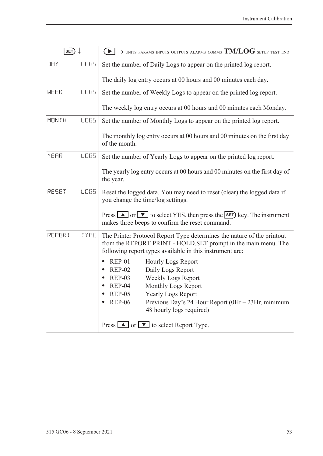| SET)         |             | $\blacktriangleright$ $\rightarrow$ units params inputs outputs alarms comms TM/LOG setup test end                                                                                                                                                                                                                         |
|--------------|-------------|----------------------------------------------------------------------------------------------------------------------------------------------------------------------------------------------------------------------------------------------------------------------------------------------------------------------------|
| <b>IRY</b>   | <b>LOGS</b> | Set the number of Daily Logs to appear on the printed log report.                                                                                                                                                                                                                                                          |
|              |             | The daily log entry occurs at 00 hours and 00 minutes each day.                                                                                                                                                                                                                                                            |
| <b>WEEK</b>  | <b>LOGS</b> | Set the number of Weekly Logs to appear on the printed log report.                                                                                                                                                                                                                                                         |
|              |             | The weekly log entry occurs at 00 hours and 00 minutes each Monday.                                                                                                                                                                                                                                                        |
| <b>MONTH</b> | LO65        | Set the number of Monthly Logs to appear on the printed log report.                                                                                                                                                                                                                                                        |
|              |             | The monthly log entry occurs at 00 hours and 00 minutes on the first day<br>of the month.                                                                                                                                                                                                                                  |
| YEAR         | LO65        | Set the number of Yearly Logs to appear on the printed log report.                                                                                                                                                                                                                                                         |
|              |             | The yearly log entry occurs at 00 hours and 00 minutes on the first day of<br>the year.                                                                                                                                                                                                                                    |
| RESET        | LOG5        | Reset the logged data. You may need to reset (clear) the logged data if<br>you change the time/log settings.                                                                                                                                                                                                               |
|              |             | Press $\Box$ or $\nabla$ to select YES, then press the <b>SET</b> ) key. The instrument<br>makes three beeps to confirm the reset command.                                                                                                                                                                                 |
| REPORT       | TYPE        | The Printer Protocol Report Type determines the nature of the printout<br>from the REPORT PRINT - HOLD.SET prompt in the main menu. The<br>following report types available in this instrument are:                                                                                                                        |
|              |             | <b>REP-01</b><br><b>Hourly Logs Report</b><br>$\bullet$<br>Daily Logs Report<br><b>REP-02</b><br><b>Weekly Logs Report</b><br>$REP-03$<br>Monthly Logs Report<br>$REP-04$<br><b>REP-05</b><br><b>Yearly Logs Report</b><br><b>REP-06</b><br>Previous Day's 24 Hour Report (0Hr - 23Hr, minimum<br>48 hourly logs required) |
|              |             | Press $\boxed{\blacktriangle}$ or $\boxed{\blacktriangledown}$ to select Report Type.                                                                                                                                                                                                                                      |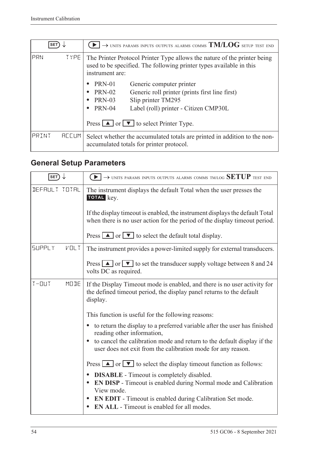| <b>SET</b> |              | $\rightarrow$ units params inputs outputs alarms comms $\mathrm{TM}/\mathrm{LOG}$ setup test end                                                                   |
|------------|--------------|--------------------------------------------------------------------------------------------------------------------------------------------------------------------|
| PRN        | <b>TYPE</b>  | The Printer Protocol Printer Type allows the nature of the printer being<br>used to be specified. The following printer types available in this<br>instrument are: |
|            |              | PRN-01<br>Generic computer printer                                                                                                                                 |
|            |              | <b>PRN-02</b><br>Generic roll printer (prints first line first)<br>$\bullet$                                                                                       |
|            |              | Slip printer TM295<br><b>PRN-03</b><br>٠                                                                                                                           |
|            |              | <b>PRN-04</b><br>Label (roll) printer - Citizen CMP30L<br>$\bullet$                                                                                                |
|            |              | Press $\boxed{\blacktriangle}$ or $\boxed{\blacktriangledown}$ to select Printer Type.                                                                             |
| PRINT      | <b>ACCUM</b> | Select whether the accumulated totals are printed in addition to the non-<br>accumulated totals for printer protocol.                                              |

## <span id="page-63-0"></span>**General Setup Parameters**

| SET) $\downarrow$                | $\rightarrow$ units params inputs outputs alarms comms tm/log SETUP test end                                                                                       |
|----------------------------------|--------------------------------------------------------------------------------------------------------------------------------------------------------------------|
| DEFAULT TOTAL                    | The instrument displays the default Total when the user presses the<br>TOTAL key.                                                                                  |
|                                  | If the display timeout is enabled, the instrument displays the default Total<br>when there is no user action for the period of the display timeout period.         |
|                                  | Press $\boxed{\blacktriangle}$ or $\boxed{\blacktriangledown}$ to select the default total display.                                                                |
| <b>SUPPLY</b><br>$V \square L$ T | The instrument provides a power-limited supply for external transducers.                                                                                           |
|                                  | Press $\Box$ or $\Box$ to set the transducer supply voltage between 8 and 24<br>volts DC as required.                                                              |
| $T - 11T$<br>MODE                | If the Display Timeout mode is enabled, and there is no user activity for<br>the defined timeout period, the display panel returns to the default<br>display.      |
|                                  | This function is useful for the following reasons:                                                                                                                 |
|                                  | to return the display to a preferred variable after the user has finished<br>$\bullet$<br>reading other information,                                               |
|                                  | to cancel the calibration mode and return to the default display if the<br>user does not exit from the calibration mode for any reason.                            |
|                                  | Press $\boxed{\blacktriangle}$ or $\boxed{\blacktriangledown}$ to select the display timeout function as follows:                                                  |
|                                  | <b>DISABLE</b> - Timeout is completely disabled.<br>$\bullet$<br><b>EN DISP</b> - Timeout is enabled during Normal mode and Calibration<br>$\bullet$<br>View mode. |
|                                  | <b>EN EDIT</b> - Timeout is enabled during Calibration Set mode.<br><b>EN ALL</b> - Timeout is enabled for all modes.                                              |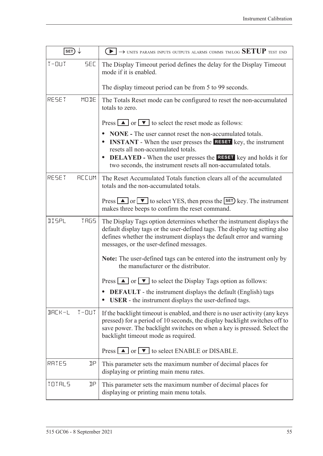| SET)          |              |                                                                                                                                                                                                                                                                                                                                                     |
|---------------|--------------|-----------------------------------------------------------------------------------------------------------------------------------------------------------------------------------------------------------------------------------------------------------------------------------------------------------------------------------------------------|
| $T - 111T$    | <b>SEC</b>   | The Display Timeout period defines the delay for the Display Timeout<br>mode if it is enabled.                                                                                                                                                                                                                                                      |
|               |              | The display timeout period can be from 5 to 99 seconds.                                                                                                                                                                                                                                                                                             |
| RESET         | MODE         | The Totals Reset mode can be configured to reset the non-accumulated<br>totals to zero.                                                                                                                                                                                                                                                             |
|               |              | Press $\boxed{\blacktriangle}$ or $\boxed{\blacktriangledown}$ to select the reset mode as follows:                                                                                                                                                                                                                                                 |
|               |              | <b>NONE</b> - The user cannot reset the non-accumulated totals.<br><b>INSTANT</b> - When the user presses the <b>RESET</b> key, the instrument<br>resets all non-accumulated totals.<br><b>DELAYED</b> - When the user presses the <b>RESET</b> key and holds it for<br>$\bullet$<br>two seconds, the instrument resets all non-accumulated totals. |
| RESET         | <b>REEUM</b> | The Reset Accumulated Totals function clears all of the accumulated<br>totals and the non-accumulated totals.                                                                                                                                                                                                                                       |
|               |              | Press $\Box$ or $\nabla$ to select YES, then press the <b>SET</b> ) key. The instrument<br>makes three beeps to confirm the reset command.                                                                                                                                                                                                          |
| <b>IISPL</b>  | <b>TRGS</b>  | The Display Tags option determines whether the instrument displays the<br>default display tags or the user-defined tags. The display tag setting also<br>defines whether the instrument displays the default error and warning<br>messages, or the user-defined messages.                                                                           |
|               |              | Note: The user-defined tags can be entered into the instrument only by<br>the manufacturer or the distributor.                                                                                                                                                                                                                                      |
|               |              | Press $\Box$ or $\Box$ to select the Display Tags option as follows:                                                                                                                                                                                                                                                                                |
|               |              | <b>DEFAULT</b> - the instrument displays the default (English) tags<br><b>USER</b> - the instrument displays the user-defined tags.                                                                                                                                                                                                                 |
| $B H L K - L$ | $T - 11T$    | If the backlight timeout is enabled, and there is no user activity (any keys<br>pressed) for a period of 10 seconds, the display backlight switches off to<br>save power. The backlight switches on when a key is pressed. Select the<br>backlight timeout mode as required.                                                                        |
|               |              | Press $\Box$ or $\Box$ to select ENABLE or DISABLE.                                                                                                                                                                                                                                                                                                 |
| RATES         | IJΡ          | This parameter sets the maximum number of decimal places for<br>displaying or printing main menu rates.                                                                                                                                                                                                                                             |
| TOTALS        | IJΡ          | This parameter sets the maximum number of decimal places for<br>displaying or printing main menu totals.                                                                                                                                                                                                                                            |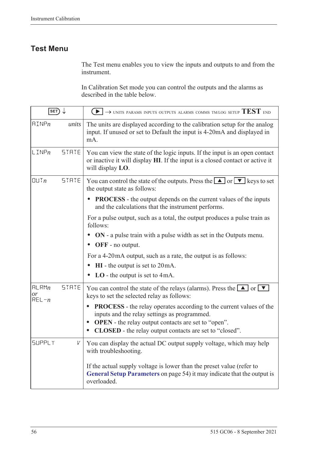### **Test Menu**

The Test menu enables you to view the inputs and outputs to and from the instrument.

In Calibration Set mode you can control the outputs and the alarms as described in the table below.

| $SET) \downarrow$        |              | $\blacktriangleright$ $\rightarrow$ units params inputs outputs alarms comms tm/log setup TEST end                                                                                                                                                               |
|--------------------------|--------------|------------------------------------------------------------------------------------------------------------------------------------------------------------------------------------------------------------------------------------------------------------------|
| $\text{HIMP}_n$          | units        | The units are displayed according to the calibration setup for the analog<br>input. If unused or set to Default the input is 4-20mA and displayed in<br>mA.                                                                                                      |
| $L$ INP $n$              | <b>STRTE</b> | You can view the state of the logic inputs. If the input is an open contact<br>or inactive it will display HI. If the input is a closed contact or active it<br>will display LO.                                                                                 |
| UITn                     | STRTE        | You can control the state of the outputs. Press the $\Box$ or $\nabla$ keys to set<br>the output state as follows:                                                                                                                                               |
|                          |              | <b>PROCESS</b> - the output depends on the current values of the inputs<br>and the calculations that the instrument performs.                                                                                                                                    |
|                          |              | For a pulse output, such as a total, the output produces a pulse train as<br>follows:                                                                                                                                                                            |
|                          |              | ON - a pulse train with a pulse width as set in the Outputs menu.<br><b>OFF</b> - no output.                                                                                                                                                                     |
|                          |              | For a 4-20 mA output, such as a rate, the output is as follows:                                                                                                                                                                                                  |
|                          |              | $HI$ - the output is set to $20mA$ .                                                                                                                                                                                                                             |
|                          |              | $LO$ - the output is set to 4mA.                                                                                                                                                                                                                                 |
| HLRMn<br>or<br>$REL - n$ | STRTE        | You can control the state of the relays (alarms). Press the $\Box$ or $\nabla$<br>keys to set the selected relay as follows:                                                                                                                                     |
|                          |              | <b>PROCESS</b> - the relay operates according to the current values of the<br>inputs and the relay settings as programmed.<br><b>OPEN</b> - the relay output contacts are set to "open".<br>$\bullet$<br>CLOSED - the relay output contacts are set to "closed". |
| <b>SUPPLY</b>            | V            | You can display the actual DC output supply voltage, which may help<br>with troubleshooting.                                                                                                                                                                     |
|                          |              | If the actual supply voltage is lower than the preset value (refer to<br>General Setup Parameters on page 54) it may indicate that the output is<br>overloaded.                                                                                                  |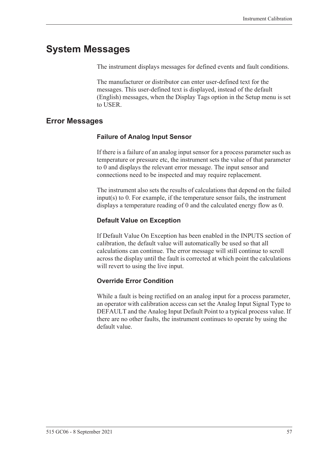## **System Messages**

The instrument displays messages for defined events and fault conditions.

The manufacturer or distributor can enter user-defined text for the messages. This user-defined text is displayed, instead of the default (English) messages, when the Display Tags option in the Setup menu is set to USER.

### <span id="page-66-0"></span>**Error Messages**

#### **Failure of Analog Input Sensor**

If there is a failure of an analog input sensor for a process parameter such as temperature or pressure etc, the instrument sets the value of that parameter to 0 and displays the relevant error message. The input sensor and connections need to be inspected and may require replacement.

The instrument also sets the results of calculations that depend on the failed input(s) to 0. For example, if the temperature sensor fails, the instrument displays a temperature reading of 0 and the calculated energy flow as 0.

#### **Default Value on Exception**

If Default Value On Exception has been enabled in the INPUTS section of calibration, the default value will automatically be used so that all calculations can continue. The error message will still continue to scroll across the display until the fault is corrected at which point the calculations will revert to using the live input.

#### **Override Error Condition**

While a fault is being rectified on an analog input for a process parameter, an operator with calibration access can set the Analog Input Signal Type to DEFAULT and the Analog Input Default Point to a typical process value. If there are no other faults, the instrument continues to operate by using the default value.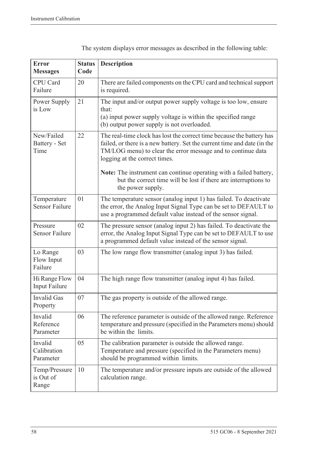| <b>Error</b><br><b>Messages</b>       | <b>Status</b><br>Code | <b>Description</b>                                                                                                                                                                                                                                 |
|---------------------------------------|-----------------------|----------------------------------------------------------------------------------------------------------------------------------------------------------------------------------------------------------------------------------------------------|
| CPU Card<br>Failure                   | 20                    | There are failed components on the CPU card and technical support<br>is required.                                                                                                                                                                  |
| Power Supply<br>is Low                | 21                    | The input and/or output power supply voltage is too low, ensure<br>that:<br>(a) input power supply voltage is within the specified range<br>(b) output power supply is not overloaded.                                                             |
| New/Failed<br>Battery - Set<br>Time   | 22                    | The real-time clock has lost the correct time because the battery has<br>failed, or there is a new battery. Set the current time and date (in the<br>TM/LOG menu) to clear the error message and to continue data<br>logging at the correct times. |
|                                       |                       | Note: The instrument can continue operating with a failed battery,<br>but the correct time will be lost if there are interruptions to<br>the power supply.                                                                                         |
| Temperature<br><b>Sensor Failure</b>  | 01                    | The temperature sensor (analog input 1) has failed. To deactivate<br>the error, the Analog Input Signal Type can be set to DEFAULT to<br>use a programmed default value instead of the sensor signal.                                              |
| Pressure<br><b>Sensor Failure</b>     | 02                    | The pressure sensor (analog input 2) has failed. To deactivate the<br>error, the Analog Input Signal Type can be set to DEFAULT to use<br>a programmed default value instead of the sensor signal.                                                 |
| Lo Range<br>Flow Input<br>Failure     | 03                    | The low range flow transmitter (analog input 3) has failed.                                                                                                                                                                                        |
| Hi Range Flow<br><b>Input Failure</b> | 04                    | The high range flow transmitter (analog input 4) has failed.                                                                                                                                                                                       |
| <b>Invalid Gas</b><br>Property        | 07                    | The gas property is outside of the allowed range.                                                                                                                                                                                                  |
| Invalid<br>Reference<br>Parameter     | 06                    | The reference parameter is outside of the allowed range. Reference<br>temperature and pressure (specified in the Parameters menu) should<br>be within the limits.                                                                                  |
| Invalid<br>Calibration<br>Parameter   | 05                    | The calibration parameter is outside the allowed range.<br>Temperature and pressure (specified in the Parameters menu)<br>should be programmed within limits.                                                                                      |
| Temp/Pressure<br>is Out of<br>Range   | 10                    | The temperature and/or pressure inputs are outside of the allowed<br>calculation range.                                                                                                                                                            |

The system displays error messages as described in the following table: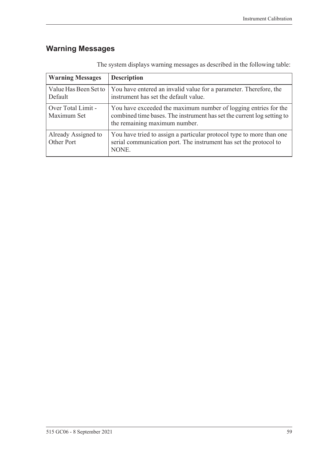## **Warning Messages**

| <b>Warning Messages</b>           | <b>Description</b>                                                                                                                                                         |
|-----------------------------------|----------------------------------------------------------------------------------------------------------------------------------------------------------------------------|
| Value Has Been Set to<br>Default  | You have entered an invalid value for a parameter. Therefore, the<br>instrument has set the default value.                                                                 |
| Over Total Limit -<br>Maximum Set | You have exceeded the maximum number of logging entries for the<br>combined time bases. The instrument has set the current log setting to<br>the remaining maximum number. |
| Already Assigned to<br>Other Port | You have tried to assign a particular protocol type to more than one<br>serial communication port. The instrument has set the protocol to<br>NONE.                         |

The system displays warning messages as described in the following table: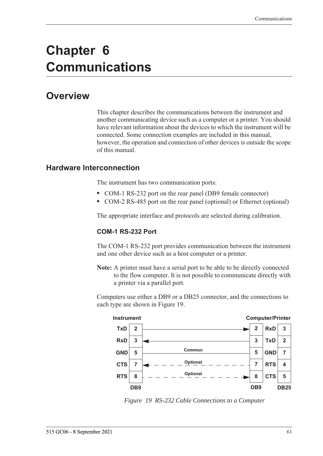# **Chapter 6 Communications**

## **Overview**

This chapter describes the communications between the instrument and another communicating device such as a computer or a printer. You should have relevant information about the devices to which the instrument will be connected. Some connection examples are included in this manual, however, the operation and connection of other devices is outside the scope of this manual.

#### **Hardware Interconnection**

The instrument has two communication ports:

- **•** COM-1 RS-232 port on the rear panel (DB9 female connector)
- **•** COM-2 RS-485 port on the rear panel (optional) or Ethernet (optional)

The appropriate interface and protocols are selected during calibration.

#### **COM-1 RS-232 Port**

The COM-1 RS-232 port provides communication between the instrument and one other device such as a host computer or a printer.

**Note:** A printer must have a serial port to be able to be directly connected to the flow computer. It is not possible to communicate directly with a printer via a parallel port.

Computers use either a DB9 or a DB25 connector, and the connections to each type are shown in [Figure 19.](#page-70-0)



<span id="page-70-0"></span>*Figure 19 RS-232 Cable Connections to a Computer*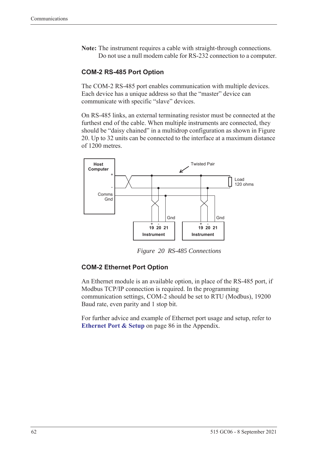**Note:** The instrument requires a cable with straight-through connections. Do not use a null modem cable for RS-232 connection to a computer.

#### **COM-2 RS-485 Port Option**

The COM-2 RS-485 port enables communication with multiple devices. Each device has a unique address so that the "master" device can communicate with specific "slave" devices.

On RS-485 links, an external terminating resistor must be connected at the furthest end of the cable. When multiple instruments are connected, they should be "daisy chained" in a multidrop configuration as shown in Figure [20](#page-71-0). Up to 32 units can be connected to the interface at a maximum distance of 1200 metres.



*Figure 20 RS-485 Connections*

#### <span id="page-71-0"></span>**COM-2 Ethernet Port Option**

An Ethernet module is an available option, in place of the RS-485 port, if Modbus TCP/IP connection is required. In the programming communication settings, COM-2 should be set to RTU (Modbus), 19200 Baud rate, even parity and 1 stop bit.

For further advice and example of Ethernet port usage and setup, refer to **[Ethernet Port & Setup](#page-95-0)** on page 86 in the Appendix.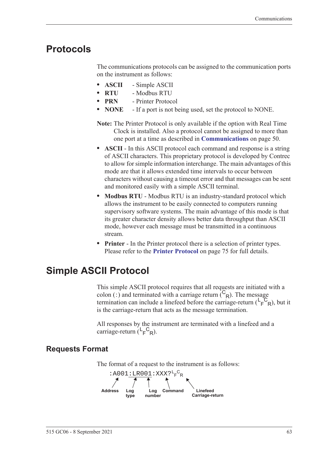### **Protocols**

<span id="page-72-1"></span>The communications protocols can be assigned to the communication ports on the instrument as follows:

- **• ASCII** Simple ASCII
- **• RTU** Modbus RTU
- **• PRN** Printer Protocol
- **• NONE** If a port is not being used, set the protocol to NONE.
- **Note:** The Printer Protocol is only available if the option with Real Time Clock is installed. Also a protocol cannot be assigned to more than one port at a time as described in **[Communications](#page-59-0)** on page 50.
- **• ASCII** In this ASCII protocol each command and response is a string of ASCII characters. This proprietary protocol is developed by Contrec to allow for simple information interchange. The main advantages of this mode are that it allows extended time intervals to occur between characters without causing a timeout error and that messages can be sent and monitored easily with a simple ASCII terminal.
- **• Modbus RTU** Modbus RTU is an industry-standard protocol which allows the instrument to be easily connected to computers running supervisory software systems. The main advantage of this mode is that its greater character density allows better data throughput than ASCII mode, however each message must be transmitted in a continuous stream.
- <span id="page-72-0"></span>**• Printer** - In the Printer protocol there is a selection of printer types. Please refer to the **[Printer Protocol](#page-84-0)** on page 75 for full details.

### **Simple ASCII Protocol**

This simple ASCII protocol requires that all requests are initiated with a colon (:) and terminated with a carriage return  $\binom{C_R}{R}$ . The message termination can include a linefeed before the carriage-return  $(\mathsf{L}_\mathsf{F}^\mathsf{C}_{\mathsf{R}})$ , but it is the carriage-return that acts as the message termination.

<span id="page-72-2"></span>All responses by the instrument are terminated with a linefeed and a carriage-return  $(L_F^C_R)$ .

### **Requests Format**

The format of a request to the instrument is as follows:

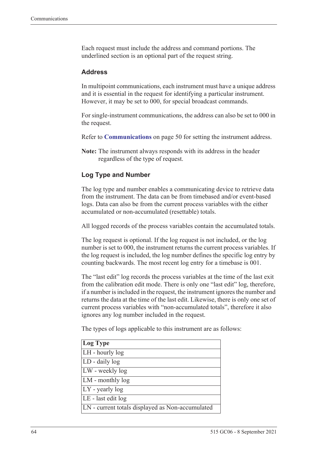Each request must include the address and command portions. The underlined section is an optional part of the request string.

### <span id="page-73-0"></span>**Address**

In multipoint communications, each instrument must have a unique address and it is essential in the request for identifying a particular instrument. However, it may be set to 000, for special broadcast commands.

For single-instrument communications, the address can also be set to 000 in the request.

Refer to **[Communications](#page-59-0)** on page 50 for setting the instrument address.

**Note:** The instrument always responds with its address in the header regardless of the type of request.

### **Log Type and Number**

The log type and number enables a communicating device to retrieve data from the instrument. The data can be from timebased and/or event-based logs. Data can also be from the current process variables with the either accumulated or non-accumulated (resettable) totals.

All logged records of the process variables contain the accumulated totals.

The log request is optional. If the log request is not included, or the log number is set to 000, the instrument returns the current process variables. If the log request is included, the log number defines the specific log entry by counting backwards. The most recent log entry for a timebase is 001.

The "last edit" log records the process variables at the time of the last exit from the calibration edit mode. There is only one "last edit" log, therefore, if a number is included in the request, the instrument ignores the number and returns the data at the time of the last edit. Likewise, there is only one set of current process variables with "non-accumulated totals", therefore it also ignores any log number included in the request.

The types of logs applicable to this instrument are as follows:

| Log Type                                         |
|--------------------------------------------------|
| LH - hourly log                                  |
| LD - daily log                                   |
| LW - weekly log                                  |
| LM - monthly log                                 |
| $LY$ - yearly log                                |
| LE - last edit log                               |
| LN - current totals displayed as Non-accumulated |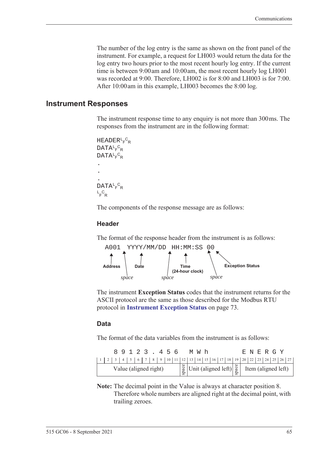The number of the log entry is the same as shown on the front panel of the instrument. For example, a request for LH003 would return the data for the log entry two hours prior to the most recent hourly log entry. If the current time is between 9:00 am and 10:00 am, the most recent hourly log LH001 was recorded at 9:00. Therefore, LH002 is for 8:00 and LH003 is for 7:00. After 10:00 am in this example, LH003 becomes the 8:00 log.

### **Instrument Responses**

<span id="page-74-1"></span>The instrument response time to any enquiry is not more than 300 ms. The responses from the instrument are in the following format:

```
HEADER<sup>L</sup>F<sup>C</sup>R
DATA<sup>L</sup>F<sup>C</sup>R
DATA<sup>L</sup>F<sup>C</sup>R
.
.
.
DATA<sup>L</sup>F<sup>C</sup>R
L_F^C<sub>R</sub>
```
The components of the response message are as follows:

### **Header**

The format of the response header from the instrument is as follows:



<span id="page-74-0"></span>The instrument **Exception Status** codes that the instrument returns for the ASCII protocol are the same as those described for the Modbus RTU protocol in **[Instrument Exception Status](#page-82-0)** on page 73.

#### **Data**

The format of the data variables from the instrument is as follows:

|                       |  |  |  |  | 89123.456 |  |  |                                                                                                                                                               |  | M W h |  |  |  |  | E N E R G Y |  |  |
|-----------------------|--|--|--|--|-----------|--|--|---------------------------------------------------------------------------------------------------------------------------------------------------------------|--|-------|--|--|--|--|-------------|--|--|
|                       |  |  |  |  |           |  |  |                                                                                                                                                               |  |       |  |  |  |  |             |  |  |
| Value (aligned right) |  |  |  |  |           |  |  | $\begin{bmatrix} \frac{8}{9} \\ \frac{8}{9} \end{bmatrix}$ Unit (aligned left) $\begin{bmatrix} \frac{8}{9} \\ \frac{8}{9} \end{bmatrix}$ Item (aligned left) |  |       |  |  |  |  |             |  |  |

**Note:** The decimal point in the Value is always at character position 8. Therefore whole numbers are aligned right at the decimal point, with trailing zeroes.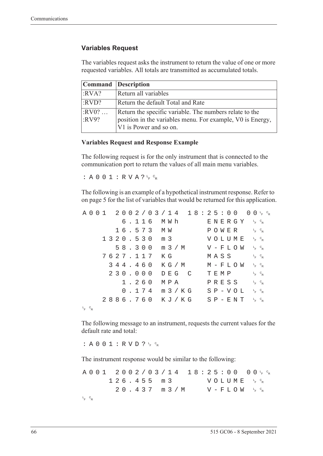### **Variables Request**

The variables request asks the instrument to return the value of one or more requested variables. All totals are transmitted as accumulated totals.

|                  | <b>Command</b> Description                                                                                                                      |
|------------------|-------------------------------------------------------------------------------------------------------------------------------------------------|
| :RVA?            | Return all variables                                                                                                                            |
| :RVD?            | Return the default Total and Rate                                                                                                               |
| $:RV0?$<br>:RV9? | Return the specific variable. The numbers relate to the<br>position in the variables menu. For example, V0 is Energy,<br>V1 is Power and so on. |

### **Variables Request and Response Example**

The following request is for the only instrument that is connected to the communication port to return the values of all main menu variables.

:  $A 0 0 1 : R V A ? \frac{c}{r} c_R$ 

The following is an example of a hypothetical instrument response. Refer to [on page 5](#page-14-0) for the list of variables that would be returned for this application.

|             |  |  |  |  |         |  |                  |  |       | $A\ 0\ 0\ 1\ 2\ 0\ 0\ 2\ / \ 0\ 3\ / \ 1\ 4\ 1\ 8\ :\ 2\ 5\ : \ 0\ 0\ 0\ 0\ _\mathsf{F}\ ^\mathrm{c}_\mathsf{R}$ |                                                                                                     |         |  |                                                 |  |                                   |  |
|-------------|--|--|--|--|---------|--|------------------|--|-------|------------------------------------------------------------------------------------------------------------------|-----------------------------------------------------------------------------------------------------|---------|--|-------------------------------------------------|--|-----------------------------------|--|
|             |  |  |  |  |         |  | 6.116 MWh        |  |       |                                                                                                                  | $E \setminus E \setminus E \setminus E \setminus G \setminus Y \subseteq \subseteq \subseteq_{R} C$ |         |  |                                                 |  |                                   |  |
|             |  |  |  |  |         |  | 16.573 MW        |  |       |                                                                                                                  |                                                                                                     |         |  | POWER                                           |  | $L_F$ $C_R$                       |  |
|             |  |  |  |  |         |  | 1320.530 m 3     |  |       |                                                                                                                  |                                                                                                     |         |  | VOLUME <sup>L</sup> <sub>R</sub> <sup>C</sup> R |  |                                   |  |
|             |  |  |  |  |         |  |                  |  |       | 58.300 m 3/M                                                                                                     |                                                                                                     |         |  | $V - F L O W$ $F c_R$                           |  |                                   |  |
|             |  |  |  |  |         |  | 7627.117 KG      |  |       |                                                                                                                  |                                                                                                     |         |  | MASS                                            |  | $L_F$ $C_R$                       |  |
|             |  |  |  |  | 344.460 |  |                  |  |       | K G / M                                                                                                          |                                                                                                     |         |  | M – F L O W                                     |  | $L$ <sub>F</sub> $C$ <sub>R</sub> |  |
|             |  |  |  |  | 230.000 |  |                  |  | DEG C |                                                                                                                  |                                                                                                     | T E M P |  |                                                 |  | $L_F$ $C_R$                       |  |
|             |  |  |  |  | 1.260   |  | МРА              |  |       |                                                                                                                  |                                                                                                     |         |  | PRESS                                           |  | $L_{\rm F}$ $C_{\rm R}$           |  |
|             |  |  |  |  |         |  | $0.174$ m $3/KG$ |  |       |                                                                                                                  |                                                                                                     |         |  | $S P - V O L$                                   |  | $L_{F}$ $C_{R}$                   |  |
|             |  |  |  |  |         |  |                  |  |       | 2886.760 KJ/KG SP-ENT FR                                                                                         |                                                                                                     |         |  |                                                 |  |                                   |  |
| $L_F$ $C_R$ |  |  |  |  |         |  |                  |  |       |                                                                                                                  |                                                                                                     |         |  |                                                 |  |                                   |  |

The following message to an instrument, requests the current values for the default rate and total:

: A 0 0 1 : R V D ?  $L_F$   $C_R$ 

The instrument response would be similar to the following:

A001 2002/03/14 18:25:00  $F$   $\circ$ <sub>R</sub>  $126.455 m3$ <sup>F</sup> <sup>C</sup> R  $20.437$  m  $3/M$  $F$   $\circ$ <sub>R</sub> L <sup>F</sup> <sup>C</sup> R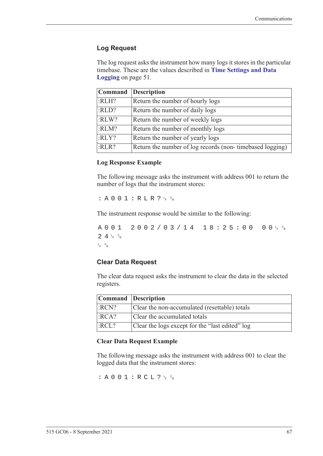### **Log Request**

The log request asks the instrument how many logs it stores in the particular timebase. These are the values described in **[Time Settings and Data](#page-60-0)  Logging** [on page 51](#page-60-0).

|       | Command Description                                      |
|-------|----------------------------------------------------------|
| :RLH? | Return the number of hourly logs                         |
| :RLD? | Return the number of daily logs                          |
| :RLW? | Return the number of weekly logs                         |
| :RLM? | Return the number of monthly logs                        |
| :RLY? | Return the number of yearly logs                         |
| :RLR? | Return the number of log records (non-timebased logging) |

### **Log Response Example**

The following message asks the instrument with address 001 to return the number of logs that the instrument stores:

 $: A 0 0 1 : R L R ? \nmid R$ 

The instrument response would be similar to the following:

A001 2002/03/14 18:25:00  $F$   $\circ$ R  $24r$ <sub>F</sub>  $c_R$ L <sup>F</sup> <sup>C</sup> R

### **Clear Data Request**

The clear data request asks the instrument to clear the data in the selected registers.

| Command Description |                                                 |
|---------------------|-------------------------------------------------|
| :RCN?               | Clear the non-accumulated (resettable) totals   |
| :RCA?               | Clear the accumulated totals                    |
| :RCL?               | Clear the logs except for the "last edited" log |

#### **Clear Data Request Example**

The following message asks the instrument with address 001 to clear the logged data that the instrument stores:

: A 0 0 1 : R C L ?  $L_F$   $c_R$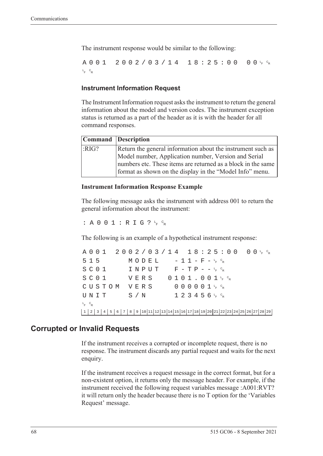The instrument response would be similar to the following:

A001 2002/03/14 18:25:00  $F$   $\circ$ <sub>R</sub> L <sup>F</sup> <sup>C</sup> R

### **Instrument Information Request**

The Instrument Information request asks the instrument to return the general information about the model and version codes. The instrument exception status is returned as a part of the header as it is with the header for all command responses.

|      | Command Description                                                                                                      |
|------|--------------------------------------------------------------------------------------------------------------------------|
| RIG? | Return the general information about the instrument such as                                                              |
|      | Model number, Application number, Version and Serial                                                                     |
|      | numbers etc. These items are returned as a block in the same<br>format as shown on the display in the "Model Info" menu. |

### **Instrument Information Response Example**

The following message asks the instrument with address 001 to return the general information about the instrument:

: A 0 0 1 : R I G ?  $L_F$   $C_R$ 

The following is an example of a hypothetical instrument response:

A001 2002/03/14 18:25:00 <sup>F</sup> <sup>C</sup> R  $515$   $MODEL$   $-11-F-F_{R}^{c}$  $S$  C O  $1$  I N P U T F - T P - - <sup>L</sup><sub>F</sub> <sup>C</sup>R  $S$  C O  $1$  V E R S O  $1$  O  $1$  J  $1$  , O  $0$   $1$   $1$   $1$   $6$   $8$ CUSTOM VERS 000001<sup>t</sup>F<sup>c</sup>r  $\texttt{UNIT}$  S/N 123456<sup>L</sup><sub>F</sub>  $\texttt{C}_{\texttt{R}}$ L <sup>F</sup> <sup>C</sup> R 1 2 3 4 5 6 7 8 9 10 11 12 13 14 15 16 17 18 19 20 21 22 23 24 25 26 27 28 29

### **Corrupted or Invalid Requests**

If the instrument receives a corrupted or incomplete request, there is no response. The instrument discards any partial request and waits for the next enquiry.

If the instrument receives a request message in the correct format, but for a non-existent option, it returns only the message header. For example, if the instrument received the following request variables message :A001:RVT? it will return only the header because there is no T option for the 'Variables Request' message.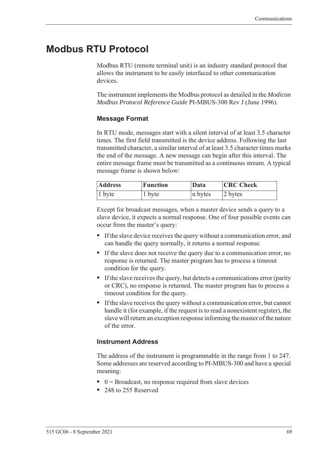## **Modbus RTU Protocol**

<span id="page-78-0"></span>Modbus RTU (remote terminal unit) is an industry standard protocol that allows the instrument to be easily interfaced to other communication devices.

The instrument implements the Modbus protocol as detailed in the *Modicon Modbus Protocol Reference Guide* PI-MBUS-300 Rev J (June 1996).

### **Message Format**

In RTU mode, messages start with a silent interval of at least 3.5 character times. The first field transmitted is the device address. Following the last transmitted character, a similar interval of at least 3.5 character times marks the end of the message. A new message can begin after this interval. The entire message frame must be transmitted as a continuous stream. A typical message frame is shown below:

| <b>Address</b> | Function | Data    | <b>CRC</b> Check |
|----------------|----------|---------|------------------|
| $ 1$ byte      | 1 byte   | n bytes | 2 bytes          |

Except for broadcast messages, when a master device sends a query to a slave device, it expects a normal response. One of four possible events can occur from the master's query:

- **•** If the slave device receives the query without a communication error, and can handle the query normally, it returns a normal response.
- **•** If the slave does not receive the query due to a communication error, no response is returned. The master program has to process a timeout condition for the query.
- **•** If the slave receives the query, but detects a communications error (parity or CRC), no response is returned. The master program has to process a timeout condition for the query.
- **•** If the slave receives the query without a communication error, but cannot handle it (for example, if the request is to read a nonexistent register), the slave will return an exception response informing the master of the nature of the error.

### **Instrument Address**

The address of the instrument is programmable in the range from 1 to 247. Some addresses are reserved according to PI-MBUS-300 and have a special meaning:

- 0 = Broadcast, no response required from slave devices
- **•** 248 to 255 Reserved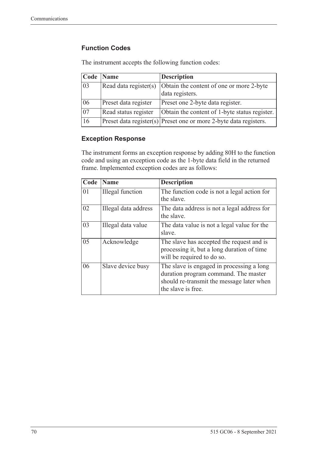### **Function Codes**

|    | Code   Name           | <b>Description</b>                                                |
|----|-----------------------|-------------------------------------------------------------------|
| 03 | Read data register(s) | Obtain the content of one or more 2-byte<br>data registers.       |
| 06 | Preset data register  | Preset one 2-byte data register.                                  |
| 07 | Read status register  | Obtain the content of 1-byte status register.                     |
| 16 |                       | Preset data register(s) Preset one or more 2-byte data registers. |

The instrument accepts the following function codes:

### **Exception Response**

The instrument forms an exception response by adding 80H to the function code and using an exception code as the 1-byte data field in the returned frame. Implemented exception codes are as follows:

| Code | <b>Name</b>          | <b>Description</b>                                                                                                                                   |
|------|----------------------|------------------------------------------------------------------------------------------------------------------------------------------------------|
| 01   | Illegal function     | The function code is not a legal action for<br>the slave.                                                                                            |
| 02   | Illegal data address | The data address is not a legal address for<br>the slave.                                                                                            |
| 03   | Illegal data value   | The data value is not a legal value for the<br>slave.                                                                                                |
| 05   | Acknowledge          | The slave has accepted the request and is<br>processing it, but a long duration of time<br>will be required to do so.                                |
| 06   | Slave device busy    | The slave is engaged in processing a long<br>duration program command. The master<br>should re-transmit the message later when<br>the slave is free. |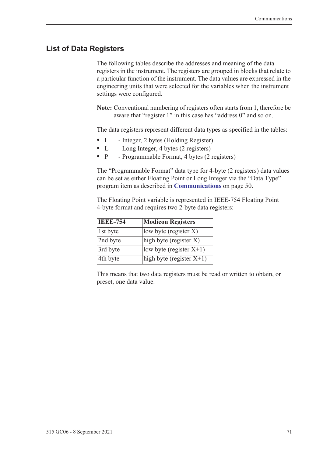### **List of Data Registers**

The following tables describe the addresses and meaning of the data registers in the instrument. The registers are grouped in blocks that relate to a particular function of the instrument. The data values are expressed in the engineering units that were selected for the variables when the instrument settings were configured.

**Note:** Conventional numbering of registers often starts from 1, therefore be aware that "register 1" in this case has "address 0" and so on.

The data registers represent different data types as specified in the tables:

- I Integer, 2 bytes (Holding Register)
- L Long Integer, 4 bytes (2 registers)
- P Programmable Format, 4 bytes (2 registers)

The "Programmable Format" data type for 4-byte (2 registers) data values can be set as either Floating Point or Long Integer via the "Data Type" program item as described in **[Communications](#page-59-0)** on page 50.

The Floating Point variable is represented in IEEE-754 Floating Point 4-byte format and requires two 2-byte data registers:

| <b>IEEE-754</b> | <b>Modicon Registers</b>    |
|-----------------|-----------------------------|
| 1st byte        | low byte (register $X$ )    |
| 2nd byte        | high byte (register X)      |
| 3rd byte        | $ low byte (register X+1) $ |
| 4th byte        | high byte (register $X+1$ ) |

This means that two data registers must be read or written to obtain, or preset, one data value.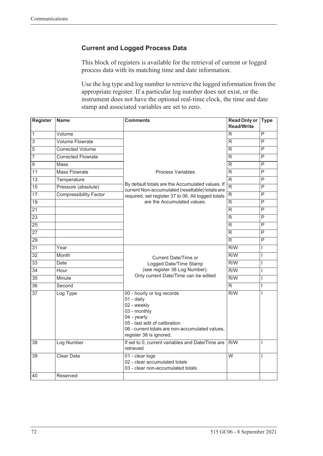### **Current and Logged Process Data**

This block of registers is available for the retrieval of current or logged process data with its matching time and date information.

Use the log type and log number to retrieve the logged information from the appropriate register. If a particular log number does not exist, or the instrument does not have the optional real-time clock, the time and date stamp and associated variables are set to zero.

| Register        | <b>Name</b>                   | <b>Comments</b>                                                                                                                                                                                       | <b>Read Only or</b><br><b>Read/Write</b> | <b>Type</b>             |
|-----------------|-------------------------------|-------------------------------------------------------------------------------------------------------------------------------------------------------------------------------------------------------|------------------------------------------|-------------------------|
| $\overline{1}$  | Volume                        |                                                                                                                                                                                                       | R.                                       | P                       |
| $\overline{3}$  | <b>Volume Flowrate</b>        |                                                                                                                                                                                                       | R                                        | $\overline{\mathsf{P}}$ |
| $\overline{5}$  | <b>Corrected Volume</b>       |                                                                                                                                                                                                       | R.                                       | $\overline{\mathsf{P}}$ |
| 7               | <b>Corrected Flowrate</b>     |                                                                                                                                                                                                       | R.                                       | P                       |
| $\overline{9}$  | Mass                          |                                                                                                                                                                                                       | $\overline{\mathsf{R}}$                  | $\overline{\mathsf{P}}$ |
| $\overline{11}$ | <b>Mass Flowrate</b>          | <b>Process Variables</b>                                                                                                                                                                              | $\overline{R}$                           | $\overline{\mathsf{P}}$ |
| $\overline{13}$ | Temperature                   |                                                                                                                                                                                                       | $\overline{\mathsf{R}}$                  | $\overline{P}$          |
| 15              | Pressure (absolute)           | By default totals are the Accumulated values. If<br>current Non-accumulated (resettable) totals are                                                                                                   | $\overline{\mathsf{R}}$                  | $\overline{\mathsf{P}}$ |
| $\overline{17}$ | <b>Compressibility Factor</b> | required, set register 37 to 06. All logged totals                                                                                                                                                    | R                                        | $\overline{\mathsf{P}}$ |
| 19              |                               | are the Accumulated values.                                                                                                                                                                           | R                                        | P                       |
| $\overline{21}$ |                               |                                                                                                                                                                                                       | R.                                       | P                       |
| $\overline{23}$ |                               |                                                                                                                                                                                                       | R                                        | $\overline{P}$          |
| 25              |                               |                                                                                                                                                                                                       | R                                        | P                       |
| $\overline{27}$ |                               |                                                                                                                                                                                                       | R                                        | P                       |
| 29              |                               |                                                                                                                                                                                                       | R.                                       | $\overline{P}$          |
| $\overline{31}$ | Year                          |                                                                                                                                                                                                       | R/W                                      | L                       |
| $\overline{32}$ | Month                         | Current Date/Time or                                                                                                                                                                                  | R/W                                      | T                       |
| $\overline{33}$ | Date                          | Logged Date/Time Stamp                                                                                                                                                                                | R/W                                      | I                       |
| $\overline{34}$ | Hour                          | (see register 38 Log Number).                                                                                                                                                                         | R/W                                      | T                       |
| $\overline{35}$ | Minute                        | Only current Date/Time can be edited                                                                                                                                                                  | $\overline{R/W}$                         | $\mathbf{I}$            |
| $\overline{36}$ | Second                        |                                                                                                                                                                                                       | $\overline{\mathsf{R}}$                  | T                       |
| $\overline{37}$ | Log Type                      | 00 - hourly or log records<br>01 - daily<br>02 - weekly<br>03 - monthly<br>04 - yearly<br>05 - last edit of calibration<br>06 - current totals are non-accumulated values,<br>register 38 is ignored. | R/W                                      | T                       |
| 38              | Log Number                    | If set to 0, current variables and Date/Time are<br>retrieved                                                                                                                                         | R/W                                      | T                       |
| 39              | <b>Clear Data</b>             | 01 - clear logs<br>02 - clear accumulated totals<br>03 - clear non-accumulated totals                                                                                                                 | W                                        | L                       |
| 40              | Reserved                      |                                                                                                                                                                                                       |                                          |                         |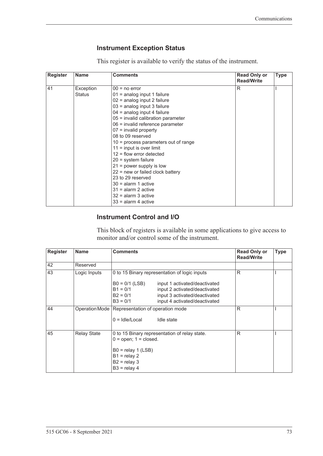### <span id="page-82-1"></span><span id="page-82-0"></span>**Instrument Exception Status**

This register is available to verify the status of the instrument.

| <b>Register</b> | <b>Name</b> | <b>Comments</b>                        | <b>Read Only or</b><br><b>Read/Write</b> | <b>Type</b> |
|-----------------|-------------|----------------------------------------|------------------------------------------|-------------|
| 41              | Exception   | $00 = no error$                        | R                                        |             |
|                 | Status      | $01$ = analog input 1 failure          |                                          |             |
|                 |             | 02 = analog input 2 failure            |                                          |             |
|                 |             | 03 = analog input 3 failure            |                                          |             |
|                 |             | $04$ = analog input 4 failure          |                                          |             |
|                 |             | 05 = invalid calibration parameter     |                                          |             |
|                 |             | 06 = invalid reference parameter       |                                          |             |
|                 |             | $07$ = invalid property                |                                          |             |
|                 |             | 08 to 09 reserved                      |                                          |             |
|                 |             | $10$ = process parameters out of range |                                          |             |
|                 |             | $11 =$ input is over limit             |                                          |             |
|                 |             | $12$ = flow error detected             |                                          |             |
|                 |             | $20 =$ system failure                  |                                          |             |
|                 |             | $21$ = power supply is low             |                                          |             |
|                 |             | $22$ = new or failed clock battery     |                                          |             |
|                 |             | 23 to 29 reserved                      |                                          |             |
|                 |             | $30 =$ alarm 1 active                  |                                          |             |
|                 |             | $31$ = alarm 2 active                  |                                          |             |
|                 |             | $32$ = alarm 3 active                  |                                          |             |
|                 |             | $33$ = alarm 4 active                  |                                          |             |

### **Instrument Control and I/O**

This block of registers is available in some applications to give access to monitor and/or control some of the instrument.

| <b>Register</b> | <b>Name</b>        | <b>Comments</b>                                                                                                                                                                                | <b>Read Only or</b><br><b>Read/Write</b> | <b>Type</b> |
|-----------------|--------------------|------------------------------------------------------------------------------------------------------------------------------------------------------------------------------------------------|------------------------------------------|-------------|
| 42              | Reserved           |                                                                                                                                                                                                |                                          |             |
| 43              | Logic Inputs       | 0 to 15 Binary representation of logic inputs                                                                                                                                                  | R                                        |             |
|                 |                    | $B0 = 0/1$ (LSB)<br>input 1 activated/deactivated<br>$B1 = 0/1$<br>input 2 activated/deactivated<br>$B2 = 0/1$<br>input 3 activated/deactivated<br>$B3 = 0/1$<br>input 4 activated/deactivated |                                          |             |
| 44              | Operation Mode     | Representation of operation mode<br>$0 =$ Idle/Local<br>Idle state                                                                                                                             | R                                        |             |
| 45              | <b>Relay State</b> | 0 to 15 Binary representation of relay state.<br>$0 =$ open; $1 =$ closed.<br>$B0 =$ relay 1 (LSB)<br>$B1 =$ relay 2<br>$B2 =$ relay 3<br>$B3 =$ relay 4                                       | R                                        |             |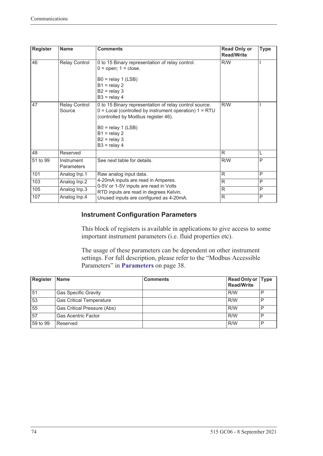| <b>Register</b> | <b>Name</b>              | <b>Comments</b>                                                                                                                                                                                                                           | <b>Read Only or</b><br><b>Read/Write</b> | <b>Type</b> |
|-----------------|--------------------------|-------------------------------------------------------------------------------------------------------------------------------------------------------------------------------------------------------------------------------------------|------------------------------------------|-------------|
| 46              | Relay Control            | 0 to 15 Binary representation of relay control.<br>$0 =$ open; $1 =$ close.<br>$B0 =$ relay 1 (LSB)<br>$B1 =$ relay 2<br>$B2 =$ relay 3<br>$B3 =$ relay 4                                                                                 | R/W                                      |             |
| 47              | Relay Control<br>Source  | 0 to 15 Binary representation of relay control source.<br>$0 =$ Local (controlled by instrument operation) $1 = RTU$<br>(controlled by Modbus register 46).<br>$B0 =$ relay 1 (LSB)<br>$B1 =$ relay 2<br>$B2 =$ relay 3<br>$B3 =$ relay 4 | R/W                                      |             |
| 48              | Reserved                 |                                                                                                                                                                                                                                           | R                                        | L           |
| 51 to 99        | Instrument<br>Parameters | See next table for details.                                                                                                                                                                                                               | R/W                                      | P           |
| 101             | Analog Inp.1             | Raw analog input data.                                                                                                                                                                                                                    | R                                        | P           |
| 103             | Analog Inp.2             | 4-20mA inputs are read in Amperes.<br>0-5V or 1-5V inputs are read in Volts                                                                                                                                                               | R                                        | P           |
| 105             | Analog Inp.3             | RTD inputs are read in degrees Kelvin.                                                                                                                                                                                                    | R                                        | P           |
| 107             | Analog Inp.4             | Unused inputs are configured as 4-20mA.                                                                                                                                                                                                   | R                                        | P           |

### **Instrument Configuration Parameters**

This block of registers is available in applications to give access to some important instrument parameters (i.e. fluid properties etc).

The usage of these parameters can be dependent on other instrument settings. For full description, please refer to the "Modbus Accessible Parameters" in **[Parameters](#page-47-0)** on page 38.

| <b>Register</b> | <b>Name</b>                     | <b>Comments</b> | <b>Read Only or Type</b><br>Read/Write |   |
|-----------------|---------------------------------|-----------------|----------------------------------------|---|
| 51              | <b>Gas Specific Gravity</b>     |                 | R/W                                    | P |
| 53              | <b>Gas Critical Temperature</b> |                 | IR/W                                   | P |
| 55              | Gas Critical Pressure (Abs)     |                 | R/W                                    | P |
| 57              | <b>Gas Acentric Factor</b>      |                 | R/W                                    | P |
| 59 to 99        | Reserved                        |                 | R/W                                    | P |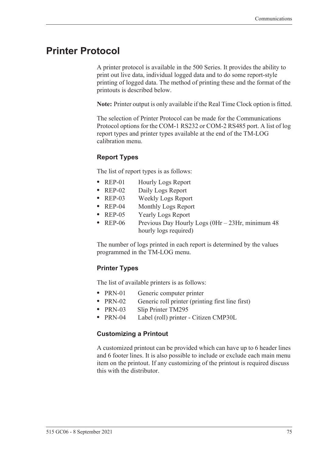### <span id="page-84-0"></span>**Printer Protocol**

<span id="page-84-2"></span>A printer protocol is available in the 500 Series. It provides the ability to print out live data, individual logged data and to do some report-style printing of logged data. The method of printing these and the format of the printouts is described below.

**Note:** Printer output is only available if the Real Time Clock option is fitted.

The selection of Printer Protocol can be made for the Communications Protocol options for the COM-1 RS232 or COM-2 RS485 port. A list of log report types and printer types available at the end of the TM-LOG calibration menu.

### <span id="page-84-3"></span>**Report Types**

The list of report types is as follows:

- REP-01 Hourly Logs Report
- **•** REP-02 Daily Logs Report
- **•** REP-03 Weekly Logs Report
- **•** REP-04 Monthly Logs Report
- **•** REP-05 Yearly Logs Report
- REP-06 Previous Day Hourly Logs (0Hr 23Hr, minimum 48 hourly logs required)

The number of logs printed in each report is determined by the values programmed in the TM-LOG menu.

### <span id="page-84-4"></span>**Printer Types**

The list of available printers is as follows:

- PRN-01 Generic computer printer
- PRN-02 Generic roll printer (printing first line first)
- **•** PRN-03 Slip Printer TM295
- **•** PRN-04 Label (roll) printer Citizen CMP30L

### <span id="page-84-1"></span>**Customizing a Printout**

A customized printout can be provided which can have up to 6 header lines and 6 footer lines. It is also possible to include or exclude each main menu item on the printout. If any customizing of the printout is required discuss this with the distributor.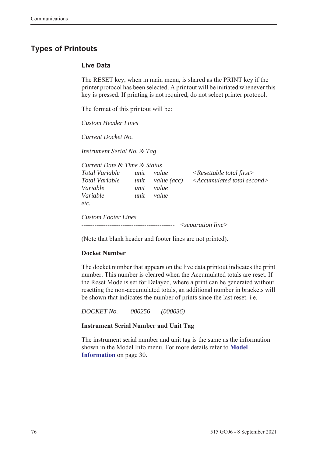### <span id="page-85-1"></span>**Types of Printouts**

### <span id="page-85-0"></span>**Live Data**

The RESET key, when in main menu, is shared as the PRINT key if the printer protocol has been selected. A printout will be initiated whenever this key is pressed. If printing is not required, do not select printer protocol.

The format of this printout will be:

*Custom Header Lines*

*Current Docket No.* 

*Instrument Serial No. & Tag*

| Current Date & Time & Status     |              |                      |                                                                                   |
|----------------------------------|--------------|----------------------|-----------------------------------------------------------------------------------|
| Total Variable<br>Total Variable | unit<br>unit | value<br>value (acc) | $\langle$ Resettable total first $\rangle$<br>$\leq$ Accumulated total second $>$ |
| Variable                         | unit         | value                |                                                                                   |
| Variable                         | unit         | value                |                                                                                   |
| etc.                             |              |                      |                                                                                   |
| <b>Custom Footer Lines</b>       |              |                      |                                                                                   |
|                                  |              |                      | $\leq$ separation line $>$                                                        |

(Note that blank header and footer lines are not printed).

### **Docket Number**

The docket number that appears on the live data printout indicates the print number. This number is cleared when the Accumulated totals are reset. If the Reset Mode is set for Delayed, where a print can be generated without resetting the non-accumulated totals, an additional number in brackets will be shown that indicates the number of prints since the last reset. i.e.

*DOCKET No. 000256 (000036)*

### **Instrument Serial Number and Unit Tag**

The instrument serial number and unit tag is the same as the information shown in the Model Info menu. For more details refer to **[Model](#page-39-0)  [Information](#page-39-0)** on page 30.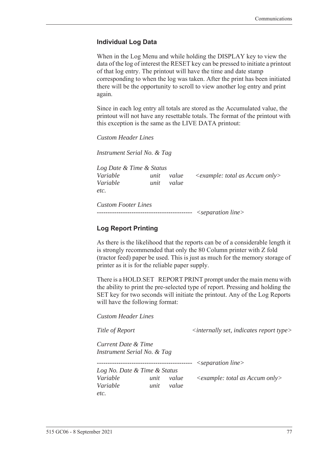### <span id="page-86-0"></span>**Individual Log Data**

When in the Log Menu and while holding the DISPLAY key to view the data of the log of interest the RESET key can be pressed to initiate a printout of that log entry. The printout will have the time and date stamp corresponding to when the log was taken. After the print has been initiated there will be the opportunity to scroll to view another log entry and print again.

Since in each log entry all totals are stored as the Accumulated value, the printout will not have any resettable totals. The format of the printout with this exception is the same as the LIVE DATA printout:

*Custom Header Lines*

*Instrument Serial No. & Tag*

*Log Date & Time & Status Variable unit value <example: total as Accum only> Variable unit value etc.*

*Custom Footer Lines -------------------------------------------- <separation line>*

### <span id="page-86-1"></span>**Log Report Printing**

As there is the likelihood that the reports can be of a considerable length it is strongly recommended that only the 80 Column printer with Z fold (tractor feed) paper be used. This is just as much for the memory storage of printer as it is for the reliable paper supply.

There is a HOLD.SET REPORT PRINT prompt under the main menu with the ability to print the pre-selected type of report. Pressing and holding the SET key for two seconds will initiate the printout. Any of the Log Reports will have the following format:

*Custom Header Lines*

*Title of Report*  $\langle$  *internally set, indicates report type>* 

*Current Date & Time Instrument Serial No. & Tag*

*-------------------------------------------- <separation line>*

*Log No. Date & Time & Status Variable unit value <example: total as Accum only> Variable unit value etc.*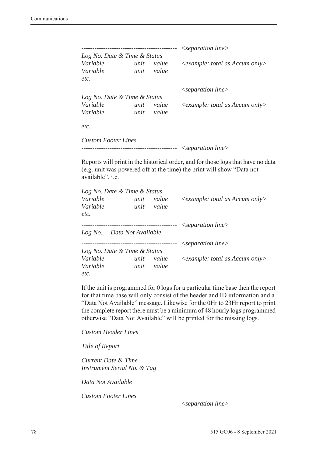|                              |      |           | $\leq$ separation line $>$              |
|------------------------------|------|-----------|-----------------------------------------|
| Log No. Date & Time & Status |      |           |                                         |
| Variable                     | unit | value     | $\leq$ example: total as Accum only $>$ |
| Variable                     | unit | value     |                                         |
| etc.                         |      |           |                                         |
|                              |      | --------- | $\leq$ separation line $>$              |
| Log No. Date & Time & Status |      |           |                                         |
| Variable                     | unit | value     | $\leq$ example: total as Accum only $>$ |
| Variable                     | unit | value     |                                         |
| etc.                         |      |           |                                         |
| <b>Custom Footer Lines</b>   |      |           |                                         |

```
-------------------------------------------- <separation line>
```
Reports will print in the historical order, and for those logs that have no data (e.g. unit was powered off at the time) the print will show "Data not available", i.e.

| Log No. Date & Time & Status |      |           |                                                  |
|------------------------------|------|-----------|--------------------------------------------------|
| Variable                     | unit | value     | $\langle$ example: total as Accum only $\rangle$ |
| Variable                     | unit | value     |                                                  |
| etc.                         |      |           |                                                  |
|                              |      |           | $\leq$ separation line $>$                       |
| Log No. Data Not Available   |      |           |                                                  |
|                              |      | --------- | $\leq$ separation line $>$                       |
| Log No. Date & Time & Status |      |           |                                                  |
| Variable                     | unit | value     | $\leq$ example: total as Accum only $>$          |
| Variable                     | unit | value     |                                                  |
| etc.                         |      |           |                                                  |

If the unit is programmed for 0 logs for a particular time base then the report for that time base will only consist of the header and ID information and a "Data Not Available" message. Likewise for the 0Hr to 23Hr report to print the complete report there must be a minimum of 48 hourly logs programmed otherwise "Data Not Available" will be printed for the missing logs.

*Custom Header Lines*

*Title of Report*

*Current Date & Time Instrument Serial No. & Tag*

*Data Not Available*

*Custom Footer Lines* 

*-------------------------------------------- <separation line>*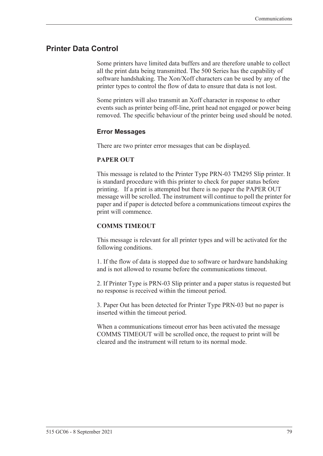### <span id="page-88-0"></span>**Printer Data Control**

Some printers have limited data buffers and are therefore unable to collect all the print data being transmitted. The 500 Series has the capability of software handshaking. The Xon/Xoff characters can be used by any of the printer types to control the flow of data to ensure that data is not lost.

Some printers will also transmit an Xoff character in response to other events such as printer being off-line, print head not engaged or power being removed. The specific behaviour of the printer being used should be noted.

### <span id="page-88-1"></span>**Error Messages**

There are two printer error messages that can be displayed.

### **PAPER OUT**

This message is related to the Printer Type PRN-03 TM295 Slip printer. It is standard procedure with this printer to check for paper status before printing. If a print is attempted but there is no paper the PAPER OUT message will be scrolled. The instrument will continue to poll the printer for paper and if paper is detected before a communications timeout expires the print will commence.

### **COMMS TIMEOUT**

This message is relevant for all printer types and will be activated for the following conditions.

1. If the flow of data is stopped due to software or hardware handshaking and is not allowed to resume before the communications timeout.

2. If Printer Type is PRN-03 Slip printer and a paper status is requested but no response is received within the timeout period.

3. Paper Out has been detected for Printer Type PRN-03 but no paper is inserted within the timeout period.

When a communications timeout error has been activated the message COMMS TIMEOUT will be scrolled once, the request to print will be cleared and the instrument will return to its normal mode.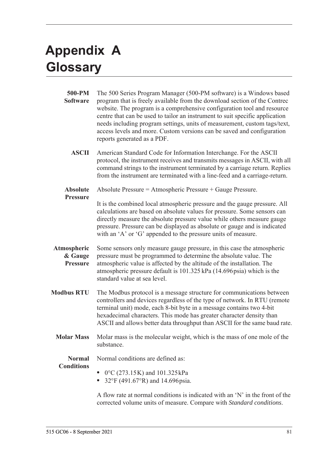# <span id="page-90-1"></span>**Appendix A Glossary**

<span id="page-90-0"></span>

| 500-PM<br><b>Software</b>                 | The 500 Series Program Manager (500-PM software) is a Windows based<br>program that is freely available from the download section of the Contrec<br>website. The program is a comprehensive configuration tool and resource<br>centre that can be used to tailor an instrument to suit specific application<br>needs including program settings, units of measurement, custom tags/text,<br>access levels and more. Custom versions can be saved and configuration<br>reports generated as a PDF. |
|-------------------------------------------|---------------------------------------------------------------------------------------------------------------------------------------------------------------------------------------------------------------------------------------------------------------------------------------------------------------------------------------------------------------------------------------------------------------------------------------------------------------------------------------------------|
| <b>ASCII</b>                              | American Standard Code for Information Interchange. For the ASCII<br>protocol, the instrument receives and transmits messages in ASCII, with all<br>command strings to the instrument terminated by a carriage return. Replies<br>from the instrument are terminated with a line-feed and a carriage-return.                                                                                                                                                                                      |
| <b>Absolute</b>                           | Absolute Pressure = Atmospheric Pressure + Gauge Pressure.                                                                                                                                                                                                                                                                                                                                                                                                                                        |
| <b>Pressure</b>                           | It is the combined local atmospheric pressure and the gauge pressure. All<br>calculations are based on absolute values for pressure. Some sensors can<br>directly measure the absolute pressure value while others measure gauge<br>pressure. Pressure can be displayed as absolute or gauge and is indicated<br>with an 'A' or 'G' appended to the pressure units of measure.                                                                                                                    |
| Atmospheric<br>& Gauge<br><b>Pressure</b> | Some sensors only measure gauge pressure, in this case the atmospheric<br>pressure must be programmed to determine the absolute value. The<br>atmospheric value is affected by the altitude of the installation. The<br>atmospheric pressure default is 101.325 kPa (14.696 psia) which is the<br>standard value at sea level.                                                                                                                                                                    |
| <b>Modbus RTU</b>                         | The Modbus protocol is a message structure for communications between<br>controllers and devices regardless of the type of network. In RTU (remote<br>terminal unit) mode, each 8-bit byte in a message contains two 4-bit<br>hexadecimal characters. This mode has greater character density than<br>ASCII and allows better data throughput than ASCII for the same baud rate.                                                                                                                  |
| <b>Molar Mass</b>                         | Molar mass is the molecular weight, which is the mass of one mole of the<br>substance.                                                                                                                                                                                                                                                                                                                                                                                                            |
| <b>Normal</b>                             | Normal conditions are defined as:                                                                                                                                                                                                                                                                                                                                                                                                                                                                 |
| <b>Conditions</b>                         | $0^{\circ}$ C (273.15K) and 101.325 kPa<br>32°F (491.67°R) and 14.696 psia.<br>$\bullet$                                                                                                                                                                                                                                                                                                                                                                                                          |
|                                           | A flow rate at normal conditions is indicated with an 'N' in the front of the                                                                                                                                                                                                                                                                                                                                                                                                                     |

corrected volume units of measure. Compare with *Standard conditions*.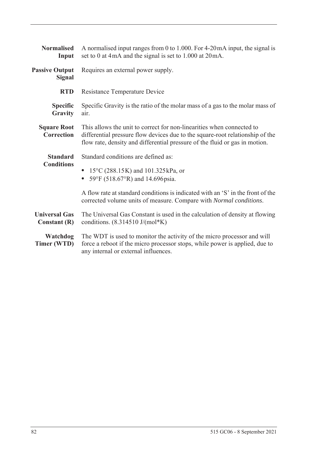| <b>Normalised</b><br>Input             | A normalised input ranges from 0 to 1.000. For 4-20 mA input, the signal is<br>set to 0 at 4mA and the signal is set to 1.000 at 20mA.                                                                                                |
|----------------------------------------|---------------------------------------------------------------------------------------------------------------------------------------------------------------------------------------------------------------------------------------|
| <b>Passive Output</b><br><b>Signal</b> | Requires an external power supply.                                                                                                                                                                                                    |
| <b>RTD</b>                             | Resistance Temperature Device                                                                                                                                                                                                         |
| <b>Specific</b><br>Gravity             | Specific Gravity is the ratio of the molar mass of a gas to the molar mass of<br>air.                                                                                                                                                 |
| <b>Square Root</b><br>Correction       | This allows the unit to correct for non-linearities when connected to<br>differential pressure flow devices due to the square-root relationship of the<br>flow rate, density and differential pressure of the fluid or gas in motion. |
| <b>Standard</b>                        | Standard conditions are defined as:                                                                                                                                                                                                   |
| <b>Conditions</b>                      | • 15°C (288.15K) and 101.325kPa, or<br>• 59°F (518.67°R) and 14.696 psia.                                                                                                                                                             |
|                                        | A flow rate at standard conditions is indicated with an 'S' in the front of the<br>corrected volume units of measure. Compare with Normal conditions.                                                                                 |
| <b>Universal Gas</b><br>Constant $(R)$ | The Universal Gas Constant is used in the calculation of density at flowing<br>conditions. $(8.314510 \text{ J/(mol*K)})$                                                                                                             |
| Watchdog<br>Timer (WTD)                | The WDT is used to monitor the activity of the micro processor and will<br>force a reboot if the micro processor stops, while power is applied, due to<br>any internal or external influences.                                        |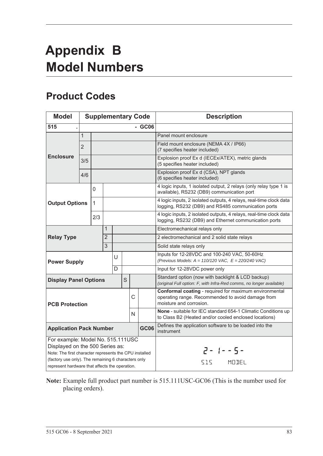## <span id="page-92-1"></span>**Appendix B Model Numbers**

## <span id="page-92-0"></span>**Product Codes**

| <b>Model</b>                                                                                                                                                                          |                |              |                | <b>Supplementary Code</b>     |                                                                                                                        |                                              | <b>Description</b>            |                                                                                                                                        |  |                                                                                                                             |  |
|---------------------------------------------------------------------------------------------------------------------------------------------------------------------------------------|----------------|--------------|----------------|-------------------------------|------------------------------------------------------------------------------------------------------------------------|----------------------------------------------|-------------------------------|----------------------------------------------------------------------------------------------------------------------------------------|--|-----------------------------------------------------------------------------------------------------------------------------|--|
| 515                                                                                                                                                                                   |                |              |                |                               |                                                                                                                        |                                              | $-$ GC06                      |                                                                                                                                        |  |                                                                                                                             |  |
|                                                                                                                                                                                       | 1              |              |                |                               |                                                                                                                        |                                              |                               | Panel mount enclosure                                                                                                                  |  |                                                                                                                             |  |
|                                                                                                                                                                                       | $\overline{2}$ |              |                |                               |                                                                                                                        |                                              |                               | Field mount enclosure (NEMA 4X / IP66)<br>(7 specifies heater included)                                                                |  |                                                                                                                             |  |
| <b>Enclosure</b>                                                                                                                                                                      | 3/5            |              |                |                               |                                                                                                                        |                                              |                               | Explosion proof Ex d (IECEx/ATEX), metric glands<br>(5 specifies heater included)                                                      |  |                                                                                                                             |  |
|                                                                                                                                                                                       | 4/6            |              |                |                               |                                                                                                                        |                                              |                               | Explosion proof Ex d (CSA), NPT glands<br>(6 specifies heater included)                                                                |  |                                                                                                                             |  |
|                                                                                                                                                                                       |                | $\Omega$     |                |                               |                                                                                                                        |                                              |                               | 4 logic inputs, 1 isolated output, 2 relays (only relay type 1 is<br>available), RS232 (DB9) communication port                        |  |                                                                                                                             |  |
| <b>Output Options</b>                                                                                                                                                                 |                | $\mathbf{1}$ |                |                               |                                                                                                                        |                                              |                               | 4 logic inputs, 2 isolated outputs, 4 relays, real-time clock data<br>logging, RS232 (DB9) and RS485 communication ports               |  |                                                                                                                             |  |
|                                                                                                                                                                                       | 2/3            |              |                |                               |                                                                                                                        |                                              |                               |                                                                                                                                        |  | 4 logic inputs, 2 isolated outputs, 4 relays, real-time clock data<br>logging, RS232 (DB9) and Ethernet communication ports |  |
| 1                                                                                                                                                                                     |                |              |                | Electromechanical relays only |                                                                                                                        |                                              |                               |                                                                                                                                        |  |                                                                                                                             |  |
| <b>Relay Type</b>                                                                                                                                                                     |                |              | $\overline{2}$ |                               |                                                                                                                        | 2 electromechanical and 2 solid state relays |                               |                                                                                                                                        |  |                                                                                                                             |  |
|                                                                                                                                                                                       |                |              | $\overline{3}$ |                               |                                                                                                                        |                                              |                               | Solid state relays only                                                                                                                |  |                                                                                                                             |  |
| <b>Power Supply</b>                                                                                                                                                                   |                |              |                | U                             |                                                                                                                        |                                              |                               | Inputs for 12-28VDC and 100-240 VAC, 50-60Hz<br>(Previous Models: $A = 110/120$ VAC, $E = 220/240$ VAC)                                |  |                                                                                                                             |  |
|                                                                                                                                                                                       |                |              |                | D                             |                                                                                                                        |                                              |                               | Input for 12-28VDC power only                                                                                                          |  |                                                                                                                             |  |
| <b>Display Panel Options</b>                                                                                                                                                          |                |              |                |                               | S                                                                                                                      |                                              |                               | Standard option (now with backlight & LCD backup)<br>(original Full option: F, with Infra-Red comms, no longer available)              |  |                                                                                                                             |  |
| $\overline{C}$<br><b>PCB Protection</b>                                                                                                                                               |                |              |                |                               |                                                                                                                        |                                              |                               | Conformal coating - required for maximum environmental<br>operating range. Recommended to avoid damage from<br>moisture and corrosion. |  |                                                                                                                             |  |
| N                                                                                                                                                                                     |                |              |                |                               | None - suitable for IEC standard 654-1 Climatic Conditions up<br>to Class B2 (Heated and/or cooled enclosed locations) |                                              |                               |                                                                                                                                        |  |                                                                                                                             |  |
| <b>GC06</b><br><b>Application Pack Number</b>                                                                                                                                         |                |              |                |                               | Defines the application software to be loaded into the<br>instrument                                                   |                                              |                               |                                                                                                                                        |  |                                                                                                                             |  |
| For example: Model No. 515.111USC<br>Displayed on the 500 Series as:<br>Note: The first character represents the CPU installed<br>(factory use only). The remaining 6 characters only |                |              |                |                               |                                                                                                                        |                                              | $2 - 1 - 5 -$<br>515<br>MODEL |                                                                                                                                        |  |                                                                                                                             |  |
| represent hardware that affects the operation.                                                                                                                                        |                |              |                |                               |                                                                                                                        |                                              |                               |                                                                                                                                        |  |                                                                                                                             |  |

**Note:** Example full product part number is 515.111USC-GC06 (This is the number used for placing orders).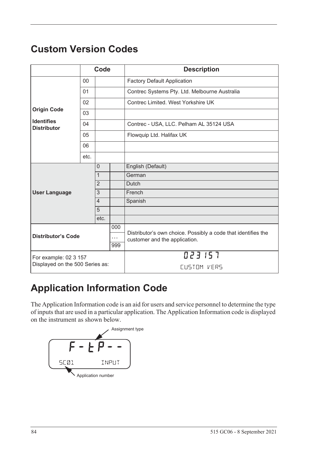## <span id="page-93-1"></span>**Custom Version Codes**

|                                         | Code |                |  | <b>Description</b>                                                                             |
|-----------------------------------------|------|----------------|--|------------------------------------------------------------------------------------------------|
|                                         | 00   |                |  | <b>Factory Default Application</b>                                                             |
|                                         | 01   |                |  | Contrec Systems Pty. Ltd. Melbourne Australia                                                  |
|                                         | 02   |                |  | Contrec Limited, West Yorkshire UK                                                             |
| <b>Origin Code</b>                      | 03   |                |  |                                                                                                |
| <b>Identifies</b><br><b>Distributor</b> | 04   |                |  | Contrec - USA, LLC. Pelham AL 35124 USA                                                        |
|                                         | 05   |                |  | Flowquip Ltd. Halifax UK                                                                       |
|                                         | 06   |                |  |                                                                                                |
|                                         | etc. |                |  |                                                                                                |
|                                         |      | 0              |  | English (Default)                                                                              |
|                                         |      | $\mathbf{1}$   |  | German                                                                                         |
|                                         |      | $\overline{2}$ |  | <b>Dutch</b>                                                                                   |
| <b>User Language</b>                    |      | 3              |  | French                                                                                         |
|                                         |      | $\overline{4}$ |  | Spanish                                                                                        |
|                                         |      | $\overline{5}$ |  |                                                                                                |
|                                         |      | etc.           |  |                                                                                                |
| 000                                     |      |                |  |                                                                                                |
| <b>Distributor's Code</b><br>$\cdots$   |      |                |  | Distributor's own choice. Possibly a code that identifies the<br>customer and the application. |
| 999                                     |      |                |  |                                                                                                |
| For example: 02 3 157                   |      |                |  | 023157                                                                                         |
| Displayed on the 500 Series as:         |      |                |  | CUSTOM VERS                                                                                    |

## **Application Information Code**

The Application Information code is an aid for users and service personnel to determine the type of inputs that are used in a particular application. The Application Information code is displayed on the instrument as shown below.

<span id="page-93-0"></span>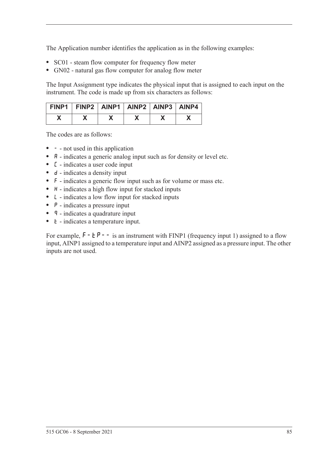The Application number identifies the application as in the following examples:

- **•** SC01 steam flow computer for frequency flow meter
- **•** GN02 natural gas flow computer for analog flow meter

The Input Assignment type indicates the physical input that is assigned to each input on the instrument. The code is made up from six characters as follows:

| FINP1   FINP2   AINP1   AINP2   AINP3   AINP4 |  |  |  |
|-----------------------------------------------|--|--|--|
|                                               |  |  |  |

The codes are as follows:

- - not used in this application
- **A** indicates a generic analog input such as for density or level etc.
- **•** C indicates a user code input
- d indicates a density input
- **•** F indicates a generic flow input such as for volume or mass etc.
- H indicates a high flow input for stacked inputs
- **•** L indicates a low flow input for stacked inputs
- **•** P indicates a pressure input
- **q** indicates a quadrature input
- *k* indicates a temperature input.

For example,  $F - tP - -$  is an instrument with FINP1 (frequency input 1) assigned to a flow input, AINP1 assigned to a temperature input and AINP2 assigned as a pressure input. The other inputs are not used.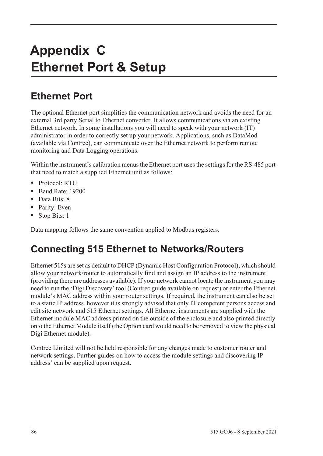# **Appendix C Ethernet Port & Setup**

## **Ethernet Port**

The optional Ethernet port simplifies the communication network and avoids the need for an external 3rd party Serial to Ethernet converter. It allows communications via an existing Ethernet network. In some installations you will need to speak with your network (IT) administrator in order to correctly set up your network. Applications, such as DataMod (available via Contrec), can communicate over the Ethernet network to perform remote monitoring and Data Logging operations.

Within the instrument's calibration menus the Ethernet port uses the settings for the RS-485 port that need to match a supplied Ethernet unit as follows:

- **•** Protocol: RTU
- **•** Baud Rate: 19200
- **•** Data Bits: 8
- **•** Parity: Even
- **•** Stop Bits: 1

Data mapping follows the same convention applied to Modbus registers.

## **Connecting 515 Ethernet to Networks/Routers**

Ethernet 515s are set as default to DHCP (Dynamic Host Configuration Protocol), which should allow your network/router to automatically find and assign an IP address to the instrument (providing there are addresses available). If your network cannot locate the instrument you may need to run the 'Digi Discovery' tool (Contrec guide available on request) or enter the Ethernet module's MAC address within your router settings. If required, the instrument can also be set to a static IP address, however it is strongly advised that only IT competent persons access and edit site network and 515 Ethernet settings. All Ethernet instruments are supplied with the Ethernet module MAC address printed on the outside of the enclosure and also printed directly onto the Ethernet Module itself (the Option card would need to be removed to view the physical Digi Ethernet module).

Contrec Limited will not be held responsible for any changes made to customer router and network settings. Further guides on how to access the module settings and discovering IP address' can be supplied upon request.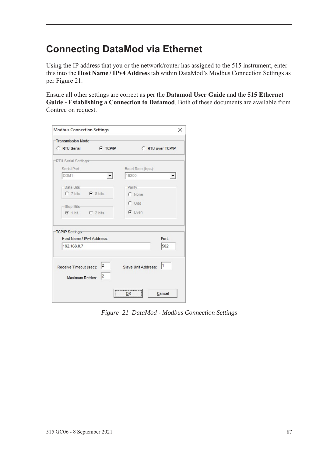## **Connecting DataMod via Ethernet**

Using the IP address that you or the network/router has assigned to the 515 instrument, enter this into the **Host Name / IPv4 Address** tab within DataMod's Modbus Connection Settings as per [Figure 21.](#page-96-0)

Ensure all other settings are correct as per the **Datamod User Guide** and the **515 Ethernet Guide - Establishing a Connection to Datamod**. Both of these documents are available from Contrec on request.

| Transmission Mode-                                   |                 |                     |                      |
|------------------------------------------------------|-----------------|---------------------|----------------------|
| C RTU Serial                                         | <b>C</b> TCP/IP | C RTU over TCP/IP   |                      |
| -RTU Serial Settings-                                |                 |                     |                      |
| Serial Port:                                         |                 | Baud Rate (bps):    |                      |
| COM1                                                 |                 | 19200               | $\blacktriangledown$ |
| -Data Bits-                                          |                 | -Parity-            |                      |
| C 7 bits C 8 bits                                    |                 | C None              |                      |
|                                                      |                 | $C$ Odd             |                      |
| -Stop Bits-                                          |                 | $G$ Even            |                      |
| $C$ 1 bit $C$ 2 bits                                 |                 |                     |                      |
| TCP/IP Settings                                      |                 |                     |                      |
| Host Name / IPv4 Address:                            |                 |                     | Port:                |
| 192.168.0.7                                          |                 |                     | 502                  |
| Receive Timeout (sec): $\vert^2$<br>Maximum Retries: | 2               | Slave Unit Address: | 11                   |
|                                                      |                 | ,                   | Cancel               |

<span id="page-96-0"></span>*Figure 21 DataMod - Modbus Connection Settings*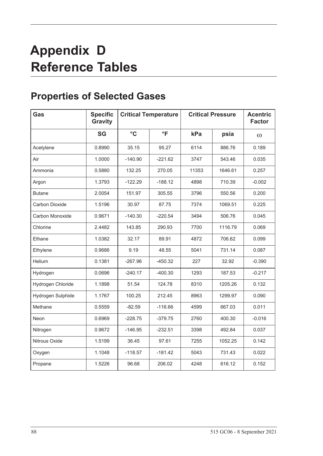## **Appendix D Reference Tables**

## <span id="page-97-0"></span>**Properties of Selected Gases**

| Gas                   | <b>Specific</b><br><b>Gravity</b> | <b>Critical Temperature</b> |              | <b>Critical Pressure</b> |         | <b>Acentric</b><br><b>Factor</b> |
|-----------------------|-----------------------------------|-----------------------------|--------------|--------------------------|---------|----------------------------------|
|                       | <b>SG</b>                         | $\rm ^{\circ}C$             | $\mathsf{P}$ | kPa                      | psia    | $\omega$                         |
| Acetylene             | 0.8990                            | 35.15                       | 95.27        | 6114                     | 886.76  | 0.189                            |
| Air                   | 1.0000                            | $-140.90$                   | $-221.62$    | 3747                     | 543.46  | 0.035                            |
| Ammonia               | 0.5880                            | 132.25                      | 270.05       | 11353                    | 1646.61 | 0.257                            |
| Argon                 | 1.3793                            | $-122.29$                   | $-188.12$    | 4898                     | 710.39  | $-0.002$                         |
| <b>Butane</b>         | 2.0054                            | 151.97                      | 305.55       | 3796                     | 550.56  | 0.200                            |
| <b>Carbon Dioxide</b> | 1.5196                            | 30.97                       | 87.75        | 7374                     | 1069.51 | 0.225                            |
| Carbon Monoxide       | 0.9671                            | $-140.30$                   | $-220.54$    | 3494                     | 506.76  | 0.045                            |
| Chlorine              | 2.4482                            | 143.85                      | 290.93       | 7700                     | 1116.79 | 0.069                            |
| Ethane                | 1.0382                            | 32.17                       | 89.91        | 4872                     | 706.62  | 0.099                            |
| Ethylene              | 0.9686                            | 9.19                        | 48.55        | 5041                     | 731.14  | 0.087                            |
| Helium                | 0.1381                            | $-267.96$                   | $-450.32$    | 227                      | 32.92   | $-0.390$                         |
| Hydrogen              | 0.0696                            | $-240.17$                   | $-400.30$    | 1293                     | 187.53  | $-0.217$                         |
| Hydrogen Chloride     | 1.1898                            | 51.54                       | 124.78       | 8310                     | 1205.26 | 0.132                            |
| Hydrogen Sulphide     | 1.1767                            | 100.25                      | 212.45       | 8963                     | 1299.97 | 0.090                            |
| Methane               | 0.5559                            | $-82.59$                    | $-116.66$    | 4599                     | 667.03  | 0.011                            |
| Neon                  | 0.6969                            | $-228.75$                   | $-379.75$    | 2760                     | 400.30  | $-0.016$                         |
| Nitrogen              | 0.9672                            | $-146.95$                   | $-232.51$    | 3398                     | 492.84  | 0.037                            |
| Nitrous Oxide         | 1.5199                            | 36.45                       | 97.61        | 7255                     | 1052.25 | 0.142                            |
| Oxygen                | 1.1048                            | $-118.57$                   | $-181.42$    | 5043                     | 731.43  | 0.022                            |
| Propane               | 1.5226                            | 96.68                       | 206.02       | 4248                     | 616.12  | 0.152                            |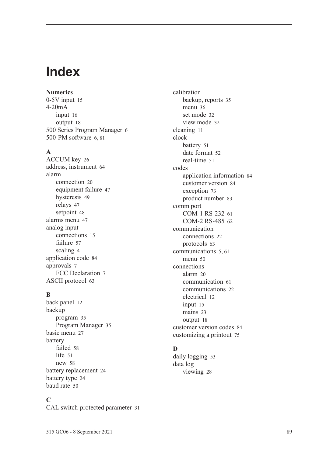## **Index**

**Numerics** 0-5V inpu[t 15](#page-24-0) 4-20mA input [16](#page-25-0) output [18](#page-27-0) 500 Series Program Manage[r 6](#page-15-0) 500-PM software [6,](#page-15-0) [81](#page-90-0)

### **A**

ACCUM ke[y 26](#page-35-0) address, instrumen[t 64](#page-73-0) alarm connection [20](#page-29-0) equipment failur[e 47](#page-56-0) hysteresi[s 49](#page-58-0) relays [47](#page-56-1) setpoin[t 48](#page-57-0) alarms menu [47](#page-56-2) analog input connection[s 15](#page-24-1) failur[e 57](#page-66-0) scalin[g 4](#page-13-0) application cod[e 84](#page-93-0) approvals [7](#page-16-0) FCC Declaration [7](#page-16-1) ASCII protoco[l 63](#page-72-0)

### **B**

back panel [12](#page-21-0) backup program [35](#page-44-0) Program Manage[r 35](#page-44-1) basic men[u 27](#page-36-0) battery faile[d 58](#page-67-0) lif[e 51](#page-60-1) ne[w 58](#page-67-0) battery replacemen[t 24](#page-33-0) battery typ[e 24](#page-33-1) baud rat[e 50](#page-59-1)

### **C**

CAL switch-protected parameter [31](#page-40-0)

calibration backup, reports [35](#page-44-0) menu [36](#page-45-0) set mode [32](#page-41-0) view mode [32](#page-41-1) cleaning [11](#page-20-0) clock batter[y 51](#page-60-1) date format [52](#page-61-0) real-tim[e 51](#page-60-2) codes application information [84](#page-93-0) customer versio[n 84](#page-93-1) exception [73](#page-82-1) product numbe[r 83](#page-92-0) comm port COM-1 RS-232 [61](#page-70-0) COM-2 RS-485 [62](#page-71-0) communication connection[s 22](#page-31-0) protocols [63](#page-72-1) communication[s 5,](#page-14-1) [61](#page-70-1) menu [50](#page-59-2) connections alar[m 20](#page-29-0) communication [61](#page-70-2) communication[s 22](#page-31-0) electrical [12](#page-21-1) input [15](#page-24-2) mains [23](#page-32-0) output [18](#page-27-1) customer version codes [84](#page-93-1) customizing a printout [75](#page-84-1)

### **D**

daily logging [53](#page-62-0) data log viewing [28](#page-37-0)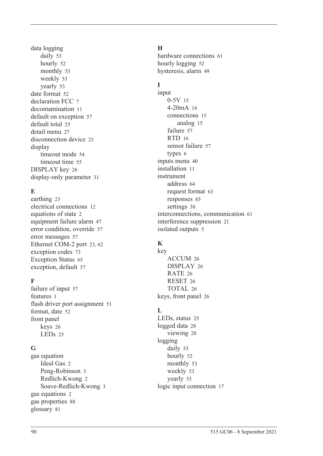data logging daily [53](#page-62-0) hourl[y 52](#page-61-1) monthly [53](#page-62-1) weekl[y 53](#page-62-2) yearly [53](#page-62-3) date format [52](#page-61-0) declaration FCC [7](#page-16-1) decontamination [11](#page-20-0) default on exception [57](#page-66-1) default tota[l 25](#page-34-0) detail men[u 27](#page-36-0) disconnection device [23](#page-32-1) display timeout mod[e 54](#page-63-0) timeout time [55](#page-64-0) DISPLAY key [26](#page-35-1) display-only parameter [31](#page-40-1)

### **E**

earthin[g 23](#page-32-2) electrical connections [12](#page-21-1) equations of state [2](#page-11-0) equipment failure alarm [47](#page-56-0) error condition, overrid[e 57](#page-66-2) error message[s 57](#page-66-3) Ethernet COM-2 por[t 23,](#page-32-3) [62](#page-71-1) exception codes [73](#page-82-1) Exception Status [65](#page-74-0) exception, default [57](#page-66-1)

### **F**

failure of input [57](#page-66-0) features [1](#page-10-0) flash driver port assignmen[t 51](#page-60-3) format, date [52](#page-61-0) front panel keys [26](#page-35-2) LEDs [25](#page-34-1)

### **G**

gas equation Ideal Ga[s 2](#page-11-1) Peng-Robinson [3](#page-12-0) Redlich-Kwon[g 2](#page-11-2) Soave-Redlich-Kwong [3](#page-12-1) gas equations [2](#page-11-0) gas properties [88](#page-97-0) glossary [81](#page-90-1)

### **H**

hardware connections [61](#page-70-2) hourly logging [52](#page-61-1) hysteresis, alar[m 49](#page-58-0)

### **I**

input 0-5[V 15](#page-24-0) 4-20mA [16](#page-25-0) connections [15](#page-24-2) analog [15](#page-24-1) failure [57](#page-66-0) RTD [16](#page-25-1) sensor failure [57](#page-66-0) types [6](#page-15-1) inputs menu [40](#page-49-0) installation [11](#page-20-1) instrument address [64](#page-73-0) request forma[t 63](#page-72-2) response[s 65](#page-74-1) setting[s 38](#page-47-1) interconnections, communication [61](#page-70-2) interference suppression [21](#page-30-0) isolated output[s 5](#page-14-2)

### **K**

key ACCUM [26](#page-35-0) DISPLA[Y 26](#page-35-1) RATE [26](#page-35-3) RESE[T 26](#page-35-4) TOTAL [26](#page-35-5) keys, front panel [26](#page-35-2)

### **L**

LEDs, status [25](#page-34-1) logged dat[a 28](#page-37-0) viewin[g 28](#page-37-1) logging daily [53](#page-62-0) hourly [52](#page-61-1) monthly [53](#page-62-1) weekl[y 53](#page-62-2) yearly [53](#page-62-3) logic input connection [17](#page-26-0)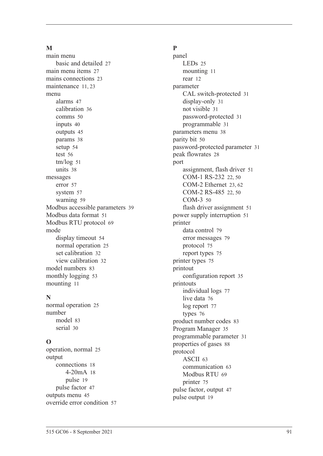main menu basic and detaile[d 27](#page-36-0) main menu items [27](#page-36-1) mains connection[s 23](#page-32-0) maintenance [11,](#page-20-1) [23](#page-32-4) menu alarm[s 47](#page-56-2) calibratio[n 36](#page-45-0) comms [50](#page-59-2) input[s 40](#page-49-0) output[s 45](#page-54-0) params [38](#page-47-2) setu[p 54](#page-63-1) test [56](#page-65-0) tm/lo[g 51](#page-60-4) unit[s 38](#page-47-3) messages erro[r 57](#page-66-3) syste[m 57](#page-66-4) warnin[g 59](#page-68-0) Modbus accessible parameters [39](#page-48-0) Modbus data forma[t 51](#page-60-5) Modbus RTU protoco[l 69](#page-78-0) mode display timeou[t 54](#page-63-0) normal operatio[n 25](#page-34-2) set calibration [32](#page-41-0) view calibration [32](#page-41-1) model number[s 83](#page-92-1) monthly logging [53](#page-62-1) mountin[g 11](#page-20-2)

### **N**

normal operatio[n 25](#page-34-2) number mode[l 83](#page-92-1) seria[l 30](#page-39-1)

### **O**

operation, norma[l 25](#page-34-2) output connection[s 18](#page-27-1) 4-20m[A 18](#page-27-0) puls[e 19](#page-28-0) pulse facto[r 47](#page-56-3) outputs men[u 45](#page-54-0) override error condition [57](#page-66-2)

### **P**

**M**<br> **Example 2021 81**<br> **Example 2021**<br> **Example 2021**<br> **Example 2021**<br> **Example 2021**<br> **Example 2121**<br> **Example 2121**<br> **Example 2121**<br> **Example 2121**<br> **Example 2121**<br> **Example 213**<br> **Example 213**<br> **Example 213**<br> **Example** panel LEDs [25](#page-34-1) mounting [11](#page-20-2) rear [12](#page-21-0) parameter CAL switch-protected [31](#page-40-0) display-only [31](#page-40-1) not visibl[e 31](#page-40-2) password-protected [31](#page-40-3) programmable [31](#page-40-4) parameters men[u 38](#page-47-2) parity bit [50](#page-59-3) password-protected parameter [31](#page-40-3) peak flowrate[s 28](#page-37-2) port assignment, flash driver [51](#page-60-3) COM-1 RS-232 [22,](#page-31-1) [50](#page-59-4) COM-2 Ethernet [23,](#page-32-3) [62](#page-71-1) COM-2 RS-485 [22,](#page-31-2) [50](#page-59-5) COM-[3 50](#page-59-6) flash driver assignment [51](#page-60-3) power supply interruption [51](#page-60-1) printer data control [79](#page-88-0) error messages [79](#page-88-1) protocol [75](#page-84-2) report types [75](#page-84-3) printer type[s 75](#page-84-4) printout configuration repor[t 35](#page-44-2) printouts individual logs [77](#page-86-0) live data [76](#page-85-0) log report [77](#page-86-1) type[s 76](#page-85-1) product number codes [83](#page-92-0) Program Manager [35](#page-44-1) programmable parameter [31](#page-40-4) properties of gases [88](#page-97-0) protocol ASCI[I 63](#page-72-0) communication [63](#page-72-1) Modbus RT[U 69](#page-78-0) printer [75](#page-84-2) pulse factor, output [47](#page-56-3) pulse output [19](#page-28-0)